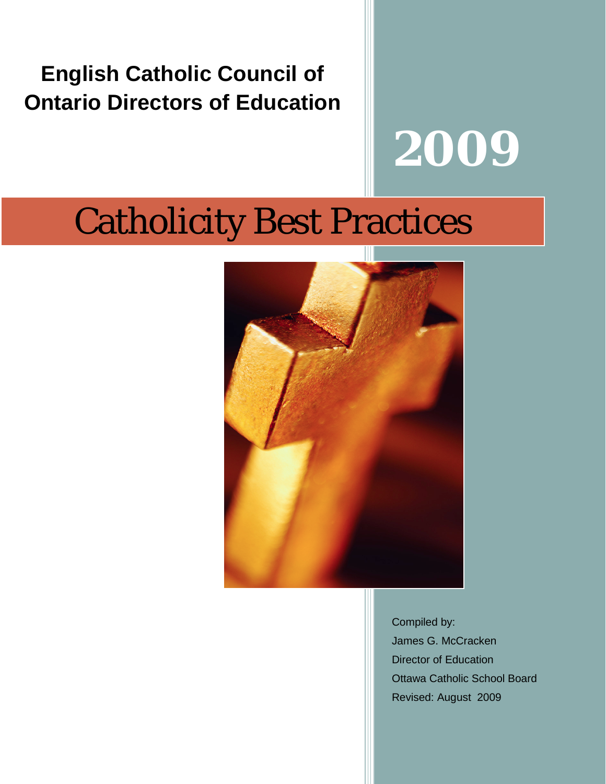# **English Catholic Council of Ontario Directors of Education**

# **2009**

# Catholicity Best Practices



Compiled by: James G. McCracken Director of Education Ottawa Catholic School Board Revised: August 2009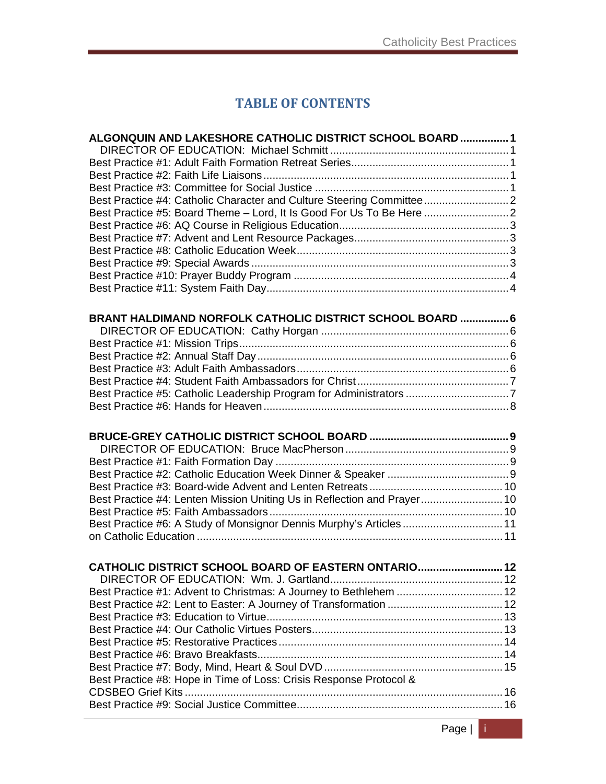# **TABLE OF CONTENTS**

| ALGONQUIN AND LAKESHORE CATHOLIC DISTRICT SCHOOL BOARD  1               |  |
|-------------------------------------------------------------------------|--|
|                                                                         |  |
|                                                                         |  |
|                                                                         |  |
|                                                                         |  |
|                                                                         |  |
|                                                                         |  |
|                                                                         |  |
|                                                                         |  |
|                                                                         |  |
|                                                                         |  |
|                                                                         |  |
|                                                                         |  |
| BRANT HALDIMAND NORFOLK CATHOLIC DISTRICT SCHOOL BOARD  6               |  |
|                                                                         |  |
|                                                                         |  |
|                                                                         |  |
|                                                                         |  |
|                                                                         |  |
|                                                                         |  |
|                                                                         |  |
|                                                                         |  |
|                                                                         |  |
|                                                                         |  |
|                                                                         |  |
|                                                                         |  |
|                                                                         |  |
| Best Practice #4: Lenten Mission Uniting Us in Reflection and Prayer 10 |  |
|                                                                         |  |
| Best Practice #6: A Study of Monsignor Dennis Murphy's Articles 11      |  |
|                                                                         |  |
| CATHOLIC DISTRICT SCHOOL BOARD OF EASTERN ONTARIO12                     |  |
|                                                                         |  |
| Best Practice #1: Advent to Christmas: A Journey to Bethlehem  12       |  |
|                                                                         |  |
|                                                                         |  |
|                                                                         |  |
|                                                                         |  |
|                                                                         |  |
|                                                                         |  |
| Best Practice #8: Hope in Time of Loss: Crisis Response Protocol &      |  |
|                                                                         |  |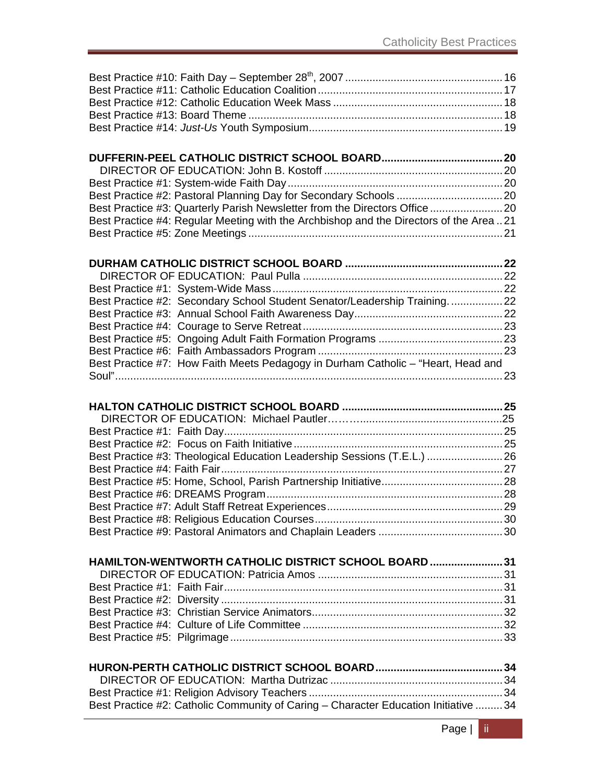| Best Practice #3: Quarterly Parish Newsletter from the Directors Office               |  |
|---------------------------------------------------------------------------------------|--|
| Best Practice #4: Regular Meeting with the Archbishop and the Directors of the Area21 |  |
|                                                                                       |  |

| Best Practice #2: Secondary School Student Senator/Leadership Training22         |  |
|----------------------------------------------------------------------------------|--|
|                                                                                  |  |
|                                                                                  |  |
|                                                                                  |  |
|                                                                                  |  |
| Best Practice #7: How Faith Meets Pedagogy in Durham Catholic – "Heart, Head and |  |
|                                                                                  |  |

| Best Practice #3: Theological Education Leadership Sessions (T.E.L.) 26 |  |
|-------------------------------------------------------------------------|--|
|                                                                         |  |
|                                                                         |  |
|                                                                         |  |
|                                                                         |  |
|                                                                         |  |
|                                                                         |  |
|                                                                         |  |
|                                                                         |  |
|                                                                         |  |
|                                                                         |  |

| HAMILTON-WENTWORTH CATHOLIC DISTRICT SCHOOL BOARD  31 |  |
|-------------------------------------------------------|--|
|                                                       |  |
|                                                       |  |
|                                                       |  |
|                                                       |  |
|                                                       |  |
|                                                       |  |

| Best Practice #2: Catholic Community of Caring – Character Education Initiative  34 |  |
|-------------------------------------------------------------------------------------|--|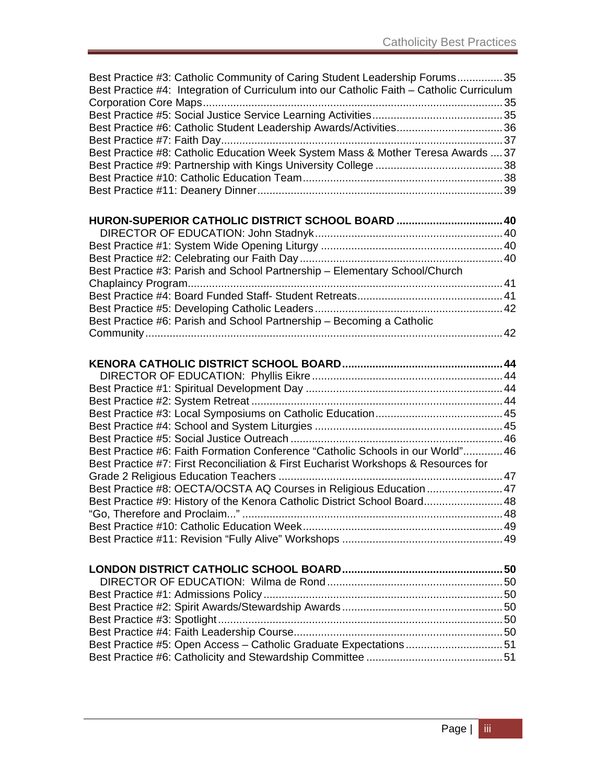| Best Practice #3: Catholic Community of Caring Student Leadership Forums35                |  |
|-------------------------------------------------------------------------------------------|--|
| Best Practice #4: Integration of Curriculum into our Catholic Faith - Catholic Curriculum |  |
|                                                                                           |  |
|                                                                                           |  |
|                                                                                           |  |
|                                                                                           |  |
| Best Practice #8: Catholic Education Week System Mass & Mother Teresa Awards  37          |  |
|                                                                                           |  |
|                                                                                           |  |
|                                                                                           |  |
|                                                                                           |  |
| HURON-SUPERIOR CATHOLIC DISTRICT SCHOOL BOARD  40                                         |  |
|                                                                                           |  |
|                                                                                           |  |
|                                                                                           |  |
|                                                                                           |  |
| Best Practice #3: Parish and School Partnership - Elementary School/Church                |  |
|                                                                                           |  |
|                                                                                           |  |
|                                                                                           |  |
| Best Practice #6: Parish and School Partnership - Becoming a Catholic                     |  |
|                                                                                           |  |
|                                                                                           |  |
|                                                                                           |  |
|                                                                                           |  |
|                                                                                           |  |
|                                                                                           |  |
|                                                                                           |  |
|                                                                                           |  |
|                                                                                           |  |
| Best Practice #6: Faith Formation Conference "Catholic Schools in our World" 46           |  |
| Best Practice #7: First Reconciliation & First Eucharist Workshops & Resources for        |  |
|                                                                                           |  |
|                                                                                           |  |
| Best Practice #8: OECTA/OCSTA AQ Courses in Religious Education  47                       |  |
| Best Practice #9: History of the Kenora Catholic District School Board 48                 |  |
| "Go, Therefore and Proclaim"                                                              |  |
|                                                                                           |  |
|                                                                                           |  |
|                                                                                           |  |
|                                                                                           |  |
|                                                                                           |  |
|                                                                                           |  |
|                                                                                           |  |
|                                                                                           |  |
|                                                                                           |  |
|                                                                                           |  |
| Best Practice #5: Open Access - Catholic Graduate Expectations51                          |  |
|                                                                                           |  |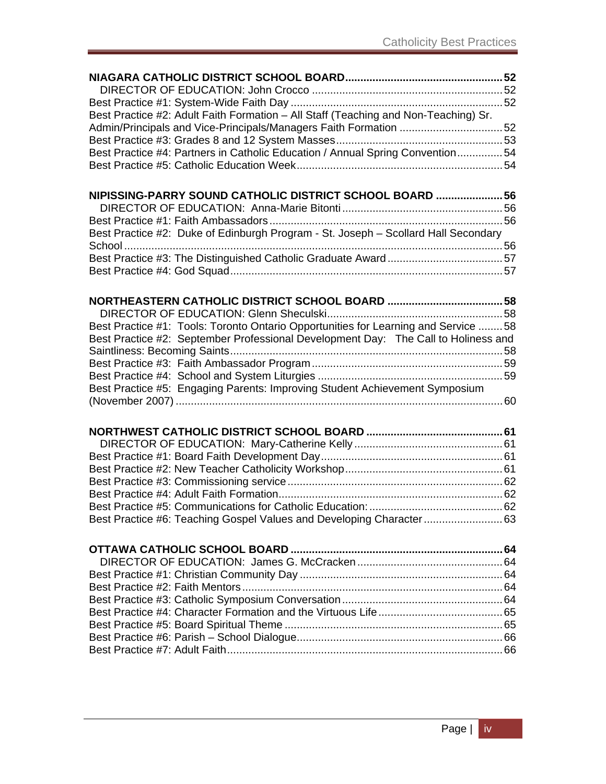| Best Practice #2: Adult Faith Formation - All Staff (Teaching and Non-Teaching) Sr. |  |
|-------------------------------------------------------------------------------------|--|
| Admin/Principals and Vice-Principals/Managers Faith Formation 52                    |  |
|                                                                                     |  |
| Best Practice #4: Partners in Catholic Education / Annual Spring Convention54       |  |
|                                                                                     |  |
|                                                                                     |  |
| NIPISSING-PARRY SOUND CATHOLIC DISTRICT SCHOOL BOARD  56                            |  |
|                                                                                     |  |
|                                                                                     |  |
|                                                                                     |  |
| Best Practice #2: Duke of Edinburgh Program - St. Joseph - Scollard Hall Secondary  |  |
|                                                                                     |  |
|                                                                                     |  |
|                                                                                     |  |
|                                                                                     |  |
|                                                                                     |  |
|                                                                                     |  |
| Best Practice #1: Tools: Toronto Ontario Opportunities for Learning and Service 58  |  |
| Best Practice #2: September Professional Development Day: The Call to Holiness and  |  |
|                                                                                     |  |
|                                                                                     |  |
|                                                                                     |  |
| Best Practice #5: Engaging Parents: Improving Student Achievement Symposium         |  |
|                                                                                     |  |
|                                                                                     |  |
|                                                                                     |  |
|                                                                                     |  |
|                                                                                     |  |
|                                                                                     |  |
|                                                                                     |  |
|                                                                                     |  |
|                                                                                     |  |
| Best Practice #6: Teaching Gospel Values and Developing Character63                 |  |
|                                                                                     |  |
|                                                                                     |  |
|                                                                                     |  |
|                                                                                     |  |
|                                                                                     |  |
|                                                                                     |  |
|                                                                                     |  |
|                                                                                     |  |
|                                                                                     |  |
|                                                                                     |  |
|                                                                                     |  |
|                                                                                     |  |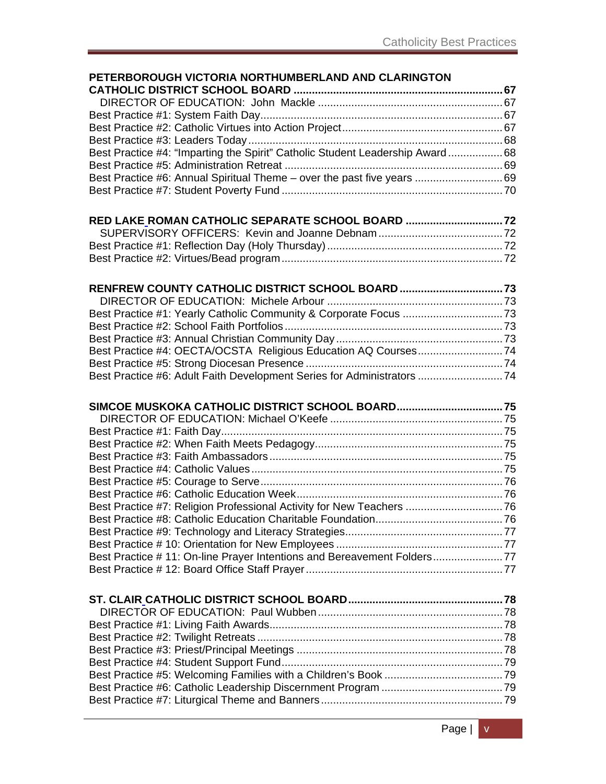| PETERBOROUGH VICTORIA NORTHUMBERLAND AND CLARINGTON                          |  |
|------------------------------------------------------------------------------|--|
|                                                                              |  |
|                                                                              |  |
|                                                                              |  |
|                                                                              |  |
|                                                                              |  |
| Best Practice #4: "Imparting the Spirit" Catholic Student Leadership Award68 |  |
|                                                                              |  |
| Best Practice #6: Annual Spiritual Theme - over the past five years  69      |  |
|                                                                              |  |
| RED LAKE ROMAN CATHOLIC SEPARATE SCHOOL BOARD  72                            |  |
|                                                                              |  |
|                                                                              |  |
|                                                                              |  |
| RENFREW COUNTY CATHOLIC DISTRICT SCHOOL BOARD73                              |  |
|                                                                              |  |
| Best Practice #1: Yearly Catholic Community & Corporate Focus 73             |  |
|                                                                              |  |
|                                                                              |  |
| Best Practice #4: OECTA/OCSTA Religious Education AQ Courses74               |  |
|                                                                              |  |
| Best Practice #6: Adult Faith Development Series for Administrators 74       |  |
|                                                                              |  |
| SIMCOE MUSKOKA CATHOLIC DISTRICT SCHOOL BOARD75                              |  |
|                                                                              |  |
|                                                                              |  |
|                                                                              |  |
|                                                                              |  |
|                                                                              |  |
|                                                                              |  |
|                                                                              |  |
| Best Practice #7: Religion Professional Activity for New Teachers 76         |  |
|                                                                              |  |
|                                                                              |  |
|                                                                              |  |
| Best Practice #11: On-line Prayer Intentions and Bereavement Folders77       |  |
|                                                                              |  |
|                                                                              |  |
|                                                                              |  |
|                                                                              |  |
|                                                                              |  |
|                                                                              |  |
|                                                                              |  |
|                                                                              |  |
|                                                                              |  |
|                                                                              |  |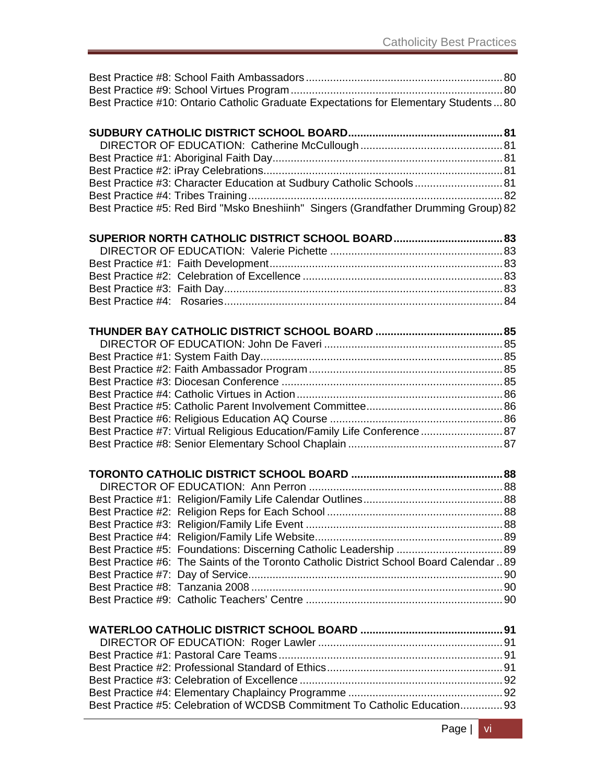|  | Best Practice #10: Ontario Catholic Graduate Expectations for Elementary Students80     |  |
|--|-----------------------------------------------------------------------------------------|--|
|  |                                                                                         |  |
|  |                                                                                         |  |
|  |                                                                                         |  |
|  |                                                                                         |  |
|  |                                                                                         |  |
|  | Best Practice #3: Character Education at Sudbury Catholic Schools 81                    |  |
|  |                                                                                         |  |
|  | Best Practice #5: Red Bird "Msko Bneshiinh" Singers (Grandfather Drumming Group) 82     |  |
|  |                                                                                         |  |
|  |                                                                                         |  |
|  |                                                                                         |  |
|  |                                                                                         |  |
|  |                                                                                         |  |
|  |                                                                                         |  |
|  |                                                                                         |  |
|  |                                                                                         |  |
|  |                                                                                         |  |
|  |                                                                                         |  |
|  |                                                                                         |  |
|  |                                                                                         |  |
|  |                                                                                         |  |
|  |                                                                                         |  |
|  |                                                                                         |  |
|  |                                                                                         |  |
|  |                                                                                         |  |
|  | Best Practice #7: Virtual Religious Education/Family Life Conference 87                 |  |
|  |                                                                                         |  |
|  |                                                                                         |  |
|  |                                                                                         |  |
|  |                                                                                         |  |
|  |                                                                                         |  |
|  |                                                                                         |  |
|  |                                                                                         |  |
|  |                                                                                         |  |
|  |                                                                                         |  |
|  | Best Practice #6: The Saints of the Toronto Catholic District School Board Calendar  89 |  |
|  |                                                                                         |  |
|  |                                                                                         |  |
|  |                                                                                         |  |
|  |                                                                                         |  |
|  |                                                                                         |  |
|  |                                                                                         |  |
|  |                                                                                         |  |
|  |                                                                                         |  |
|  |                                                                                         |  |
|  |                                                                                         |  |
|  | Best Practice #5: Celebration of WCDSB Commitment To Catholic Education93               |  |
|  |                                                                                         |  |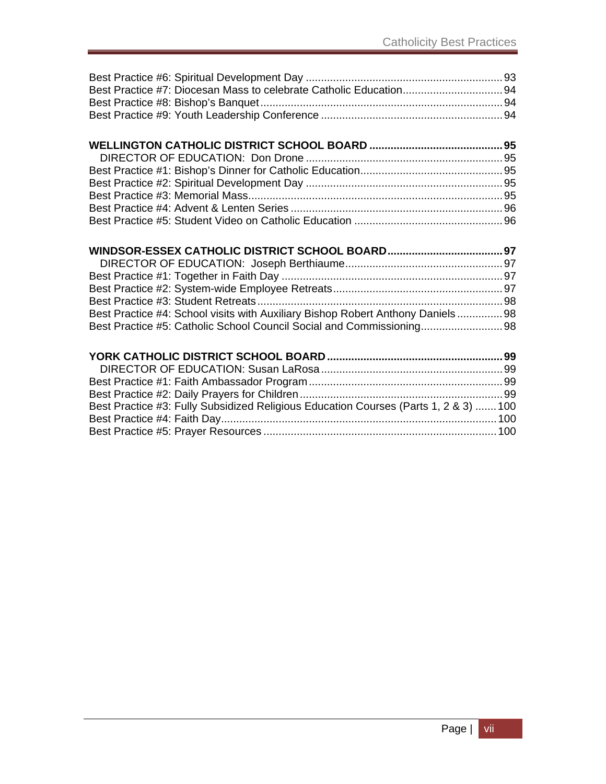#### **WELLINGTON CATHOLIC DISTRICT SCHOOL BOARD ............................................ 95** DIRECTOR OF EDUCATION: Don Drone ................................................................. 95 Best Practice #1: Bishop's Dinner for Catholic Education ............................................... 95 Best Practice #2: Spiritual Development Day ................................................................. 95 Best Practice #3: Memorial Mass .................................................................................... 95 Best Practice #4: Advent & Lenten Series ...................................................................... 96 Best Practice #5: Student Video on Catholic Education ................................................. 96

| Best Practice #4: School visits with Auxiliary Bishop Robert Anthony Daniels98 |  |
|--------------------------------------------------------------------------------|--|
| Best Practice #5: Catholic School Council Social and Commissioning 98          |  |

| Best Practice #3: Fully Subsidized Religious Education Courses (Parts 1, 2 & 3)  100 |  |
|--------------------------------------------------------------------------------------|--|
|                                                                                      |  |
|                                                                                      |  |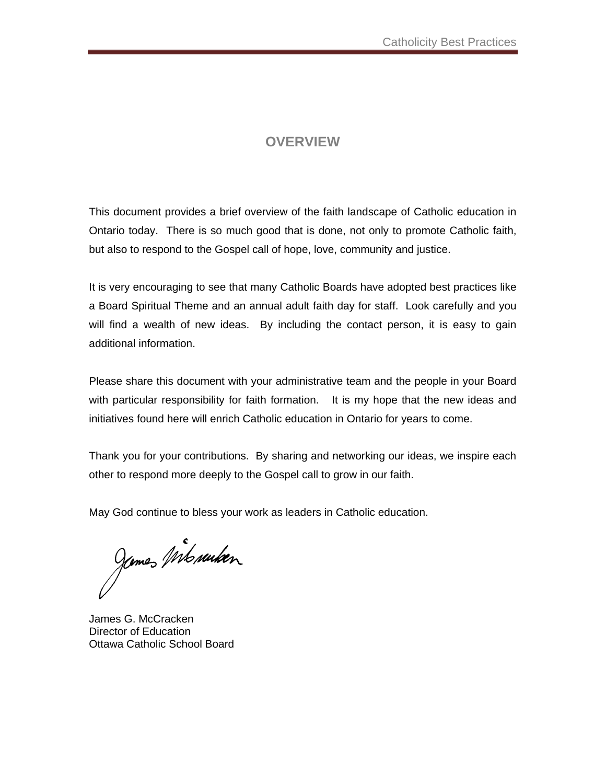#### **OVERVIEW**

This document provides a brief overview of the faith landscape of Catholic education in Ontario today. There is so much good that is done, not only to promote Catholic faith, but also to respond to the Gospel call of hope, love, community and justice.

It is very encouraging to see that many Catholic Boards have adopted best practices like a Board Spiritual Theme and an annual adult faith day for staff. Look carefully and you will find a wealth of new ideas. By including the contact person, it is easy to gain additional information.

Please share this document with your administrative team and the people in your Board with particular responsibility for faith formation. It is my hope that the new ideas and initiatives found here will enrich Catholic education in Ontario for years to come.

Thank you for your contributions. By sharing and networking our ideas, we inspire each other to respond more deeply to the Gospel call to grow in our faith.

May God continue to bless your work as leaders in Catholic education.

Jemes Mb suiten

James G. McCracken Director of Education Ottawa Catholic School Board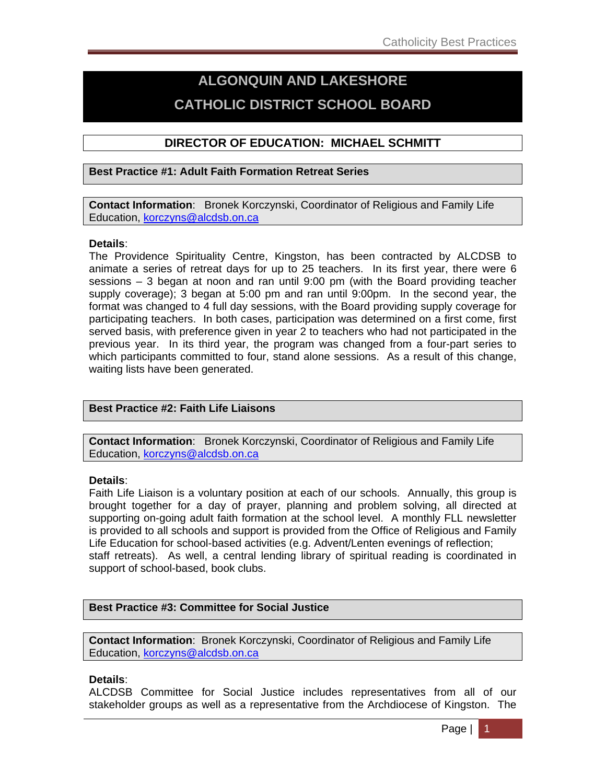# **ALGONQUIN AND LAKESHORE CATHOLIC DISTRICT SCHOOL BOARD**

#### **DIRECTOR OF EDUCATION: MICHAEL SCHMITT**

#### **Best Practice #1: Adult Faith Formation Retreat Series**

**Contact Information**: Bronek Korczynski, Coordinator of Religious and Family Life Education, korczyns@alcdsb.on.ca

#### **Details**:

The Providence Spirituality Centre, Kingston, has been contracted by ALCDSB to animate a series of retreat days for up to 25 teachers. In its first year, there were 6 sessions – 3 began at noon and ran until 9:00 pm (with the Board providing teacher supply coverage); 3 began at 5:00 pm and ran until 9:00pm. In the second year, the format was changed to 4 full day sessions, with the Board providing supply coverage for participating teachers. In both cases, participation was determined on a first come, first served basis, with preference given in year 2 to teachers who had not participated in the previous year. In its third year, the program was changed from a four-part series to which participants committed to four, stand alone sessions. As a result of this change, waiting lists have been generated.

#### **Best Practice #2: Faith Life Liaisons**

**Contact Information**: Bronek Korczynski, Coordinator of Religious and Family Life Education, korczyns@alcdsb.on.ca

#### **Details**:

Faith Life Liaison is a voluntary position at each of our schools. Annually, this group is brought together for a day of prayer, planning and problem solving, all directed at supporting on-going adult faith formation at the school level. A monthly FLL newsletter is provided to all schools and support is provided from the Office of Religious and Family Life Education for school-based activities (e.g. Advent/Lenten evenings of reflection; staff retreats). As well, a central lending library of spiritual reading is coordinated in support of school-based, book clubs.

#### **Best Practice #3: Committee for Social Justice**

**Contact Information**: Bronek Korczynski, Coordinator of Religious and Family Life Education, korczyns@alcdsb.on.ca

#### **Details**:

ALCDSB Committee for Social Justice includes representatives from all of our stakeholder groups as well as a representative from the Archdiocese of Kingston. The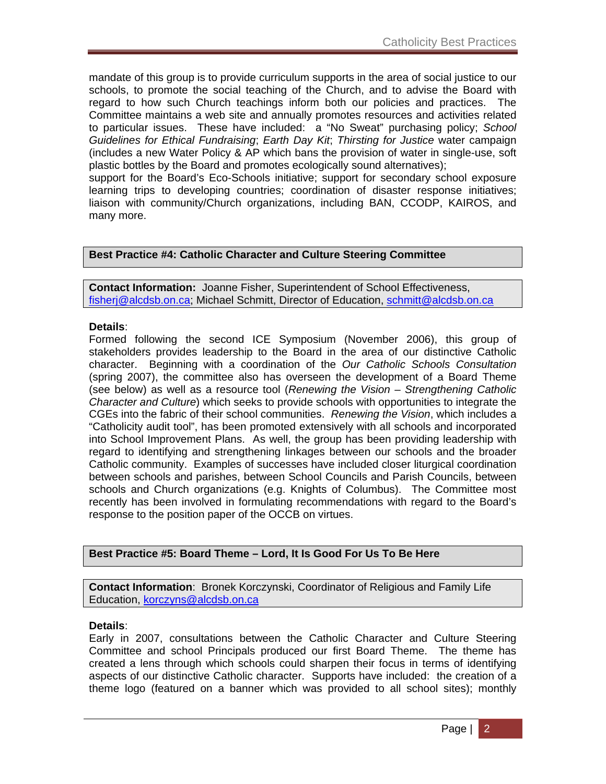mandate of this group is to provide curriculum supports in the area of social justice to our schools, to promote the social teaching of the Church, and to advise the Board with regard to how such Church teachings inform both our policies and practices. The Committee maintains a web site and annually promotes resources and activities related to particular issues. These have included: a "No Sweat" purchasing policy; *School Guidelines for Ethical Fundraising*; *Earth Day Kit*; *Thirsting for Justice* water campaign (includes a new Water Policy & AP which bans the provision of water in single-use, soft plastic bottles by the Board and promotes ecologically sound alternatives);

support for the Board's Eco-Schools initiative; support for secondary school exposure learning trips to developing countries; coordination of disaster response initiatives; liaison with community/Church organizations, including BAN, CCODP, KAIROS, and many more.

#### **Best Practice #4: Catholic Character and Culture Steering Committee**

**Contact Information:** Joanne Fisher, Superintendent of School Effectiveness, fisherj@alcdsb.on.ca; Michael Schmitt, Director of Education, schmitt@alcdsb.on.ca

#### **Details**:

Formed following the second ICE Symposium (November 2006), this group of stakeholders provides leadership to the Board in the area of our distinctive Catholic character. Beginning with a coordination of the *Our Catholic Schools Consultation* (spring 2007), the committee also has overseen the development of a Board Theme (see below) as well as a resource tool (*Renewing the Vision – Strengthening Catholic Character and Culture*) which seeks to provide schools with opportunities to integrate the CGEs into the fabric of their school communities. *Renewing the Vision*, which includes a "Catholicity audit tool", has been promoted extensively with all schools and incorporated into School Improvement Plans. As well, the group has been providing leadership with regard to identifying and strengthening linkages between our schools and the broader Catholic community. Examples of successes have included closer liturgical coordination between schools and parishes, between School Councils and Parish Councils, between schools and Church organizations (e.g. Knights of Columbus). The Committee most recently has been involved in formulating recommendations with regard to the Board's response to the position paper of the OCCB on virtues.

**Best Practice #5: Board Theme – Lord, It Is Good For Us To Be Here** 

**Contact Information**: Bronek Korczynski, Coordinator of Religious and Family Life Education, korczyns@alcdsb.on.ca

#### **Details**:

Early in 2007, consultations between the Catholic Character and Culture Steering Committee and school Principals produced our first Board Theme. The theme has created a lens through which schools could sharpen their focus in terms of identifying aspects of our distinctive Catholic character. Supports have included: the creation of a theme logo (featured on a banner which was provided to all school sites); monthly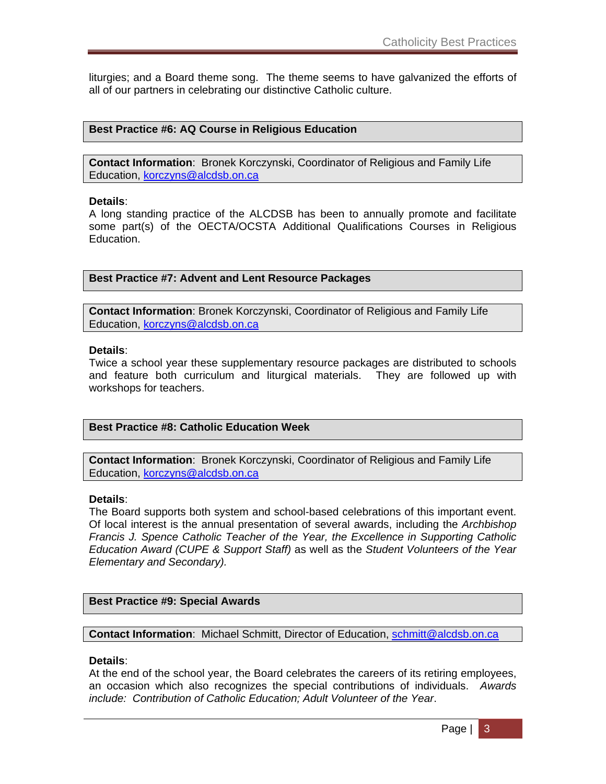liturgies; and a Board theme song. The theme seems to have galvanized the efforts of all of our partners in celebrating our distinctive Catholic culture.

#### **Best Practice #6: AQ Course in Religious Education**

**Contact Information**: Bronek Korczynski, Coordinator of Religious and Family Life Education, korczyns@alcdsb.on.ca

#### **Details**:

A long standing practice of the ALCDSB has been to annually promote and facilitate some part(s) of the OECTA/OCSTA Additional Qualifications Courses in Religious Education.

**Best Practice #7: Advent and Lent Resource Packages** 

**Contact Information**: Bronek Korczynski, Coordinator of Religious and Family Life Education, korczyns@alcdsb.on.ca

#### **Details**:

Twice a school year these supplementary resource packages are distributed to schools and feature both curriculum and liturgical materials. They are followed up with workshops for teachers.

#### **Best Practice #8: Catholic Education Week**

**Contact Information**: Bronek Korczynski, Coordinator of Religious and Family Life Education, korczyns@alcdsb.on.ca

#### **Details**:

The Board supports both system and school-based celebrations of this important event. Of local interest is the annual presentation of several awards, including the *Archbishop Francis J. Spence Catholic Teacher of the Year, the Excellence in Supporting Catholic Education Award (CUPE & Support Staff)* as well as the *Student Volunteers of the Year Elementary and Secondary).*

#### **Best Practice #9: Special Awards**

**Contact Information**: Michael Schmitt, Director of Education, schmitt@alcdsb.on.ca

#### **Details**:

At the end of the school year, the Board celebrates the careers of its retiring employees, an occasion which also recognizes the special contributions of individuals. *Awards include: Contribution of Catholic Education; Adult Volunteer of the Year*.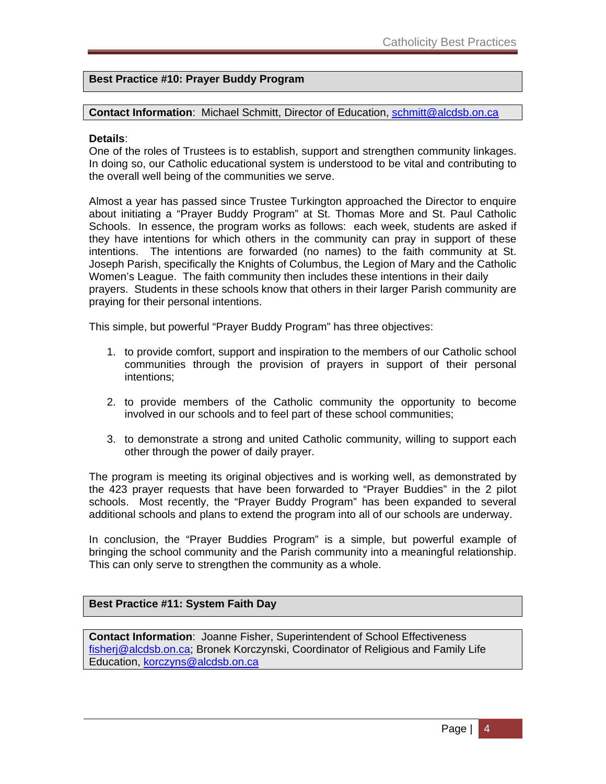#### **Best Practice #10: Prayer Buddy Program**

**Contact Information**: Michael Schmitt, Director of Education, schmitt@alcdsb.on.ca

#### **Details**:

One of the roles of Trustees is to establish, support and strengthen community linkages. In doing so, our Catholic educational system is understood to be vital and contributing to the overall well being of the communities we serve.

Almost a year has passed since Trustee Turkington approached the Director to enquire about initiating a "Prayer Buddy Program" at St. Thomas More and St. Paul Catholic Schools. In essence, the program works as follows: each week, students are asked if they have intentions for which others in the community can pray in support of these intentions. The intentions are forwarded (no names) to the faith community at St. Joseph Parish, specifically the Knights of Columbus, the Legion of Mary and the Catholic Women's League. The faith community then includes these intentions in their daily prayers. Students in these schools know that others in their larger Parish community are praying for their personal intentions.

This simple, but powerful "Prayer Buddy Program" has three objectives:

- 1. to provide comfort, support and inspiration to the members of our Catholic school communities through the provision of prayers in support of their personal intentions;
- 2. to provide members of the Catholic community the opportunity to become involved in our schools and to feel part of these school communities;
- 3. to demonstrate a strong and united Catholic community, willing to support each other through the power of daily prayer.

The program is meeting its original objectives and is working well, as demonstrated by the 423 prayer requests that have been forwarded to "Prayer Buddies" in the 2 pilot schools. Most recently, the "Prayer Buddy Program" has been expanded to several additional schools and plans to extend the program into all of our schools are underway.

In conclusion, the "Prayer Buddies Program" is a simple, but powerful example of bringing the school community and the Parish community into a meaningful relationship. This can only serve to strengthen the community as a whole.

#### **Best Practice #11: System Faith Day**

**Contact Information**: Joanne Fisher, Superintendent of School Effectiveness fisherj@alcdsb.on.ca; Bronek Korczynski, Coordinator of Religious and Family Life Education, korczyns@alcdsb.on.ca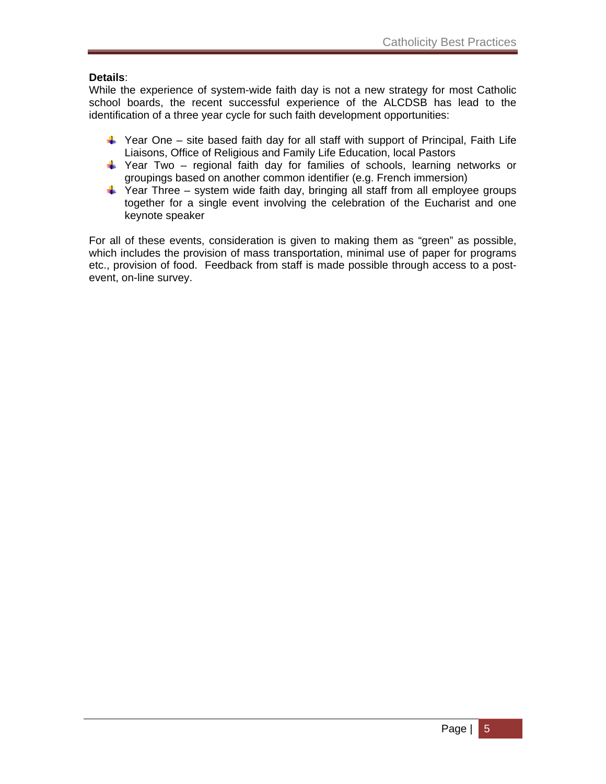#### **Details**:

While the experience of system-wide faith day is not a new strategy for most Catholic school boards, the recent successful experience of the ALCDSB has lead to the identification of a three year cycle for such faith development opportunities:

- $\frac{1}{2}$  Year One site based faith day for all staff with support of Principal, Faith Life Liaisons, Office of Religious and Family Life Education, local Pastors
- $\ddot{+}$  Year Two regional faith day for families of schools, learning networks or groupings based on another common identifier (e.g. French immersion)
- $\ddot{\phantom{1}}$  Year Three system wide faith day, bringing all staff from all employee groups together for a single event involving the celebration of the Eucharist and one keynote speaker

For all of these events, consideration is given to making them as "green" as possible, which includes the provision of mass transportation, minimal use of paper for programs etc., provision of food. Feedback from staff is made possible through access to a postevent, on-line survey.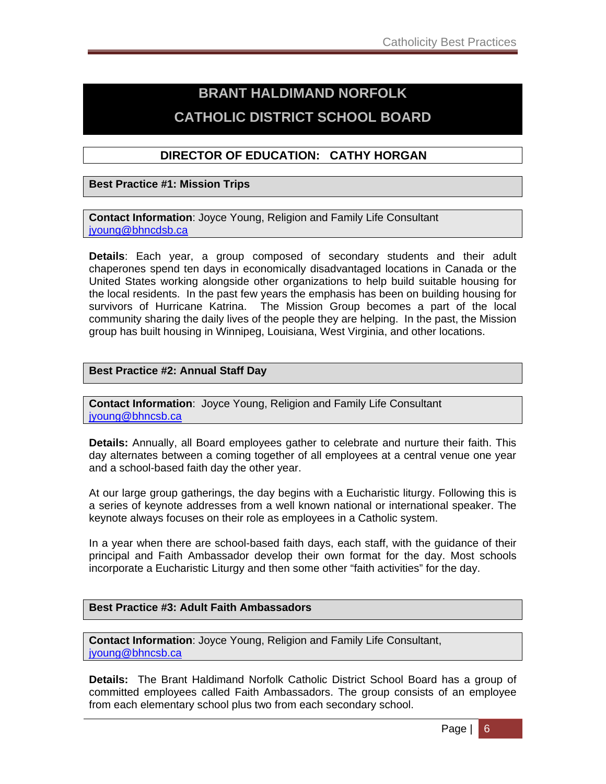# **BRANT HALDIMAND NORFOLK CATHOLIC DISTRICT SCHOOL BOARD**

#### **DIRECTOR OF EDUCATION: CATHY HORGAN**

#### **Best Practice #1: Mission Trips**

**Contact Information**: Joyce Young, Religion and Family Life Consultant jyoung@bhncdsb.ca

**Details**: Each year, a group composed of secondary students and their adult chaperones spend ten days in economically disadvantaged locations in Canada or the United States working alongside other organizations to help build suitable housing for the local residents. In the past few years the emphasis has been on building housing for survivors of Hurricane Katrina. The Mission Group becomes a part of the local community sharing the daily lives of the people they are helping. In the past, the Mission group has built housing in Winnipeg, Louisiana, West Virginia, and other locations.

#### **Best Practice #2: Annual Staff Day**

**Contact Information**: Joyce Young, Religion and Family Life Consultant jyoung@bhncsb.ca

**Details:** Annually, all Board employees gather to celebrate and nurture their faith. This day alternates between a coming together of all employees at a central venue one year and a school-based faith day the other year.

At our large group gatherings, the day begins with a Eucharistic liturgy. Following this is a series of keynote addresses from a well known national or international speaker. The keynote always focuses on their role as employees in a Catholic system.

In a year when there are school-based faith days, each staff, with the guidance of their principal and Faith Ambassador develop their own format for the day. Most schools incorporate a Eucharistic Liturgy and then some other "faith activities" for the day.

#### **Best Practice #3: Adult Faith Ambassadors**

**Contact Information**: Joyce Young, Religion and Family Life Consultant, jyoung@bhncsb.ca

**Details:** The Brant Haldimand Norfolk Catholic District School Board has a group of committed employees called Faith Ambassadors. The group consists of an employee from each elementary school plus two from each secondary school.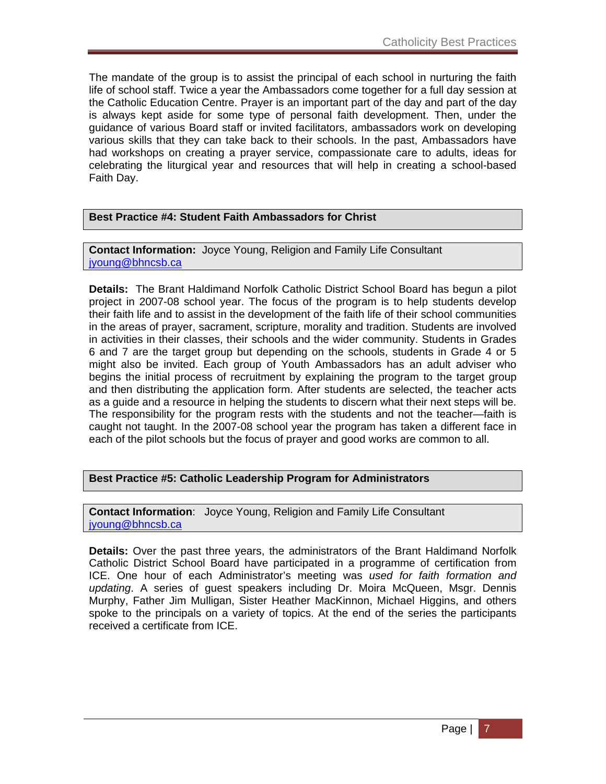The mandate of the group is to assist the principal of each school in nurturing the faith life of school staff. Twice a year the Ambassadors come together for a full day session at the Catholic Education Centre. Prayer is an important part of the day and part of the day is always kept aside for some type of personal faith development. Then, under the guidance of various Board staff or invited facilitators, ambassadors work on developing various skills that they can take back to their schools. In the past, Ambassadors have had workshops on creating a prayer service, compassionate care to adults, ideas for celebrating the liturgical year and resources that will help in creating a school-based Faith Day.

#### **Best Practice #4: Student Faith Ambassadors for Christ**

**Contact Information:** Joyce Young, Religion and Family Life Consultant jyoung@bhncsb.ca

**Details:** The Brant Haldimand Norfolk Catholic District School Board has begun a pilot project in 2007-08 school year. The focus of the program is to help students develop their faith life and to assist in the development of the faith life of their school communities in the areas of prayer, sacrament, scripture, morality and tradition. Students are involved in activities in their classes, their schools and the wider community. Students in Grades 6 and 7 are the target group but depending on the schools, students in Grade 4 or 5 might also be invited. Each group of Youth Ambassadors has an adult adviser who begins the initial process of recruitment by explaining the program to the target group and then distributing the application form. After students are selected, the teacher acts as a guide and a resource in helping the students to discern what their next steps will be. The responsibility for the program rests with the students and not the teacher—faith is caught not taught. In the 2007-08 school year the program has taken a different face in each of the pilot schools but the focus of prayer and good works are common to all.

#### **Best Practice #5: Catholic Leadership Program for Administrators**

**Contact Information**: Joyce Young, Religion and Family Life Consultant jyoung@bhncsb.ca

**Details:** Over the past three years, the administrators of the Brant Haldimand Norfolk Catholic District School Board have participated in a programme of certification from ICE. One hour of each Administrator's meeting was *used for faith formation and updating*. A series of guest speakers including Dr. Moira McQueen, Msgr. Dennis Murphy, Father Jim Mulligan, Sister Heather MacKinnon, Michael Higgins, and others spoke to the principals on a variety of topics. At the end of the series the participants received a certificate from ICE.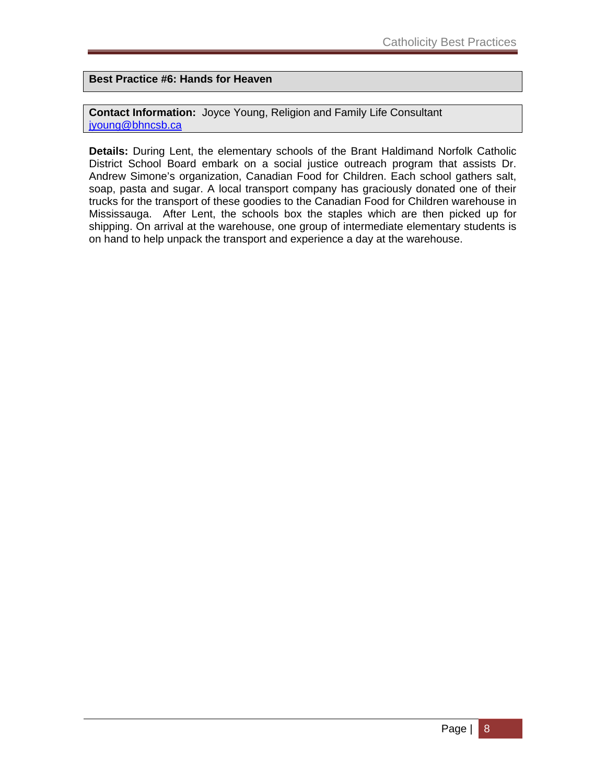**Best Practice #6: Hands for Heaven** 

**Contact Information:** Joyce Young, Religion and Family Life Consultant jyoung@bhncsb.ca

**Details:** During Lent, the elementary schools of the Brant Haldimand Norfolk Catholic District School Board embark on a social justice outreach program that assists Dr. Andrew Simone's organization, Canadian Food for Children. Each school gathers salt, soap, pasta and sugar. A local transport company has graciously donated one of their trucks for the transport of these goodies to the Canadian Food for Children warehouse in Mississauga. After Lent, the schools box the staples which are then picked up for shipping. On arrival at the warehouse, one group of intermediate elementary students is on hand to help unpack the transport and experience a day at the warehouse.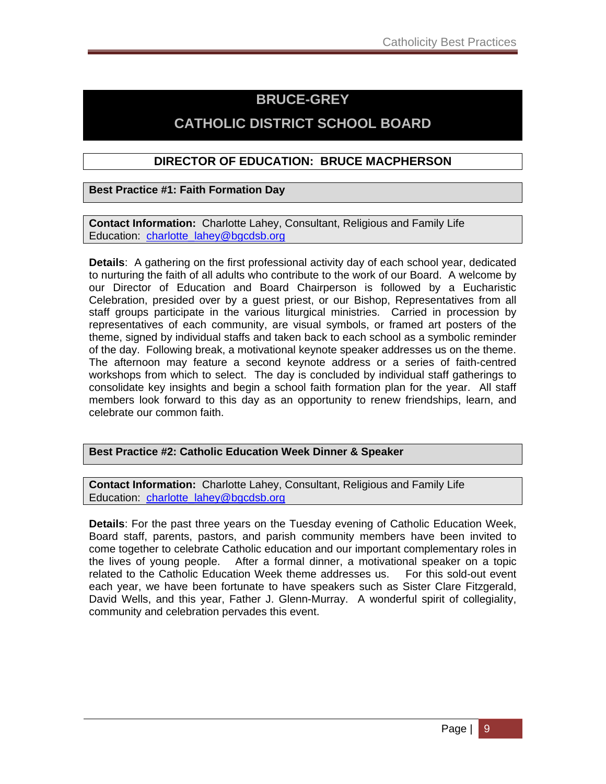# **BRUCE-GREY**

# **CATHOLIC DISTRICT SCHOOL BOARD**

#### **DIRECTOR OF EDUCATION: BRUCE MACPHERSON**

**Best Practice #1: Faith Formation Day**

**Contact Information:** Charlotte Lahey, Consultant, Religious and Family Life Education: charlotte\_lahey@bgcdsb.org

**Details**: A gathering on the first professional activity day of each school year, dedicated to nurturing the faith of all adults who contribute to the work of our Board. A welcome by our Director of Education and Board Chairperson is followed by a Eucharistic Celebration, presided over by a guest priest, or our Bishop, Representatives from all staff groups participate in the various liturgical ministries. Carried in procession by representatives of each community, are visual symbols, or framed art posters of the theme, signed by individual staffs and taken back to each school as a symbolic reminder of the day. Following break, a motivational keynote speaker addresses us on the theme. The afternoon may feature a second keynote address or a series of faith-centred workshops from which to select. The day is concluded by individual staff gatherings to consolidate key insights and begin a school faith formation plan for the year. All staff members look forward to this day as an opportunity to renew friendships, learn, and celebrate our common faith.

**Best Practice #2: Catholic Education Week Dinner & Speaker** 

**Contact Information:** Charlotte Lahey, Consultant, Religious and Family Life Education: charlotte\_lahey@bgcdsb.org

**Details**: For the past three years on the Tuesday evening of Catholic Education Week, Board staff, parents, pastors, and parish community members have been invited to come together to celebrate Catholic education and our important complementary roles in the lives of young people. After a formal dinner, a motivational speaker on a topic related to the Catholic Education Week theme addresses us. For this sold-out event each year, we have been fortunate to have speakers such as Sister Clare Fitzgerald, David Wells, and this year, Father J. Glenn-Murray. A wonderful spirit of collegiality, community and celebration pervades this event.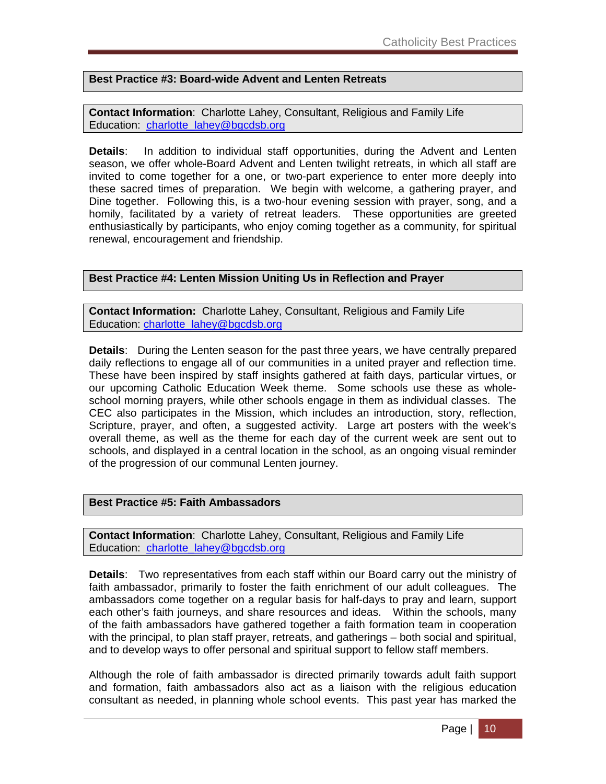#### **Best Practice #3: Board-wide Advent and Lenten Retreats**

**Contact Information**: Charlotte Lahey, Consultant, Religious and Family Life Education: charlotte\_lahey@bgcdsb.org

**Details**: In addition to individual staff opportunities, during the Advent and Lenten season, we offer whole-Board Advent and Lenten twilight retreats, in which all staff are invited to come together for a one, or two-part experience to enter more deeply into these sacred times of preparation. We begin with welcome, a gathering prayer, and Dine together. Following this, is a two-hour evening session with prayer, song, and a homily, facilitated by a variety of retreat leaders. These opportunities are greeted enthusiastically by participants, who enjoy coming together as a community, for spiritual renewal, encouragement and friendship.

#### **Best Practice #4: Lenten Mission Uniting Us in Reflection and Prayer**

**Contact Information:** Charlotte Lahey, Consultant, Religious and Family Life Education: charlotte\_lahey@bgcdsb.org

**Details**: During the Lenten season for the past three years, we have centrally prepared daily reflections to engage all of our communities in a united prayer and reflection time. These have been inspired by staff insights gathered at faith days, particular virtues, or our upcoming Catholic Education Week theme. Some schools use these as wholeschool morning prayers, while other schools engage in them as individual classes. The CEC also participates in the Mission, which includes an introduction, story, reflection, Scripture, prayer, and often, a suggested activity. Large art posters with the week's overall theme, as well as the theme for each day of the current week are sent out to schools, and displayed in a central location in the school, as an ongoing visual reminder of the progression of our communal Lenten journey.

#### **Best Practice #5: Faith Ambassadors**

**Contact Information**: Charlotte Lahey, Consultant, Religious and Family Life Education: charlotte\_lahey@bgcdsb.org

**Details**: Two representatives from each staff within our Board carry out the ministry of faith ambassador, primarily to foster the faith enrichment of our adult colleagues. The ambassadors come together on a regular basis for half-days to pray and learn, support each other's faith journeys, and share resources and ideas. Within the schools, many of the faith ambassadors have gathered together a faith formation team in cooperation with the principal, to plan staff prayer, retreats, and gatherings – both social and spiritual, and to develop ways to offer personal and spiritual support to fellow staff members.

Although the role of faith ambassador is directed primarily towards adult faith support and formation, faith ambassadors also act as a liaison with the religious education consultant as needed, in planning whole school events. This past year has marked the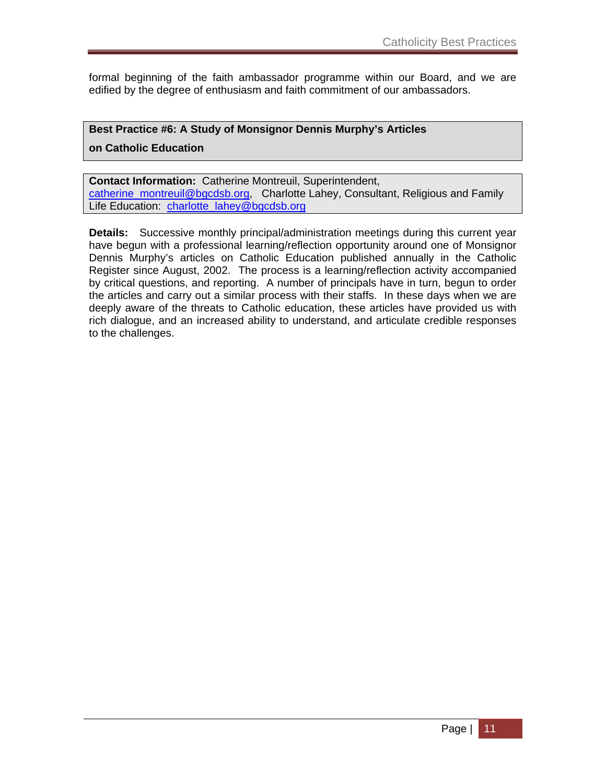formal beginning of the faith ambassador programme within our Board, and we are edified by the degree of enthusiasm and faith commitment of our ambassadors.

#### **Best Practice #6: A Study of Monsignor Dennis Murphy's Articles**

**on Catholic Education** 

**Contact Information:** Catherine Montreuil, Superintendent, catherine\_montreuil@bgcdsb.org, Charlotte Lahey, Consultant, Religious and Family Life Education: charlotte\_lahey@bgcdsb.org

**Details:** Successive monthly principal/administration meetings during this current year have begun with a professional learning/reflection opportunity around one of Monsignor Dennis Murphy's articles on Catholic Education published annually in the Catholic Register since August, 2002. The process is a learning/reflection activity accompanied by critical questions, and reporting. A number of principals have in turn, begun to order the articles and carry out a similar process with their staffs. In these days when we are deeply aware of the threats to Catholic education, these articles have provided us with rich dialogue, and an increased ability to understand, and articulate credible responses to the challenges.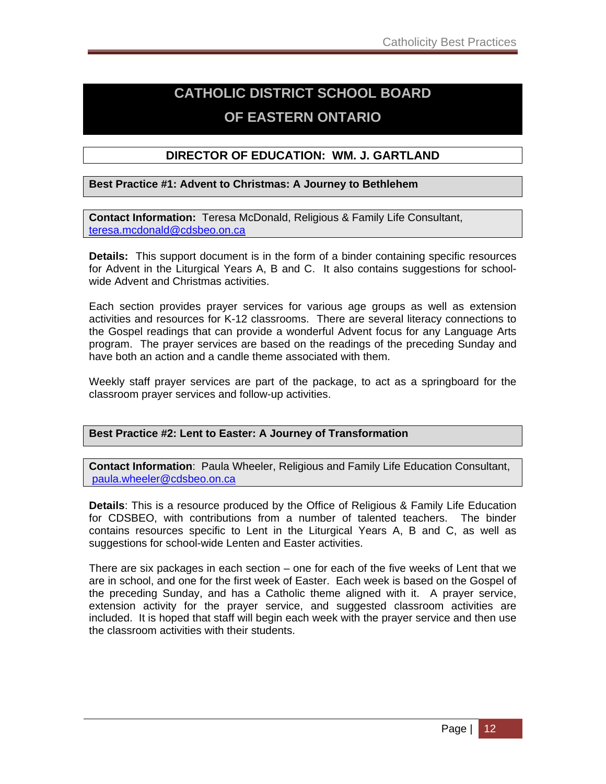# **CATHOLIC DISTRICT SCHOOL BOARD OF EASTERN ONTARIO**

#### **DIRECTOR OF EDUCATION: WM. J. GARTLAND**

#### **Best Practice #1: Advent to Christmas: A Journey to Bethlehem**

**Contact Information:** Teresa McDonald, Religious & Family Life Consultant, teresa.mcdonald@cdsbeo.on.ca

**Details:** This support document is in the form of a binder containing specific resources for Advent in the Liturgical Years A, B and C. It also contains suggestions for schoolwide Advent and Christmas activities.

Each section provides prayer services for various age groups as well as extension activities and resources for K-12 classrooms. There are several literacy connections to the Gospel readings that can provide a wonderful Advent focus for any Language Arts program. The prayer services are based on the readings of the preceding Sunday and have both an action and a candle theme associated with them.

Weekly staff prayer services are part of the package, to act as a springboard for the classroom prayer services and follow-up activities.

#### **Best Practice #2: Lent to Easter: A Journey of Transformation**

**Contact Information**: Paula Wheeler, Religious and Family Life Education Consultant, paula.wheeler@cdsbeo.on.ca

**Details**: This is a resource produced by the Office of Religious & Family Life Education for CDSBEO, with contributions from a number of talented teachers. The binder contains resources specific to Lent in the Liturgical Years A, B and C, as well as suggestions for school-wide Lenten and Easter activities.

There are six packages in each section – one for each of the five weeks of Lent that we are in school, and one for the first week of Easter. Each week is based on the Gospel of the preceding Sunday, and has a Catholic theme aligned with it. A prayer service, extension activity for the prayer service, and suggested classroom activities are included. It is hoped that staff will begin each week with the prayer service and then use the classroom activities with their students.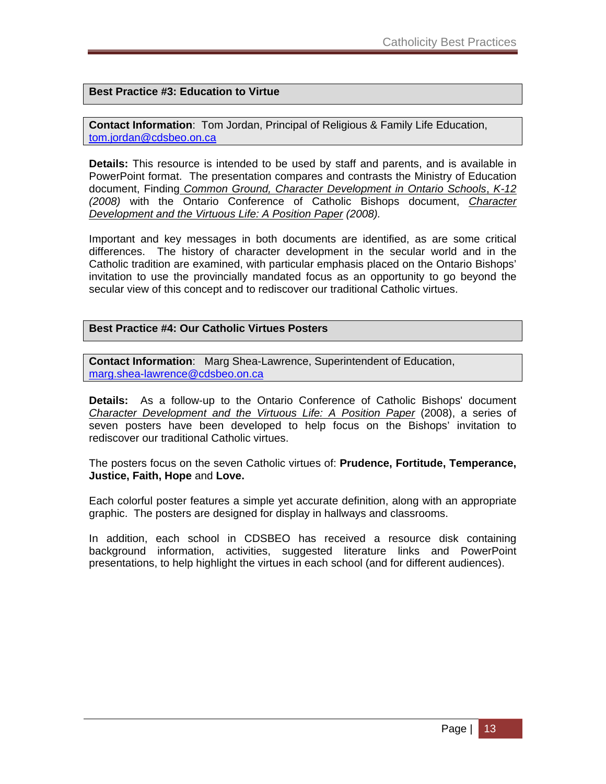#### **Best Practice #3: Education to Virtue**

**Contact Information**: Tom Jordan, Principal of Religious & Family Life Education, tom.jordan@cdsbeo.on.ca

**Details:** This resource is intended to be used by staff and parents, and is available in PowerPoint format. The presentation compares and contrasts the Ministry of Education document, Finding *Common Ground, Character Development in Ontario Schools*, *K-12 (2008)* with the Ontario Conference of Catholic Bishops document, *Character Development and the Virtuous Life: A Position Paper (2008).* 

Important and key messages in both documents are identified, as are some critical differences. The history of character development in the secular world and in the Catholic tradition are examined, with particular emphasis placed on the Ontario Bishops' invitation to use the provincially mandated focus as an opportunity to go beyond the secular view of this concept and to rediscover our traditional Catholic virtues.

#### **Best Practice #4: Our Catholic Virtues Posters**

**Contact Information**: Marg Shea-Lawrence, Superintendent of Education, marg.shea-lawrence@cdsbeo.on.ca

**Details:** As a follow-up to the Ontario Conference of Catholic Bishops' document *Character Development and the Virtuous Life: A Position Paper* (2008), a series of seven posters have been developed to help focus on the Bishops' invitation to rediscover our traditional Catholic virtues.

The posters focus on the seven Catholic virtues of: **Prudence, Fortitude, Temperance, Justice, Faith, Hope** and **Love.** 

Each colorful poster features a simple yet accurate definition, along with an appropriate graphic. The posters are designed for display in hallways and classrooms.

In addition, each school in CDSBEO has received a resource disk containing background information, activities, suggested literature links and PowerPoint presentations, to help highlight the virtues in each school (and for different audiences).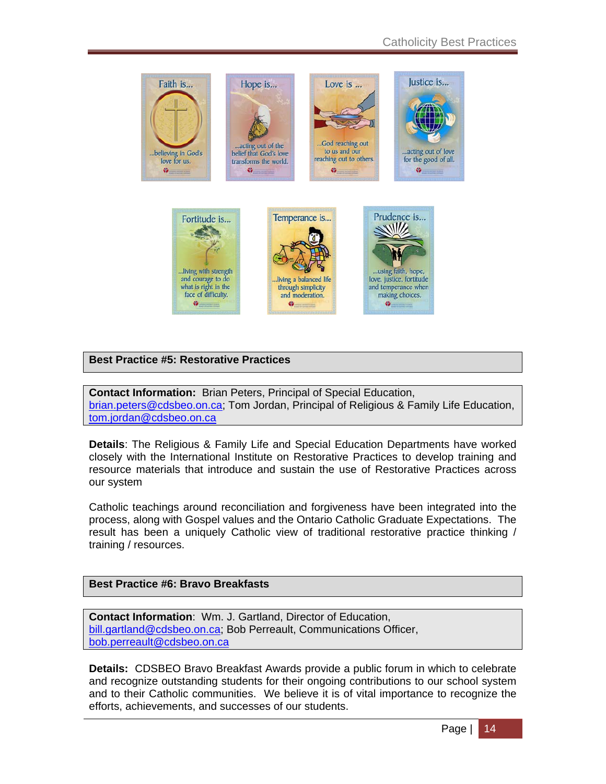

#### **Best Practice #5: Restorative Practices**

**Contact Information:** Brian Peters, Principal of Special Education, brian.peters@cdsbeo.on.ca; Tom Jordan, Principal of Religious & Family Life Education, tom.jordan@cdsbeo.on.ca

**Details**: The Religious & Family Life and Special Education Departments have worked closely with the International Institute on Restorative Practices to develop training and resource materials that introduce and sustain the use of Restorative Practices across our system

Catholic teachings around reconciliation and forgiveness have been integrated into the process, along with Gospel values and the Ontario Catholic Graduate Expectations. The result has been a uniquely Catholic view of traditional restorative practice thinking / training / resources.

#### **Best Practice #6: Bravo Breakfasts**

**Contact Information**: Wm. J. Gartland, Director of Education, bill.gartland@cdsbeo.on.ca; Bob Perreault, Communications Officer, bob.perreault@cdsbeo.on.ca

**Details:** CDSBEO Bravo Breakfast Awards provide a public forum in which to celebrate and recognize outstanding students for their ongoing contributions to our school system and to their Catholic communities. We believe it is of vital importance to recognize the efforts, achievements, and successes of our students.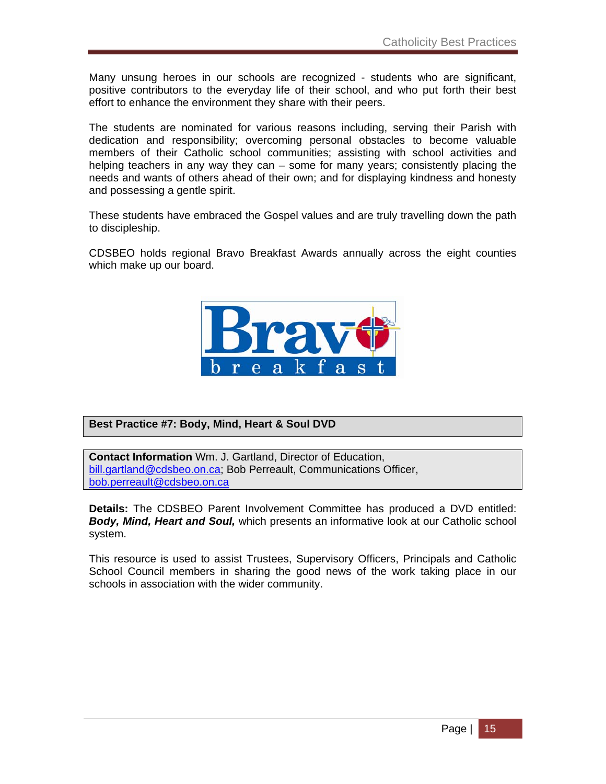Many unsung heroes in our schools are recognized - students who are significant, positive contributors to the everyday life of their school, and who put forth their best effort to enhance the environment they share with their peers.

The students are nominated for various reasons including, serving their Parish with dedication and responsibility; overcoming personal obstacles to become valuable members of their Catholic school communities; assisting with school activities and helping teachers in any way they can – some for many years; consistently placing the needs and wants of others ahead of their own; and for displaying kindness and honesty and possessing a gentle spirit.

These students have embraced the Gospel values and are truly travelling down the path to discipleship.

CDSBEO holds regional Bravo Breakfast Awards annually across the eight counties which make up our board.



#### **Best Practice #7: Body, Mind, Heart & Soul DVD**

**Contact Information** Wm. J. Gartland, Director of Education, bill.gartland@cdsbeo.on.ca; Bob Perreault, Communications Officer, bob.perreault@cdsbeo.on.ca

**Details:** The CDSBEO Parent Involvement Committee has produced a DVD entitled: *Body, Mind, Heart and Soul,* which presents an informative look at our Catholic school system.

This resource is used to assist Trustees, Supervisory Officers, Principals and Catholic School Council members in sharing the good news of the work taking place in our schools in association with the wider community.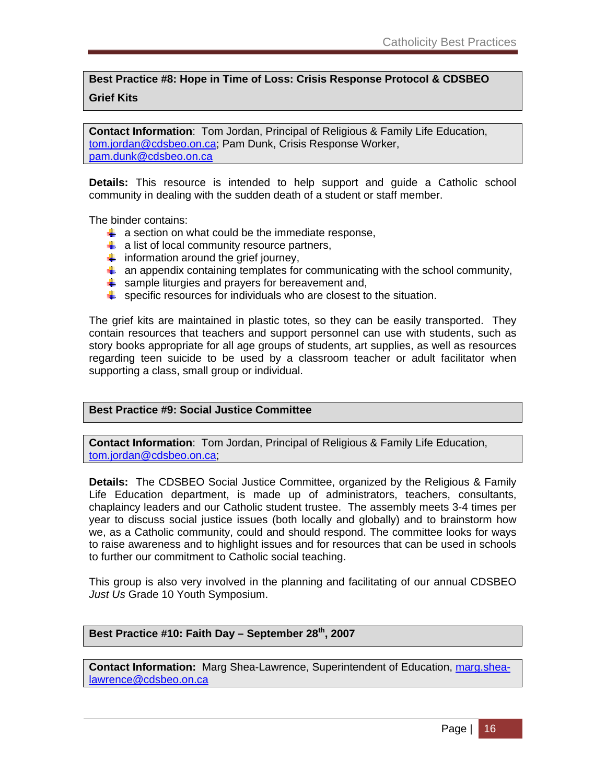#### **Best Practice #8: Hope in Time of Loss: Crisis Response Protocol & CDSBEO Grief Kits**

**Contact Information**: Tom Jordan, Principal of Religious & Family Life Education, tom.jordan@cdsbeo.on.ca; Pam Dunk, Crisis Response Worker, pam.dunk@cdsbeo.on.ca

**Details:** This resource is intended to help support and guide a Catholic school community in dealing with the sudden death of a student or staff member.

The binder contains:

- $\uparrow$  a section on what could be the immediate response,
- $\frac{1}{2}$  a list of local community resource partners,
- $\frac{1}{\sqrt{2}}$  information around the grief journey,
- $\ddot{\bullet}$  an appendix containing templates for communicating with the school community,
- $\frac{1}{2}$  sample liturgies and prayers for bereavement and,
- $\frac{1}{2}$  specific resources for individuals who are closest to the situation.

The grief kits are maintained in plastic totes, so they can be easily transported. They contain resources that teachers and support personnel can use with students, such as story books appropriate for all age groups of students, art supplies, as well as resources regarding teen suicide to be used by a classroom teacher or adult facilitator when supporting a class, small group or individual.

#### **Best Practice #9: Social Justice Committee**

**Contact Information**: Tom Jordan, Principal of Religious & Family Life Education, tom.jordan@cdsbeo.on.ca;

**Details:** The CDSBEO Social Justice Committee, organized by the Religious & Family Life Education department, is made up of administrators, teachers, consultants, chaplaincy leaders and our Catholic student trustee. The assembly meets 3-4 times per year to discuss social justice issues (both locally and globally) and to brainstorm how we, as a Catholic community, could and should respond. The committee looks for ways to raise awareness and to highlight issues and for resources that can be used in schools to further our commitment to Catholic social teaching.

This group is also very involved in the planning and facilitating of our annual CDSBEO *Just Us* Grade 10 Youth Symposium.

#### **Best Practice #10: Faith Day – September 28th, 2007**

**Contact Information:** Marg Shea-Lawrence, Superintendent of Education, marg.shealawrence@cdsbeo.on.ca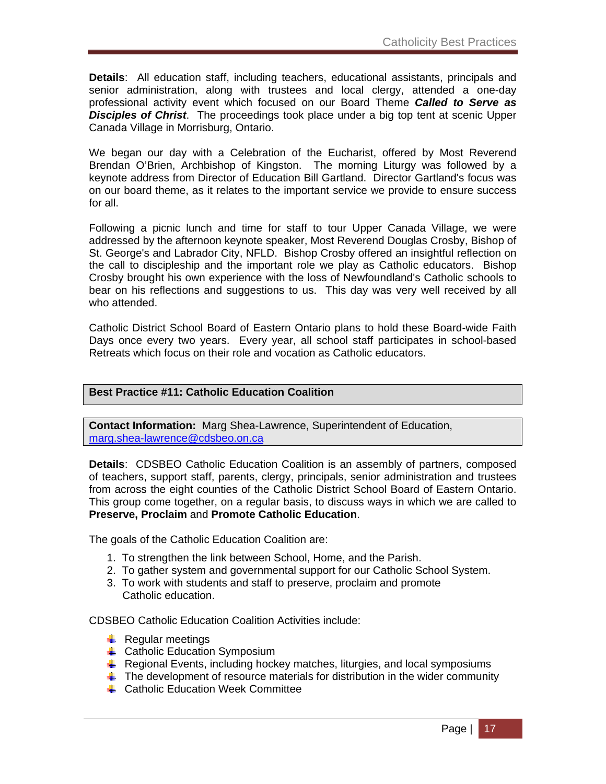**Details**: All education staff, including teachers, educational assistants, principals and senior administration, along with trustees and local clergy, attended a one-day professional activity event which focused on our Board Theme *Called to Serve as Disciples of Christ*. The proceedings took place under a big top tent at scenic Upper Canada Village in Morrisburg, Ontario.

We began our day with a Celebration of the Eucharist, offered by Most Reverend Brendan O'Brien, Archbishop of Kingston. The morning Liturgy was followed by a keynote address from Director of Education Bill Gartland. Director Gartland's focus was on our board theme, as it relates to the important service we provide to ensure success for all.

Following a picnic lunch and time for staff to tour Upper Canada Village, we were addressed by the afternoon keynote speaker, Most Reverend Douglas Crosby, Bishop of St. George's and Labrador City, NFLD. Bishop Crosby offered an insightful reflection on the call to discipleship and the important role we play as Catholic educators. Bishop Crosby brought his own experience with the loss of Newfoundland's Catholic schools to bear on his reflections and suggestions to us. This day was very well received by all who attended.

Catholic District School Board of Eastern Ontario plans to hold these Board-wide Faith Days once every two years. Every year, all school staff participates in school-based Retreats which focus on their role and vocation as Catholic educators.

#### **Best Practice #11: Catholic Education Coalition**

**Contact Information:** Marg Shea-Lawrence, Superintendent of Education, marg.shea-lawrence@cdsbeo.on.ca

**Details**: CDSBEO Catholic Education Coalition is an assembly of partners, composed of teachers, support staff, parents, clergy, principals, senior administration and trustees from across the eight counties of the Catholic District School Board of Eastern Ontario. This group come together, on a regular basis, to discuss ways in which we are called to **Preserve, Proclaim** and **Promote Catholic Education**.

The goals of the Catholic Education Coalition are:

- 1. To strengthen the link between School, Home, and the Parish.
- 2. To gather system and governmental support for our Catholic School System.
- 3. To work with students and staff to preserve, proclaim and promote Catholic education.

CDSBEO Catholic Education Coalition Activities include:

- $\downarrow$  Regular meetings
- $\triangleq$  Catholic Education Symposium
- **E** Regional Events, including hockey matches, liturgies, and local symposiums
- $\ddot{\bullet}$  The development of resource materials for distribution in the wider community
- **↓ Catholic Education Week Committee**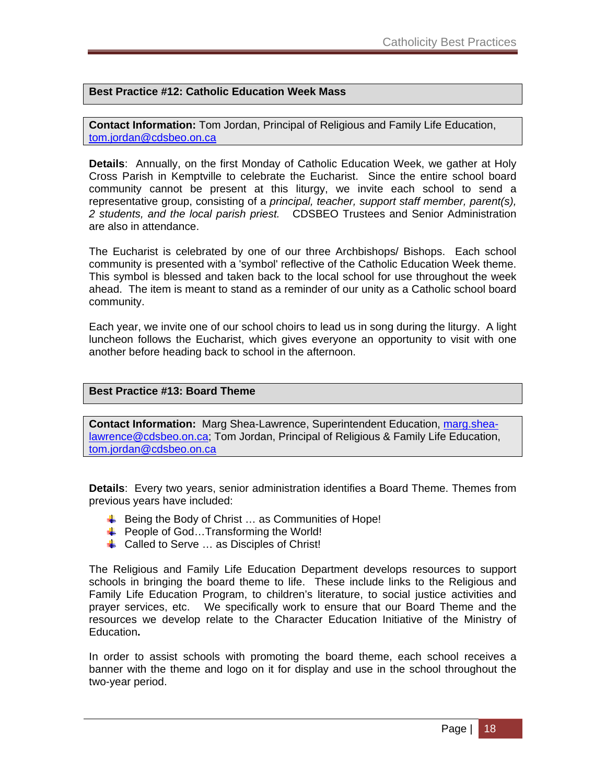#### **Best Practice #12: Catholic Education Week Mass**

**Contact Information:** Tom Jordan, Principal of Religious and Family Life Education, tom.jordan@cdsbeo.on.ca

**Details**: Annually, on the first Monday of Catholic Education Week, we gather at Holy Cross Parish in Kemptville to celebrate the Eucharist. Since the entire school board community cannot be present at this liturgy, we invite each school to send a representative group, consisting of a *principal, teacher, support staff member, parent(s), 2 students, and the local parish priest.* CDSBEO Trustees and Senior Administration are also in attendance.

The Eucharist is celebrated by one of our three Archbishops/ Bishops. Each school community is presented with a 'symbol' reflective of the Catholic Education Week theme. This symbol is blessed and taken back to the local school for use throughout the week ahead. The item is meant to stand as a reminder of our unity as a Catholic school board community.

Each year, we invite one of our school choirs to lead us in song during the liturgy. A light luncheon follows the Eucharist, which gives everyone an opportunity to visit with one another before heading back to school in the afternoon.

#### **Best Practice #13: Board Theme**

**Contact Information:** Marg Shea-Lawrence, Superintendent Education, marg.shealawrence@cdsbeo.on.ca; Tom Jordan, Principal of Religious & Family Life Education, tom.jordan@cdsbeo.on.ca

**Details**: Every two years, senior administration identifies a Board Theme. Themes from previous years have included:

- $\triangleq$  Being the Body of Christ ... as Communities of Hope!
- $\triangleq$  People of God...Transforming the World!
- **↓** Called to Serve ... as Disciples of Christ!

The Religious and Family Life Education Department develops resources to support schools in bringing the board theme to life. These include links to the Religious and Family Life Education Program, to children's literature, to social justice activities and prayer services, etc. We specifically work to ensure that our Board Theme and the resources we develop relate to the Character Education Initiative of the Ministry of Education**.** 

In order to assist schools with promoting the board theme, each school receives a banner with the theme and logo on it for display and use in the school throughout the two-year period.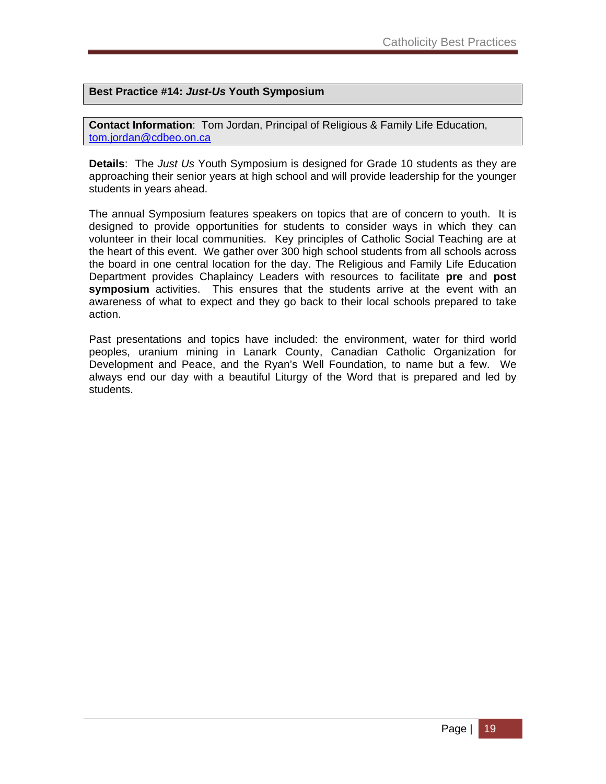#### **Best Practice #14:** *Just-Us* **Youth Symposium**

**Contact Information**: Tom Jordan, Principal of Religious & Family Life Education, tom.jordan@cdbeo.on.ca

**Details**: The *Just Us* Youth Symposium is designed for Grade 10 students as they are approaching their senior years at high school and will provide leadership for the younger students in years ahead.

The annual Symposium features speakers on topics that are of concern to youth. It is designed to provide opportunities for students to consider ways in which they can volunteer in their local communities. Key principles of Catholic Social Teaching are at the heart of this event. We gather over 300 high school students from all schools across the board in one central location for the day. The Religious and Family Life Education Department provides Chaplaincy Leaders with resources to facilitate **pre** and **post symposium** activities. This ensures that the students arrive at the event with an awareness of what to expect and they go back to their local schools prepared to take action.

Past presentations and topics have included: the environment, water for third world peoples, uranium mining in Lanark County, Canadian Catholic Organization for Development and Peace, and the Ryan's Well Foundation, to name but a few. We always end our day with a beautiful Liturgy of the Word that is prepared and led by students.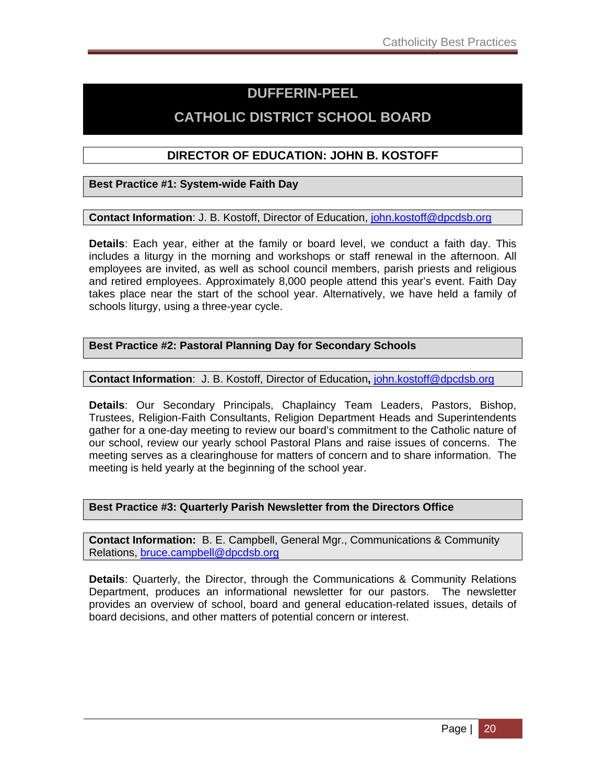### **DUFFERIN-PEEL**

# **CATHOLIC DISTRICT SCHOOL BOARD**

#### **DIRECTOR OF EDUCATION: JOHN B. KOSTOFF**

**Best Practice #1: System-wide Faith Day** 

**Contact Information**: J. B. Kostoff, Director of Education, john.kostoff@dpcdsb.org

**Details**: Each year, either at the family or board level, we conduct a faith day. This includes a liturgy in the morning and workshops or staff renewal in the afternoon. All employees are invited, as well as school council members, parish priests and religious and retired employees. Approximately 8,000 people attend this year's event. Faith Day takes place near the start of the school year. Alternatively, we have held a family of schools liturgy, using a three-year cycle.

#### **Best Practice #2: Pastoral Planning Day for Secondary Schools**

**Contact Information**: J. B. Kostoff, Director of Education**,** john.kostoff@dpcdsb.org

**Details**: Our Secondary Principals, Chaplaincy Team Leaders, Pastors, Bishop, Trustees, Religion-Faith Consultants, Religion Department Heads and Superintendents gather for a one-day meeting to review our board's commitment to the Catholic nature of our school, review our yearly school Pastoral Plans and raise issues of concerns. The meeting serves as a clearinghouse for matters of concern and to share information. The meeting is held yearly at the beginning of the school year.

#### **Best Practice #3: Quarterly Parish Newsletter from the Directors Office**

**Contact Information:** B. E. Campbell, General Mgr., Communications & Community Relations, bruce.campbell@dpcdsb.org

**Details**: Quarterly, the Director, through the Communications & Community Relations Department, produces an informational newsletter for our pastors. The newsletter provides an overview of school, board and general education-related issues, details of board decisions, and other matters of potential concern or interest.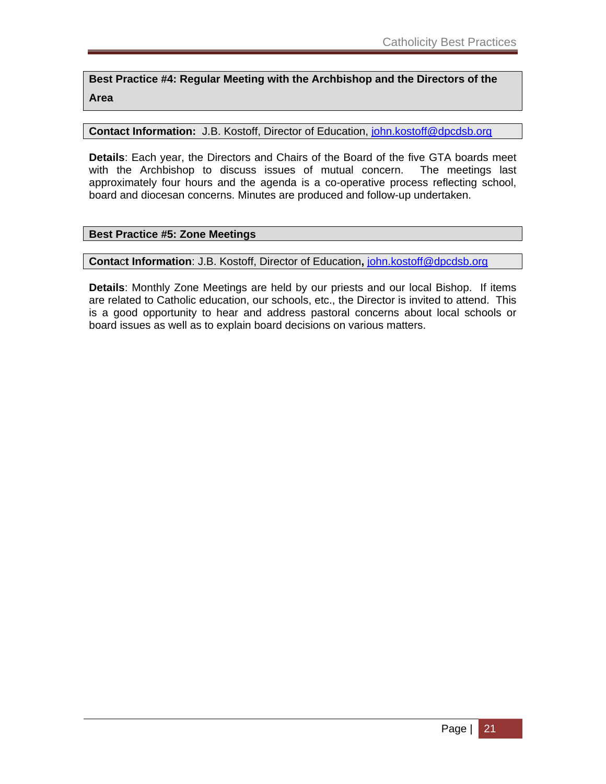**Best Practice #4: Regular Meeting with the Archbishop and the Directors of the Area** 

**Contact Information:** J.B. Kostoff, Director of Education, john.kostoff@dpcdsb.org

**Details**: Each year, the Directors and Chairs of the Board of the five GTA boards meet with the Archbishop to discuss issues of mutual concern. The meetings last approximately four hours and the agenda is a co-operative process reflecting school, board and diocesan concerns. Minutes are produced and follow-up undertaken.

#### **Best Practice #5: Zone Meetings**

**Conta**c**t Information**: J.B. Kostoff, Director of Education**,** john.kostoff@dpcdsb.org

**Details**: Monthly Zone Meetings are held by our priests and our local Bishop. If items are related to Catholic education, our schools, etc., the Director is invited to attend. This is a good opportunity to hear and address pastoral concerns about local schools or board issues as well as to explain board decisions on various matters.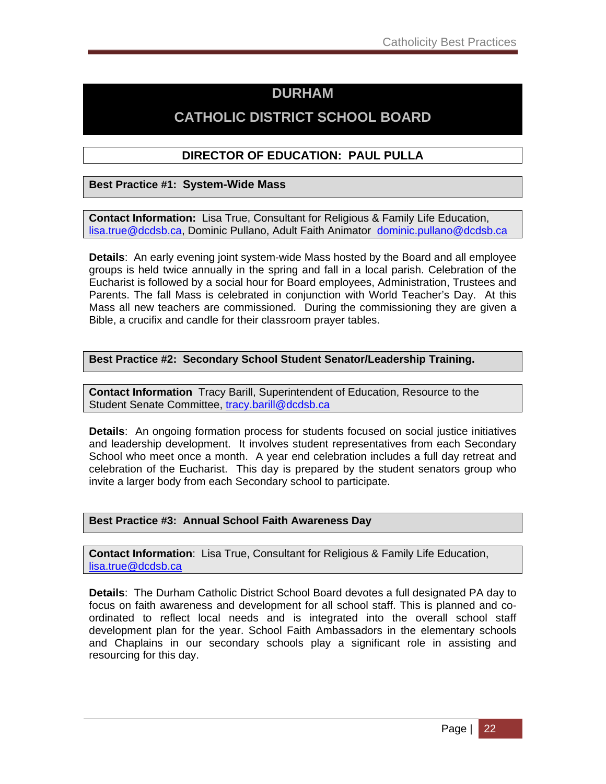# **DURHAM**

# **CATHOLIC DISTRICT SCHOOL BOARD**

#### **DIRECTOR OF EDUCATION: PAUL PULLA**

#### **Best Practice #1: System-Wide Mass**

**Contact Information:** Lisa True, Consultant for Religious & Family Life Education, lisa.true@dcdsb.ca, Dominic Pullano, Adult Faith Animator dominic.pullano@dcdsb.ca

**Details**: An early evening joint system-wide Mass hosted by the Board and all employee groups is held twice annually in the spring and fall in a local parish. Celebration of the Eucharist is followed by a social hour for Board employees, Administration, Trustees and Parents. The fall Mass is celebrated in conjunction with World Teacher's Day. At this Mass all new teachers are commissioned. During the commissioning they are given a Bible, a crucifix and candle for their classroom prayer tables.

#### **Best Practice #2: Secondary School Student Senator/Leadership Training.**

**Contact Information** Tracy Barill, Superintendent of Education, Resource to the Student Senate Committee, tracy.barill@dcdsb.ca

**Details**: An ongoing formation process for students focused on social justice initiatives and leadership development. It involves student representatives from each Secondary School who meet once a month. A year end celebration includes a full day retreat and celebration of the Eucharist. This day is prepared by the student senators group who invite a larger body from each Secondary school to participate.

#### **Best Practice #3: Annual School Faith Awareness Day**

**Contact Information**: Lisa True, Consultant for Religious & Family Life Education, lisa.true@dcdsb.ca

**Details**: The Durham Catholic District School Board devotes a full designated PA day to focus on faith awareness and development for all school staff. This is planned and coordinated to reflect local needs and is integrated into the overall school staff development plan for the year. School Faith Ambassadors in the elementary schools and Chaplains in our secondary schools play a significant role in assisting and resourcing for this day.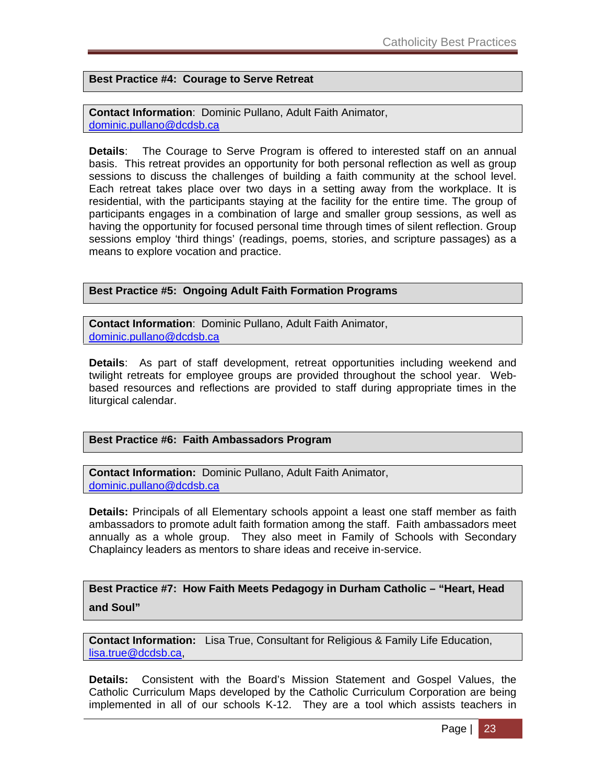**Best Practice #4: Courage to Serve Retreat** 

**Contact Information**: Dominic Pullano, Adult Faith Animator, dominic.pullano@dcdsb.ca

**Details**: The Courage to Serve Program is offered to interested staff on an annual basis. This retreat provides an opportunity for both personal reflection as well as group sessions to discuss the challenges of building a faith community at the school level. Each retreat takes place over two days in a setting away from the workplace. It is residential, with the participants staying at the facility for the entire time. The group of participants engages in a combination of large and smaller group sessions, as well as having the opportunity for focused personal time through times of silent reflection. Group sessions employ 'third things' (readings, poems, stories, and scripture passages) as a means to explore vocation and practice.

#### **Best Practice #5: Ongoing Adult Faith Formation Programs**

**Contact Information**: Dominic Pullano, Adult Faith Animator, dominic.pullano@dcdsb.ca

**Details**: As part of staff development, retreat opportunities including weekend and twilight retreats for employee groups are provided throughout the school year. Webbased resources and reflections are provided to staff during appropriate times in the liturgical calendar.

#### **Best Practice #6: Faith Ambassadors Program**

**Contact Information:** Dominic Pullano, Adult Faith Animator, dominic.pullano@dcdsb.ca

**Details:** Principals of all Elementary schools appoint a least one staff member as faith ambassadors to promote adult faith formation among the staff. Faith ambassadors meet annually as a whole group. They also meet in Family of Schools with Secondary Chaplaincy leaders as mentors to share ideas and receive in-service.

**Best Practice #7: How Faith Meets Pedagogy in Durham Catholic – "Heart, Head and Soul"** 

**Contact Information:** Lisa True, Consultant for Religious & Family Life Education, lisa.true@dcdsb.ca,

**Details:** Consistent with the Board's Mission Statement and Gospel Values, the Catholic Curriculum Maps developed by the Catholic Curriculum Corporation are being implemented in all of our schools K-12. They are a tool which assists teachers in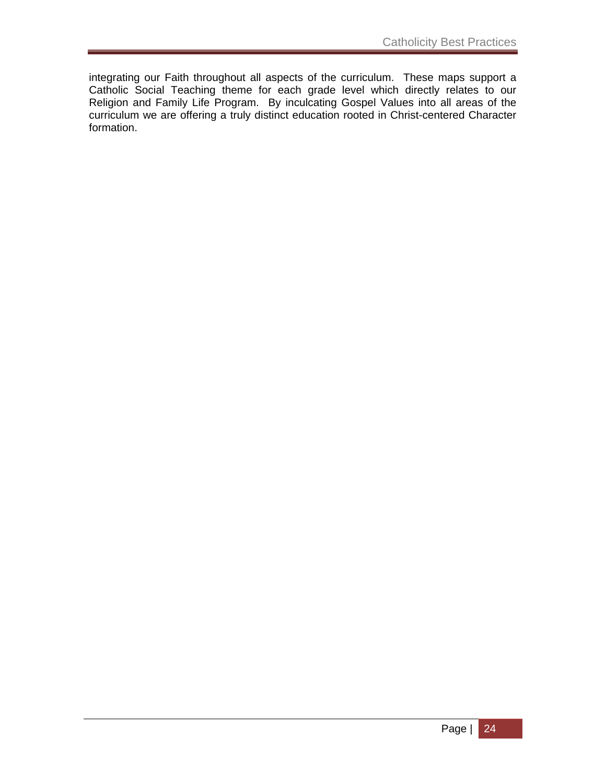integrating our Faith throughout all aspects of the curriculum. These maps support a Catholic Social Teaching theme for each grade level which directly relates to our Religion and Family Life Program. By inculcating Gospel Values into all areas of the curriculum we are offering a truly distinct education rooted in Christ-centered Character formation.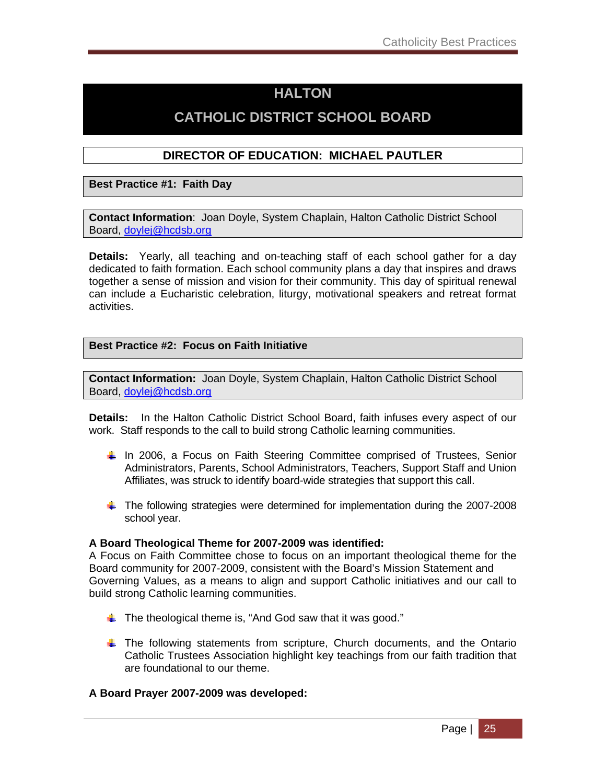# **HALTON**

# **CATHOLIC DISTRICT SCHOOL BOARD**

#### **DIRECTOR OF EDUCATION: MICHAEL PAUTLER**

**Best Practice #1: Faith Day** 

**Contact Information**: Joan Doyle, System Chaplain, Halton Catholic District School Board, doylej@hcdsb.org

**Details:** Yearly, all teaching and on-teaching staff of each school gather for a day dedicated to faith formation. Each school community plans a day that inspires and draws together a sense of mission and vision for their community. This day of spiritual renewal can include a Eucharistic celebration, liturgy, motivational speakers and retreat format activities.

#### **Best Practice #2: Focus on Faith Initiative**

**Contact Information:** Joan Doyle, System Chaplain, Halton Catholic District School Board, doylej@hcdsb.org

**Details:** In the Halton Catholic District School Board, faith infuses every aspect of our work. Staff responds to the call to build strong Catholic learning communities.

- In 2006, a Focus on Faith Steering Committee comprised of Trustees, Senior Administrators, Parents, School Administrators, Teachers, Support Staff and Union Affiliates, was struck to identify board-wide strategies that support this call.
- The following strategies were determined for implementation during the 2007-2008 school year.

#### **A Board Theological Theme for 2007-2009 was identified:**

A Focus on Faith Committee chose to focus on an important theological theme for the Board community for 2007-2009, consistent with the Board's Mission Statement and Governing Values, as a means to align and support Catholic initiatives and our call to build strong Catholic learning communities.

- $\frac{1}{\sqrt{2}}$  The theological theme is, "And God saw that it was good."
- $\ddot{\bullet}$  The following statements from scripture, Church documents, and the Ontario Catholic Trustees Association highlight key teachings from our faith tradition that are foundational to our theme.

#### **A Board Prayer 2007-2009 was developed:**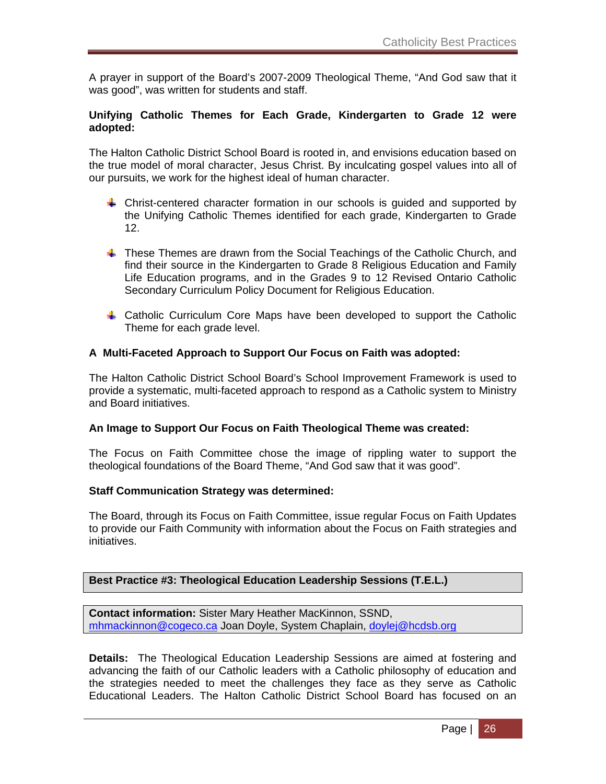A prayer in support of the Board's 2007-2009 Theological Theme, "And God saw that it was good", was written for students and staff.

#### **Unifying Catholic Themes for Each Grade, Kindergarten to Grade 12 were adopted:**

The Halton Catholic District School Board is rooted in, and envisions education based on the true model of moral character, Jesus Christ. By inculcating gospel values into all of our pursuits, we work for the highest ideal of human character.

- Christ-centered character formation in our schools is guided and supported by the Unifying Catholic Themes identified for each grade, Kindergarten to Grade 12.
- **These Themes are drawn from the Social Teachings of the Catholic Church, and** find their source in the Kindergarten to Grade 8 Religious Education and Family Life Education programs, and in the Grades 9 to 12 Revised Ontario Catholic Secondary Curriculum Policy Document for Religious Education.
- **↓** Catholic Curriculum Core Maps have been developed to support the Catholic Theme for each grade level.

#### **A Multi-Faceted Approach to Support Our Focus on Faith was adopted:**

The Halton Catholic District School Board's School Improvement Framework is used to provide a systematic, multi-faceted approach to respond as a Catholic system to Ministry and Board initiatives.

#### **An Image to Support Our Focus on Faith Theological Theme was created:**

The Focus on Faith Committee chose the image of rippling water to support the theological foundations of the Board Theme, "And God saw that it was good".

#### **Staff Communication Strategy was determined:**

The Board, through its Focus on Faith Committee, issue regular Focus on Faith Updates to provide our Faith Community with information about the Focus on Faith strategies and initiatives.

#### **Best Practice #3: Theological Education Leadership Sessions (T.E.L.)**

**Contact information:** Sister Mary Heather MacKinnon, SSND, mhmackinnon@cogeco.ca Joan Doyle, System Chaplain, doylej@hcdsb.org

**Details:** The Theological Education Leadership Sessions are aimed at fostering and advancing the faith of our Catholic leaders with a Catholic philosophy of education and the strategies needed to meet the challenges they face as they serve as Catholic Educational Leaders. The Halton Catholic District School Board has focused on an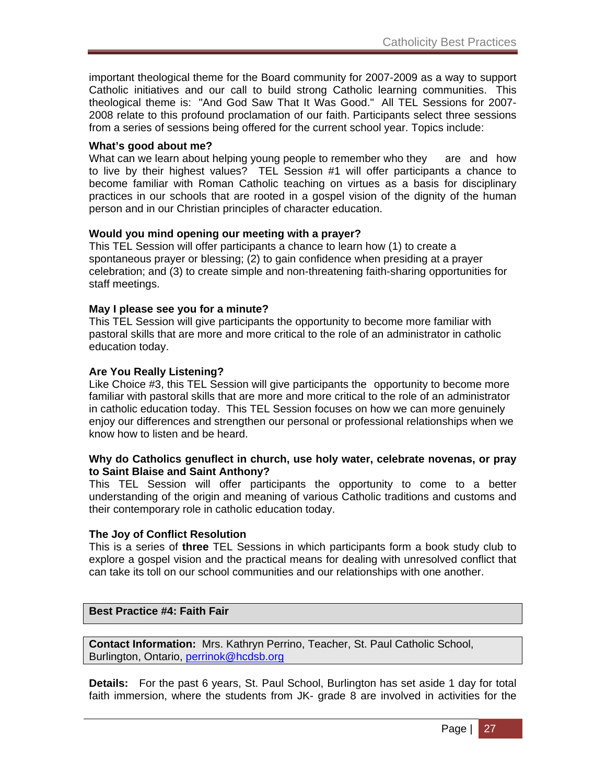important theological theme for the Board community for 2007-2009 as a way to support Catholic initiatives and our call to build strong Catholic learning communities. This theological theme is: "And God Saw That It Was Good." All TEL Sessions for 2007- 2008 relate to this profound proclamation of our faith. Participants select three sessions from a series of sessions being offered for the current school year. Topics include:

#### **What's good about me?**

What can we learn about helping young people to remember who they are and how to live by their highest values? TEL Session #1 will offer participants a chance to become familiar with Roman Catholic teaching on virtues as a basis for disciplinary practices in our schools that are rooted in a gospel vision of the dignity of the human person and in our Christian principles of character education.

#### **Would you mind opening our meeting with a prayer?**

This TEL Session will offer participants a chance to learn how (1) to create a spontaneous prayer or blessing; (2) to gain confidence when presiding at a prayer celebration; and (3) to create simple and non-threatening faith-sharing opportunities for staff meetings.

#### **May I please see you for a minute?**

This TEL Session will give participants the opportunity to become more familiar with pastoral skills that are more and more critical to the role of an administrator in catholic education today.

#### **Are You Really Listening?**

Like Choice #3, this TEL Session will give participants the opportunity to become more familiar with pastoral skills that are more and more critical to the role of an administrator in catholic education today. This TEL Session focuses on how we can more genuinely enjoy our differences and strengthen our personal or professional relationships when we know how to listen and be heard.

#### **Why do Catholics genuflect in church, use holy water, celebrate novenas, or pray to Saint Blaise and Saint Anthony?**

This TEL Session will offer participants the opportunity to come to a better understanding of the origin and meaning of various Catholic traditions and customs and their contemporary role in catholic education today.

#### **The Joy of Conflict Resolution**

This is a series of **three** TEL Sessions in which participants form a book study club to explore a gospel vision and the practical means for dealing with unresolved conflict that can take its toll on our school communities and our relationships with one another.

#### **Best Practice #4: Faith Fair**

**Contact Information:** Mrs. Kathryn Perrino, Teacher, St. Paul Catholic School, Burlington, Ontario, perrinok@hcdsb.org

**Details:** For the past 6 years, St. Paul School, Burlington has set aside 1 day for total faith immersion, where the students from JK- grade 8 are involved in activities for the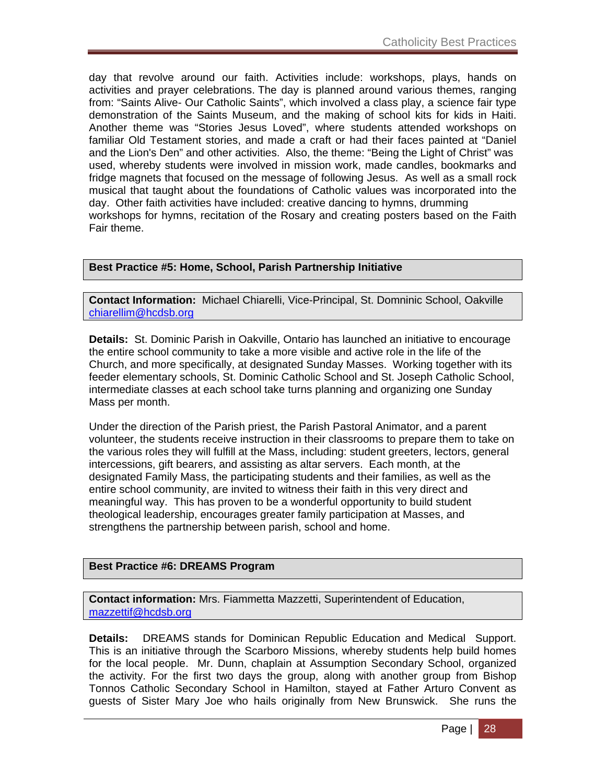day that revolve around our faith. Activities include: workshops, plays, hands on activities and prayer celebrations. The day is planned around various themes, ranging from: "Saints Alive- Our Catholic Saints", which involved a class play, a science fair type demonstration of the Saints Museum, and the making of school kits for kids in Haiti. Another theme was "Stories Jesus Loved", where students attended workshops on familiar Old Testament stories, and made a craft or had their faces painted at "Daniel and the Lion's Den" and other activities. Also, the theme: "Being the Light of Christ" was used, whereby students were involved in mission work, made candles, bookmarks and fridge magnets that focused on the message of following Jesus. As well as a small rock musical that taught about the foundations of Catholic values was incorporated into the day. Other faith activities have included: creative dancing to hymns, drumming workshops for hymns, recitation of the Rosary and creating posters based on the Faith Fair theme.

### **Best Practice #5: Home, School, Parish Partnership Initiative**

**Contact Information:** Michael Chiarelli, Vice-Principal, St. Domninic School, Oakville chiarellim@hcdsb.org

**Details:** St. Dominic Parish in Oakville, Ontario has launched an initiative to encourage the entire school community to take a more visible and active role in the life of the Church, and more specifically, at designated Sunday Masses. Working together with its feeder elementary schools, St. Dominic Catholic School and St. Joseph Catholic School, intermediate classes at each school take turns planning and organizing one Sunday Mass per month.

Under the direction of the Parish priest, the Parish Pastoral Animator, and a parent volunteer, the students receive instruction in their classrooms to prepare them to take on the various roles they will fulfill at the Mass, including: student greeters, lectors, general intercessions, gift bearers, and assisting as altar servers. Each month, at the designated Family Mass, the participating students and their families, as well as the entire school community, are invited to witness their faith in this very direct and meaningful way. This has proven to be a wonderful opportunity to build student theological leadership, encourages greater family participation at Masses, and strengthens the partnership between parish, school and home.

### **Best Practice #6: DREAMS Program**

**Contact information:** Mrs. Fiammetta Mazzetti, Superintendent of Education, mazzettif@hcdsb.org

**Details:** DREAMS stands for Dominican Republic Education and Medical Support. This is an initiative through the Scarboro Missions, whereby students help build homes for the local people. Mr. Dunn, chaplain at Assumption Secondary School, organized the activity. For the first two days the group, along with another group from Bishop Tonnos Catholic Secondary School in Hamilton, stayed at Father Arturo Convent as guests of Sister Mary Joe who hails originally from New Brunswick. She runs the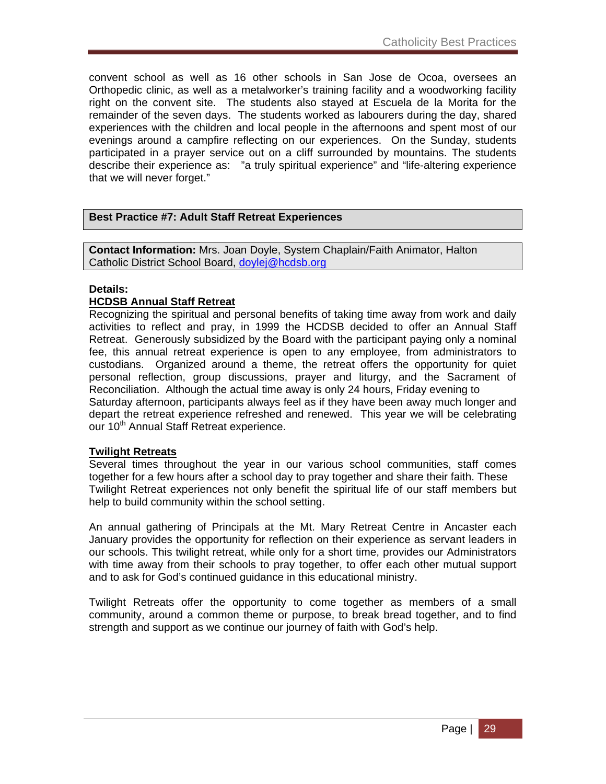convent school as well as 16 other schools in San Jose de Ocoa, oversees an Orthopedic clinic, as well as a metalworker's training facility and a woodworking facility right on the convent site. The students also stayed at Escuela de la Morita for the remainder of the seven days. The students worked as labourers during the day, shared experiences with the children and local people in the afternoons and spent most of our evenings around a campfire reflecting on our experiences. On the Sunday, students participated in a prayer service out on a cliff surrounded by mountains. The students describe their experience as: "a truly spiritual experience" and "life-altering experience that we will never forget."

### **Best Practice #7: Adult Staff Retreat Experiences**

**Contact Information:** Mrs. Joan Doyle, System Chaplain/Faith Animator, Halton Catholic District School Board, doylej@hcdsb.org

### **Details:**

### **HCDSB Annual Staff Retreat**

Recognizing the spiritual and personal benefits of taking time away from work and daily activities to reflect and pray, in 1999 the HCDSB decided to offer an Annual Staff Retreat. Generously subsidized by the Board with the participant paying only a nominal fee, this annual retreat experience is open to any employee, from administrators to custodians. Organized around a theme, the retreat offers the opportunity for quiet personal reflection, group discussions, prayer and liturgy, and the Sacrament of Reconciliation. Although the actual time away is only 24 hours, Friday evening to Saturday afternoon, participants always feel as if they have been away much longer and depart the retreat experience refreshed and renewed. This year we will be celebrating our 10<sup>th</sup> Annual Staff Retreat experience.

### **Twilight Retreats**

Several times throughout the year in our various school communities, staff comes together for a few hours after a school day to pray together and share their faith. These Twilight Retreat experiences not only benefit the spiritual life of our staff members but help to build community within the school setting.

An annual gathering of Principals at the Mt. Mary Retreat Centre in Ancaster each January provides the opportunity for reflection on their experience as servant leaders in our schools. This twilight retreat, while only for a short time, provides our Administrators with time away from their schools to pray together, to offer each other mutual support and to ask for God's continued guidance in this educational ministry.

Twilight Retreats offer the opportunity to come together as members of a small community, around a common theme or purpose, to break bread together, and to find strength and support as we continue our journey of faith with God's help.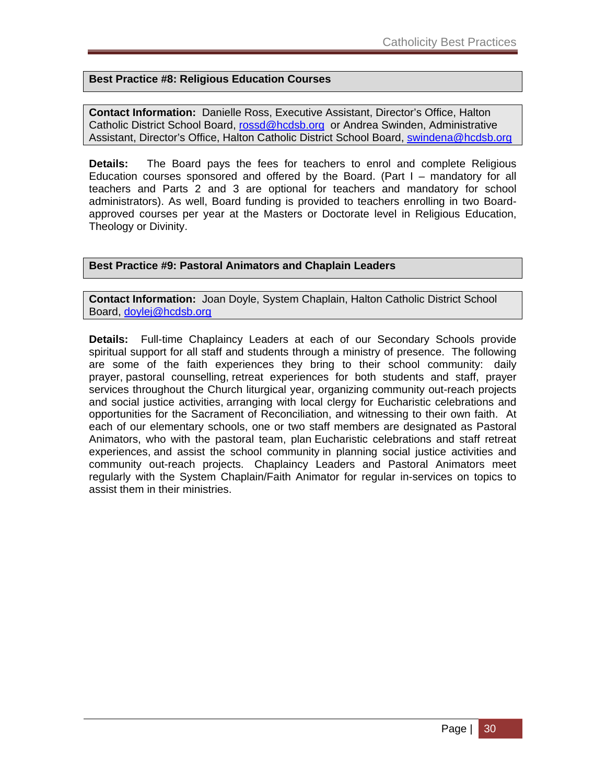### **Best Practice #8: Religious Education Courses**

**Contact Information:** Danielle Ross, Executive Assistant, Director's Office, Halton Catholic District School Board, rossd@hcdsb.org or Andrea Swinden, Administrative Assistant, Director's Office, Halton Catholic District School Board, swindena@hcdsb.org

**Details:** The Board pays the fees for teachers to enrol and complete Religious Education courses sponsored and offered by the Board. (Part  $I -$  mandatory for all teachers and Parts 2 and 3 are optional for teachers and mandatory for school administrators). As well, Board funding is provided to teachers enrolling in two Boardapproved courses per year at the Masters or Doctorate level in Religious Education, Theology or Divinity.

### **Best Practice #9: Pastoral Animators and Chaplain Leaders**

**Contact Information:** Joan Doyle, System Chaplain, Halton Catholic District School Board, doylej@hcdsb.org

**Details:** Full-time Chaplaincy Leaders at each of our Secondary Schools provide spiritual support for all staff and students through a ministry of presence. The following are some of the faith experiences they bring to their school community: daily prayer, pastoral counselling, retreat experiences for both students and staff, prayer services throughout the Church liturgical year, organizing community out-reach projects and social justice activities, arranging with local clergy for Eucharistic celebrations and opportunities for the Sacrament of Reconciliation, and witnessing to their own faith. At each of our elementary schools, one or two staff members are designated as Pastoral Animators, who with the pastoral team, plan Eucharistic celebrations and staff retreat experiences, and assist the school community in planning social justice activities and community out-reach projects. Chaplaincy Leaders and Pastoral Animators meet regularly with the System Chaplain/Faith Animator for regular in-services on topics to assist them in their ministries.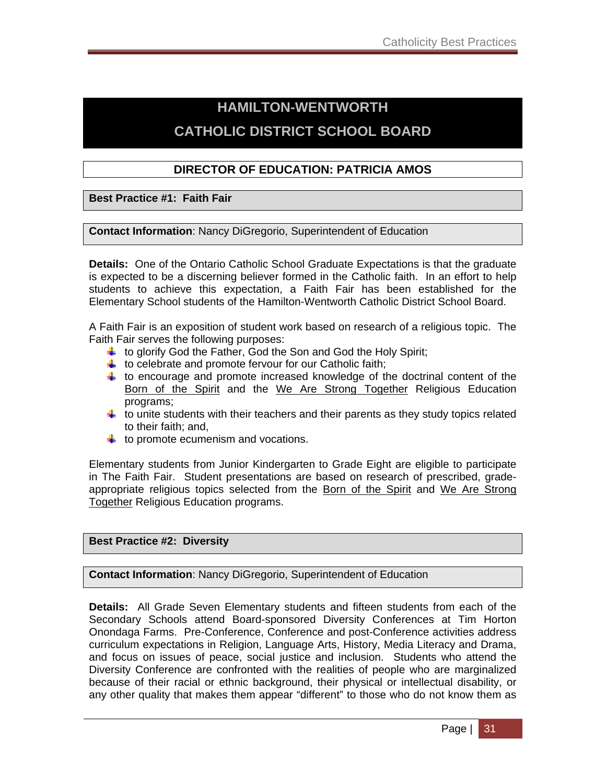# **HAMILTON-WENTWORTH CATHOLIC DISTRICT SCHOOL BOARD**

### **DIRECTOR OF EDUCATION: PATRICIA AMOS**

**Best Practice #1: Faith Fair** 

**Contact Information**: Nancy DiGregorio, Superintendent of Education

**Details:** One of the Ontario Catholic School Graduate Expectations is that the graduate is expected to be a discerning believer formed in the Catholic faith. In an effort to help students to achieve this expectation, a Faith Fair has been established for the Elementary School students of the Hamilton-Wentworth Catholic District School Board.

A Faith Fair is an exposition of student work based on research of a religious topic. The Faith Fair serves the following purposes:

- $\ddot{\phantom{1}}$  to glorify God the Father, God the Son and God the Holy Spirit;
- $\downarrow$  to celebrate and promote fervour for our Catholic faith;
- $\ddot$  to encourage and promote increased knowledge of the doctrinal content of the Born of the Spirit and the We Are Strong Together Religious Education programs;
- $\ddotplus$  to unite students with their teachers and their parents as they study topics related to their faith; and,
- $\downarrow$  to promote ecumenism and vocations.

Elementary students from Junior Kindergarten to Grade Eight are eligible to participate in The Faith Fair. Student presentations are based on research of prescribed, gradeappropriate religious topics selected from the Born of the Spirit and We Are Strong Together Religious Education programs.

### **Best Practice #2: Diversity**

**Contact Information**: Nancy DiGregorio, Superintendent of Education

**Details:** All Grade Seven Elementary students and fifteen students from each of the Secondary Schools attend Board-sponsored Diversity Conferences at Tim Horton Onondaga Farms. Pre-Conference, Conference and post-Conference activities address curriculum expectations in Religion, Language Arts, History, Media Literacy and Drama, and focus on issues of peace, social justice and inclusion. Students who attend the Diversity Conference are confronted with the realities of people who are marginalized because of their racial or ethnic background, their physical or intellectual disability, or any other quality that makes them appear "different" to those who do not know them as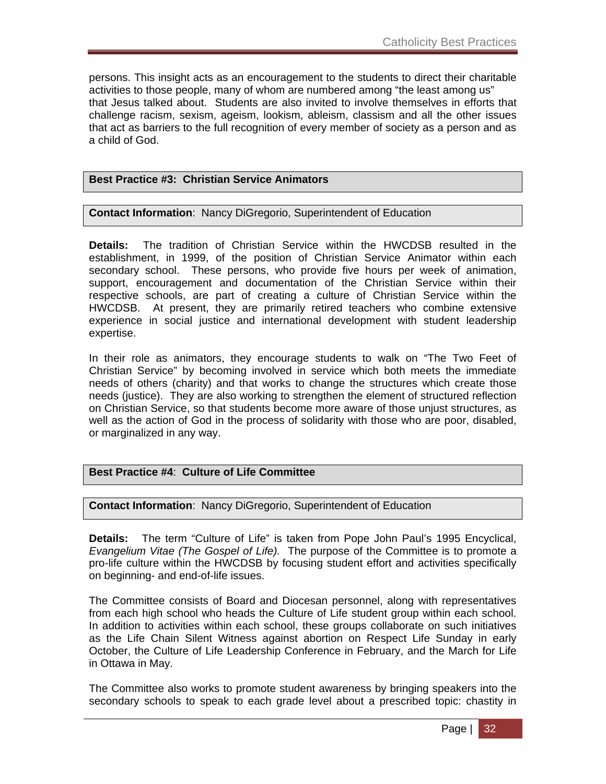persons. This insight acts as an encouragement to the students to direct their charitable activities to those people, many of whom are numbered among "the least among us" that Jesus talked about. Students are also invited to involve themselves in efforts that challenge racism, sexism, ageism, lookism, ableism, classism and all the other issues that act as barriers to the full recognition of every member of society as a person and as a child of God.

### **Best Practice #3: Christian Service Animators**

### **Contact Information**: Nancy DiGregorio, Superintendent of Education

**Details:** The tradition of Christian Service within the HWCDSB resulted in the establishment, in 1999, of the position of Christian Service Animator within each secondary school. These persons, who provide five hours per week of animation, support, encouragement and documentation of the Christian Service within their respective schools, are part of creating a culture of Christian Service within the HWCDSB. At present, they are primarily retired teachers who combine extensive experience in social justice and international development with student leadership expertise.

In their role as animators, they encourage students to walk on "The Two Feet of Christian Service" by becoming involved in service which both meets the immediate needs of others (charity) and that works to change the structures which create those needs (justice). They are also working to strengthen the element of structured reflection on Christian Service, so that students become more aware of those unjust structures, as well as the action of God in the process of solidarity with those who are poor, disabled, or marginalized in any way.

### **Best Practice #4**: **Culture of Life Committee**

**Contact Information**: Nancy DiGregorio, Superintendent of Education

**Details:** The term "Culture of Life" is taken from Pope John Paul's 1995 Encyclical, *Evangelium Vitae (The Gospel of Life).* The purpose of the Committee is to promote a pro-life culture within the HWCDSB by focusing student effort and activities specifically on beginning- and end-of-life issues.

The Committee consists of Board and Diocesan personnel, along with representatives from each high school who heads the Culture of Life student group within each school. In addition to activities within each school, these groups collaborate on such initiatives as the Life Chain Silent Witness against abortion on Respect Life Sunday in early October, the Culture of Life Leadership Conference in February, and the March for Life in Ottawa in May.

The Committee also works to promote student awareness by bringing speakers into the secondary schools to speak to each grade level about a prescribed topic: chastity in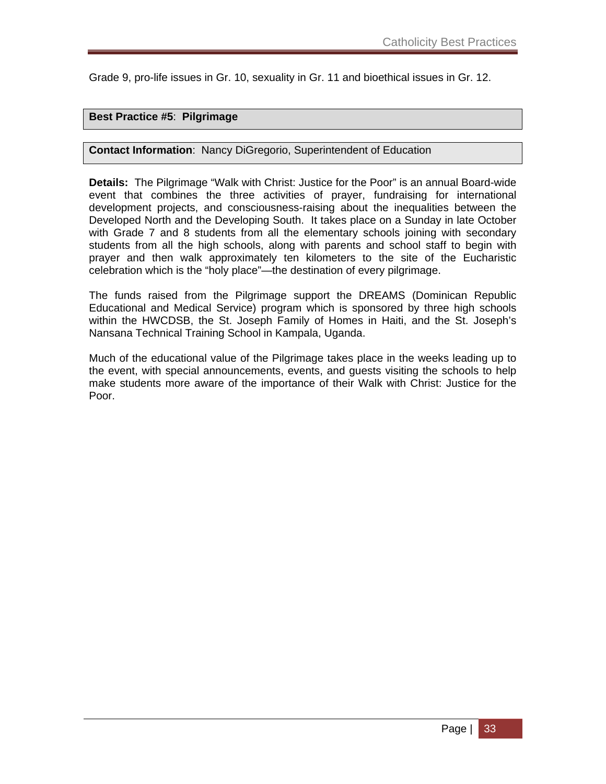Grade 9, pro-life issues in Gr. 10, sexuality in Gr. 11 and bioethical issues in Gr. 12.

### **Best Practice #5**: **Pilgrimage**

### **Contact Information**: Nancy DiGregorio, Superintendent of Education

**Details:** The Pilgrimage "Walk with Christ: Justice for the Poor" is an annual Board-wide event that combines the three activities of prayer, fundraising for international development projects, and consciousness-raising about the inequalities between the Developed North and the Developing South. It takes place on a Sunday in late October with Grade 7 and 8 students from all the elementary schools joining with secondary students from all the high schools, along with parents and school staff to begin with prayer and then walk approximately ten kilometers to the site of the Eucharistic celebration which is the "holy place"—the destination of every pilgrimage.

The funds raised from the Pilgrimage support the DREAMS (Dominican Republic Educational and Medical Service) program which is sponsored by three high schools within the HWCDSB, the St. Joseph Family of Homes in Haiti, and the St. Joseph's Nansana Technical Training School in Kampala, Uganda.

Much of the educational value of the Pilgrimage takes place in the weeks leading up to the event, with special announcements, events, and guests visiting the schools to help make students more aware of the importance of their Walk with Christ: Justice for the Poor.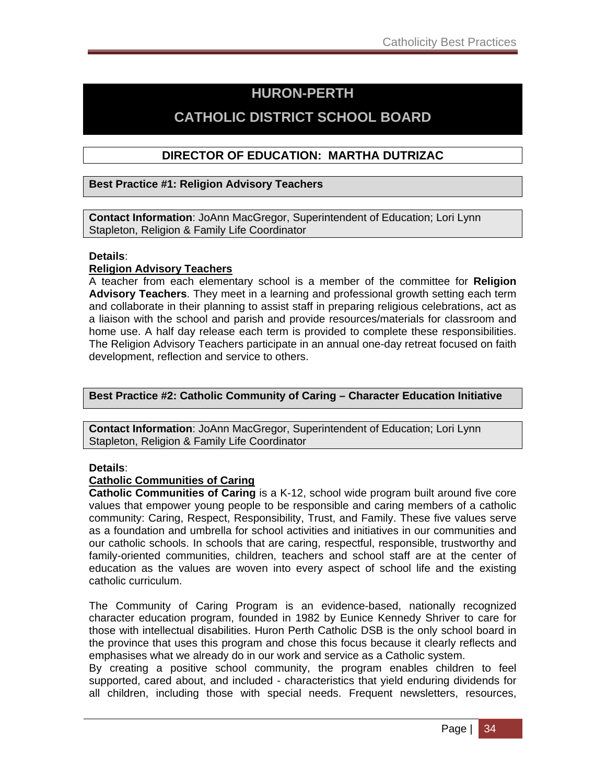## **HURON-PERTH**

## **CATHOLIC DISTRICT SCHOOL BOARD**

### **DIRECTOR OF EDUCATION: MARTHA DUTRIZAC**

### **Best Practice #1: Religion Advisory Teachers**

**Contact Information**: JoAnn MacGregor, Superintendent of Education; Lori Lynn Stapleton, Religion & Family Life Coordinator

### **Details**:

### **Religion Advisory Teachers**

A teacher from each elementary school is a member of the committee for **Religion Advisory Teachers**. They meet in a learning and professional growth setting each term and collaborate in their planning to assist staff in preparing religious celebrations, act as a liaison with the school and parish and provide resources/materials for classroom and home use. A half day release each term is provided to complete these responsibilities. The Religion Advisory Teachers participate in an annual one-day retreat focused on faith development, reflection and service to others.

### **Best Practice #2: Catholic Community of Caring – Character Education Initiative**

**Contact Information**: JoAnn MacGregor, Superintendent of Education; Lori Lynn Stapleton, Religion & Family Life Coordinator

### **Details**:

### **Catholic Communities of Caring**

**Catholic Communities of Caring** is a K-12, school wide program built around five core values that empower young people to be responsible and caring members of a catholic community: Caring, Respect, Responsibility, Trust, and Family. These five values serve as a foundation and umbrella for school activities and initiatives in our communities and our catholic schools. In schools that are caring, respectful, responsible, trustworthy and family-oriented communities, children, teachers and school staff are at the center of education as the values are woven into every aspect of school life and the existing catholic curriculum.

The Community of Caring Program is an evidence-based, nationally recognized character education program, founded in 1982 by Eunice Kennedy Shriver to care for those with intellectual disabilities. Huron Perth Catholic DSB is the only school board in the province that uses this program and chose this focus because it clearly reflects and emphasises what we already do in our work and service as a Catholic system.

By creating a positive school community, the program enables children to feel supported, cared about, and included - characteristics that yield enduring dividends for all children, including those with special needs. Frequent newsletters, resources,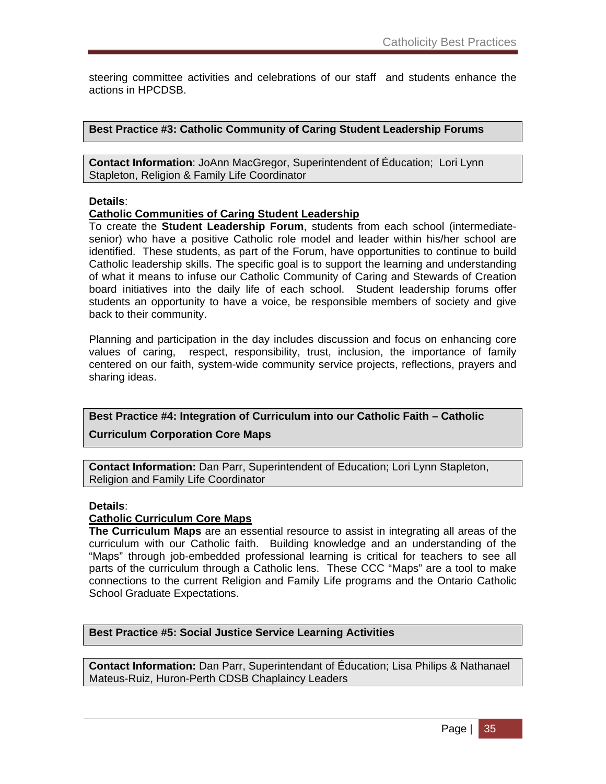steering committee activities and celebrations of our staff and students enhance the actions in HPCDSB.

**Best Practice #3: Catholic Community of Caring Student Leadership Forums** 

**Contact Information**: JoAnn MacGregor, Superintendent of Éducation; Lori Lynn Stapleton, Religion & Family Life Coordinator

### **Details**:

### **Catholic Communities of Caring Student Leadership**

To create the **Student Leadership Forum**, students from each school (intermediatesenior) who have a positive Catholic role model and leader within his/her school are identified. These students, as part of the Forum, have opportunities to continue to build Catholic leadership skills. The specific goal is to support the learning and understanding of what it means to infuse our Catholic Community of Caring and Stewards of Creation board initiatives into the daily life of each school. Student leadership forums offer students an opportunity to have a voice, be responsible members of society and give back to their community.

Planning and participation in the day includes discussion and focus on enhancing core values of caring, respect, responsibility, trust, inclusion, the importance of family centered on our faith, system-wide community service projects, reflections, prayers and sharing ideas.

**Best Practice #4: Integration of Curriculum into our Catholic Faith – Catholic** 

### **Curriculum Corporation Core Maps**

**Contact Information:** Dan Parr, Superintendent of Education; Lori Lynn Stapleton, Religion and Family Life Coordinator

#### **Details**:

### **Catholic Curriculum Core Maps**

**The Curriculum Maps** are an essential resource to assist in integrating all areas of the curriculum with our Catholic faith. Building knowledge and an understanding of the "Maps" through job-embedded professional learning is critical for teachers to see all parts of the curriculum through a Catholic lens. These CCC "Maps" are a tool to make connections to the current Religion and Family Life programs and the Ontario Catholic School Graduate Expectations.

### **Best Practice #5: Social Justice Service Learning Activities**

**Contact Information:** Dan Parr, Superintendant of Éducation; Lisa Philips & Nathanael Mateus-Ruiz, Huron-Perth CDSB Chaplaincy Leaders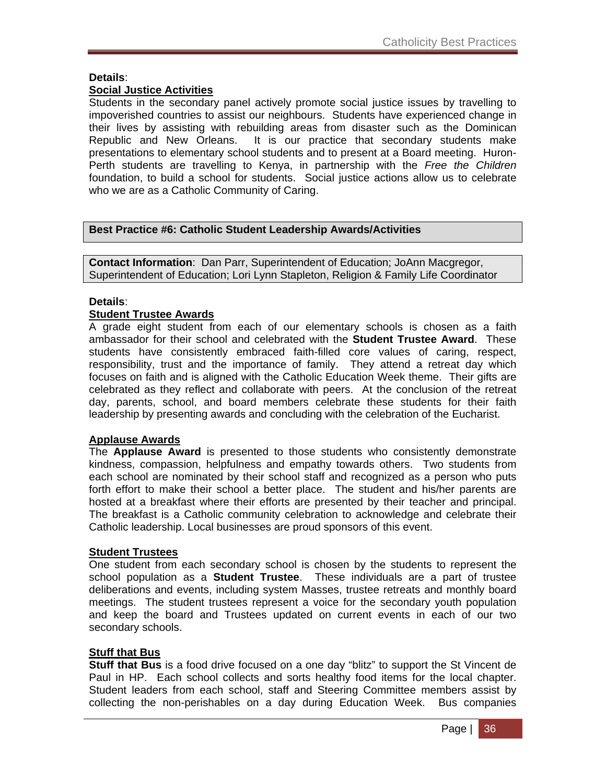### **Details**:

### **Social Justice Activities**

Students in the secondary panel actively promote social justice issues by travelling to impoverished countries to assist our neighbours. Students have experienced change in their lives by assisting with rebuilding areas from disaster such as the Dominican Republic and New Orleans. It is our practice that secondary students make presentations to elementary school students and to present at a Board meeting. Huron-Perth students are travelling to Kenya, in partnership with the *Free the Children* foundation, to build a school for students. Social justice actions allow us to celebrate who we are as a Catholic Community of Caring.

### **Best Practice #6: Catholic Student Leadership Awards/Activities**

**Contact Information**: Dan Parr, Superintendent of Education; JoAnn Macgregor, Superintendent of Education; Lori Lynn Stapleton, Religion & Family Life Coordinator

### **Details**:

### **Student Trustee Awards**

A grade eight student from each of our elementary schools is chosen as a faith ambassador for their school and celebrated with the **Student Trustee Award**. These students have consistently embraced faith-filled core values of caring, respect, responsibility, trust and the importance of family. They attend a retreat day which focuses on faith and is aligned with the Catholic Education Week theme. Their gifts are celebrated as they reflect and collaborate with peers. At the conclusion of the retreat day, parents, school, and board members celebrate these students for their faith leadership by presenting awards and concluding with the celebration of the Eucharist.

### **Applause Awards**

The **Applause Award** is presented to those students who consistently demonstrate kindness, compassion, helpfulness and empathy towards others. Two students from each school are nominated by their school staff and recognized as a person who puts forth effort to make their school a better place. The student and his/her parents are hosted at a breakfast where their efforts are presented by their teacher and principal. The breakfast is a Catholic community celebration to acknowledge and celebrate their Catholic leadership. Local businesses are proud sponsors of this event.

### **Student Trustees**

One student from each secondary school is chosen by the students to represent the school population as a **Student Trustee**. These individuals are a part of trustee deliberations and events, including system Masses, trustee retreats and monthly board meetings. The student trustees represent a voice for the secondary youth population and keep the board and Trustees updated on current events in each of our two secondary schools.

### **Stuff that Bus**

**Stuff that Bus** is a food drive focused on a one day "blitz" to support the St Vincent de Paul in HP. Each school collects and sorts healthy food items for the local chapter. Student leaders from each school, staff and Steering Committee members assist by collecting the non-perishables on a day during Education Week. Bus companies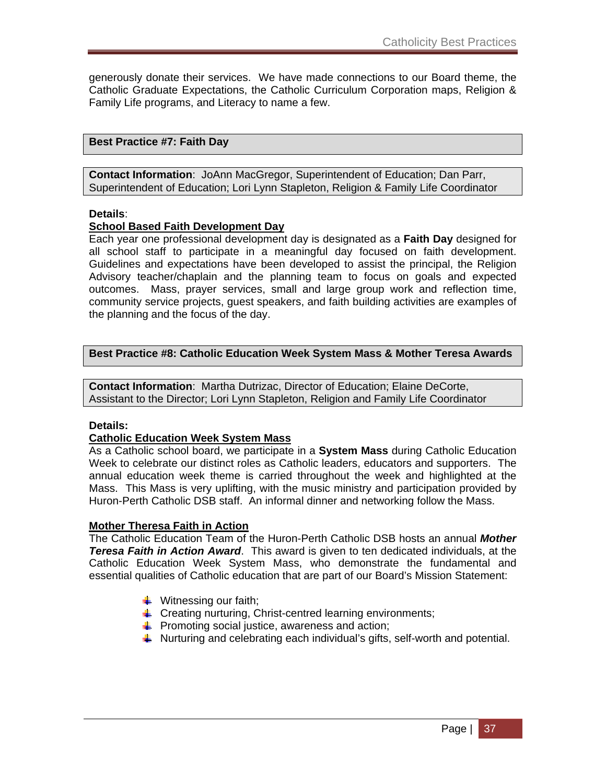generously donate their services. We have made connections to our Board theme, the Catholic Graduate Expectations, the Catholic Curriculum Corporation maps, Religion & Family Life programs, and Literacy to name a few.

### **Best Practice #7: Faith Day**

**Contact Information**: JoAnn MacGregor, Superintendent of Education; Dan Parr, Superintendent of Education; Lori Lynn Stapleton, Religion & Family Life Coordinator

#### **Details**:

#### **School Based Faith Development Day**

Each year one professional development day is designated as a **Faith Day** designed for all school staff to participate in a meaningful day focused on faith development. Guidelines and expectations have been developed to assist the principal, the Religion Advisory teacher/chaplain and the planning team to focus on goals and expected outcomes. Mass, prayer services, small and large group work and reflection time, community service projects, guest speakers, and faith building activities are examples of the planning and the focus of the day.

#### **Best Practice #8: Catholic Education Week System Mass & Mother Teresa Awards**

**Contact Information**: Martha Dutrizac, Director of Education; Elaine DeCorte, Assistant to the Director; Lori Lynn Stapleton, Religion and Family Life Coordinator

### **Details:**

### **Catholic Education Week System Mass**

As a Catholic school board, we participate in a **System Mass** during Catholic Education Week to celebrate our distinct roles as Catholic leaders, educators and supporters. The annual education week theme is carried throughout the week and highlighted at the Mass. This Mass is very uplifting, with the music ministry and participation provided by Huron-Perth Catholic DSB staff. An informal dinner and networking follow the Mass.

#### **Mother Theresa Faith in Action**

The Catholic Education Team of the Huron-Perth Catholic DSB hosts an annual *Mother Teresa Faith in Action Award*. This award is given to ten dedicated individuals, at the Catholic Education Week System Mass, who demonstrate the fundamental and essential qualities of Catholic education that are part of our Board's Mission Statement:

- $\ddot{\bullet}$  Witnessing our faith:
- $\downarrow$  Creating nurturing, Christ-centred learning environments;
- $\downarrow$  Promoting social justice, awareness and action;
- $\ddot{\phantom{1}}$  Nurturing and celebrating each individual's gifts, self-worth and potential.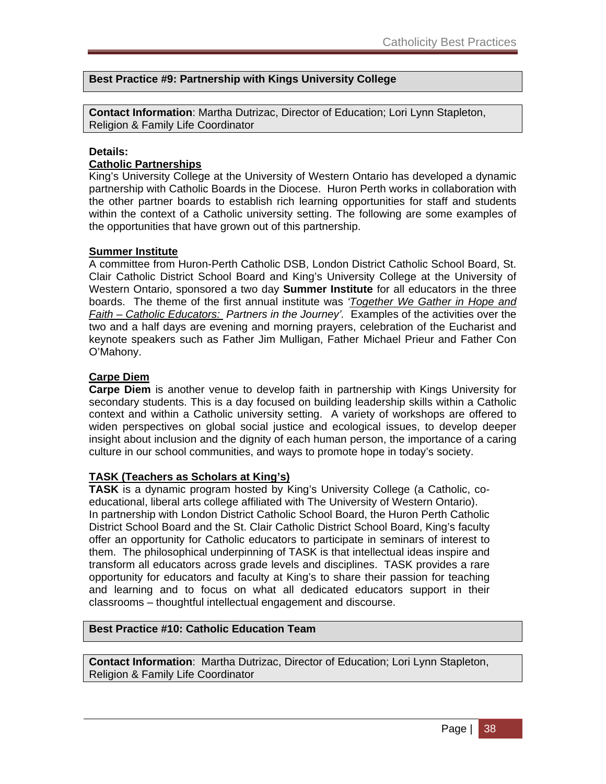### **Best Practice #9: Partnership with Kings University College**

**Contact Information**: Martha Dutrizac, Director of Education; Lori Lynn Stapleton, Religion & Family Life Coordinator

#### **Details:**

### **Catholic Partnerships**

King's University College at the University of Western Ontario has developed a dynamic partnership with Catholic Boards in the Diocese. Huron Perth works in collaboration with the other partner boards to establish rich learning opportunities for staff and students within the context of a Catholic university setting. The following are some examples of the opportunities that have grown out of this partnership.

#### **Summer Institute**

A committee from Huron-Perth Catholic DSB, London District Catholic School Board, St. Clair Catholic District School Board and King's University College at the University of Western Ontario, sponsored a two day **Summer Institute** for all educators in the three boards. The theme of the first annual institute was *'Together We Gather in Hope and Faith – Catholic Educators: Partners in the Journey'.* Examples of the activities over the two and a half days are evening and morning prayers, celebration of the Eucharist and keynote speakers such as Father Jim Mulligan, Father Michael Prieur and Father Con O'Mahony.

### **Carpe Diem**

**Carpe Diem** is another venue to develop faith in partnership with Kings University for secondary students. This is a day focused on building leadership skills within a Catholic context and within a Catholic university setting. A variety of workshops are offered to widen perspectives on global social justice and ecological issues, to develop deeper insight about inclusion and the dignity of each human person, the importance of a caring culture in our school communities, and ways to promote hope in today's society.

### **TASK (Teachers as Scholars at King's)**

**TASK** is a dynamic program hosted by King's University College (a Catholic, coeducational, liberal arts college affiliated with The University of Western Ontario). In partnership with London District Catholic School Board, the Huron Perth Catholic District School Board and the St. Clair Catholic District School Board, King's faculty offer an opportunity for Catholic educators to participate in seminars of interest to them. The philosophical underpinning of TASK is that intellectual ideas inspire and transform all educators across grade levels and disciplines. TASK provides a rare opportunity for educators and faculty at King's to share their passion for teaching and learning and to focus on what all dedicated educators support in their classrooms – thoughtful intellectual engagement and discourse.

### **Best Practice #10: Catholic Education Team**

**Contact Information**: Martha Dutrizac, Director of Education; Lori Lynn Stapleton, Religion & Family Life Coordinator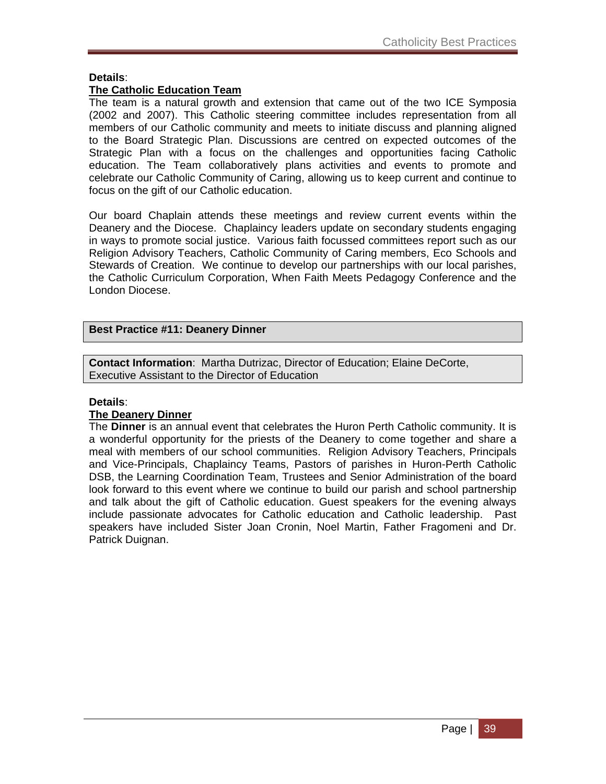### **Details**:

### **The Catholic Education Team**

The team is a natural growth and extension that came out of the two ICE Symposia (2002 and 2007). This Catholic steering committee includes representation from all members of our Catholic community and meets to initiate discuss and planning aligned to the Board Strategic Plan. Discussions are centred on expected outcomes of the Strategic Plan with a focus on the challenges and opportunities facing Catholic education. The Team collaboratively plans activities and events to promote and celebrate our Catholic Community of Caring, allowing us to keep current and continue to focus on the gift of our Catholic education.

Our board Chaplain attends these meetings and review current events within the Deanery and the Diocese. Chaplaincy leaders update on secondary students engaging in ways to promote social justice. Various faith focussed committees report such as our Religion Advisory Teachers, Catholic Community of Caring members, Eco Schools and Stewards of Creation. We continue to develop our partnerships with our local parishes, the Catholic Curriculum Corporation, When Faith Meets Pedagogy Conference and the London Diocese.

### **Best Practice #11: Deanery Dinner**

**Contact Information**: Martha Dutrizac, Director of Education; Elaine DeCorte, Executive Assistant to the Director of Education

### **Details**:

### **The Deanery Dinner**

The **Dinner** is an annual event that celebrates the Huron Perth Catholic community. It is a wonderful opportunity for the priests of the Deanery to come together and share a meal with members of our school communities. Religion Advisory Teachers, Principals and Vice-Principals, Chaplaincy Teams, Pastors of parishes in Huron-Perth Catholic DSB, the Learning Coordination Team, Trustees and Senior Administration of the board look forward to this event where we continue to build our parish and school partnership and talk about the gift of Catholic education. Guest speakers for the evening always include passionate advocates for Catholic education and Catholic leadership. Past speakers have included Sister Joan Cronin, Noel Martin, Father Fragomeni and Dr. Patrick Duignan.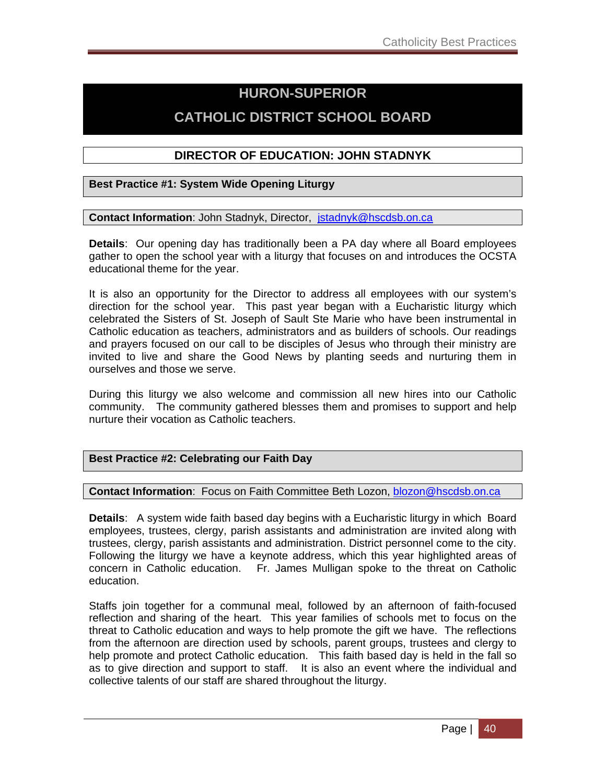## **HURON-SUPERIOR**

## **CATHOLIC DISTRICT SCHOOL BOARD**

### **DIRECTOR OF EDUCATION: JOHN STADNYK**

### **Best Practice #1: System Wide Opening Liturgy**

**Contact Information**: John Stadnyk, Director, jstadnyk@hscdsb.on.ca

**Details**: Our opening day has traditionally been a PA day where all Board employees gather to open the school year with a liturgy that focuses on and introduces the OCSTA educational theme for the year.

It is also an opportunity for the Director to address all employees with our system's direction for the school year. This past year began with a Eucharistic liturgy which celebrated the Sisters of St. Joseph of Sault Ste Marie who have been instrumental in Catholic education as teachers, administrators and as builders of schools. Our readings and prayers focused on our call to be disciples of Jesus who through their ministry are invited to live and share the Good News by planting seeds and nurturing them in ourselves and those we serve.

During this liturgy we also welcome and commission all new hires into our Catholic community. The community gathered blesses them and promises to support and help nurture their vocation as Catholic teachers.

### **Best Practice #2: Celebrating our Faith Day**

**Contact Information**: Focus on Faith Committee Beth Lozon, blozon@hscdsb.on.ca

**Details**: A system wide faith based day begins with a Eucharistic liturgy in which Board employees, trustees, clergy, parish assistants and administration are invited along with trustees, clergy, parish assistants and administration. District personnel come to the city. Following the liturgy we have a keynote address, which this year highlighted areas of concern in Catholic education. Fr. James Mulligan spoke to the threat on Catholic education.

Staffs join together for a communal meal, followed by an afternoon of faith-focused reflection and sharing of the heart. This year families of schools met to focus on the threat to Catholic education and ways to help promote the gift we have. The reflections from the afternoon are direction used by schools, parent groups, trustees and clergy to help promote and protect Catholic education. This faith based day is held in the fall so as to give direction and support to staff. It is also an event where the individual and collective talents of our staff are shared throughout the liturgy.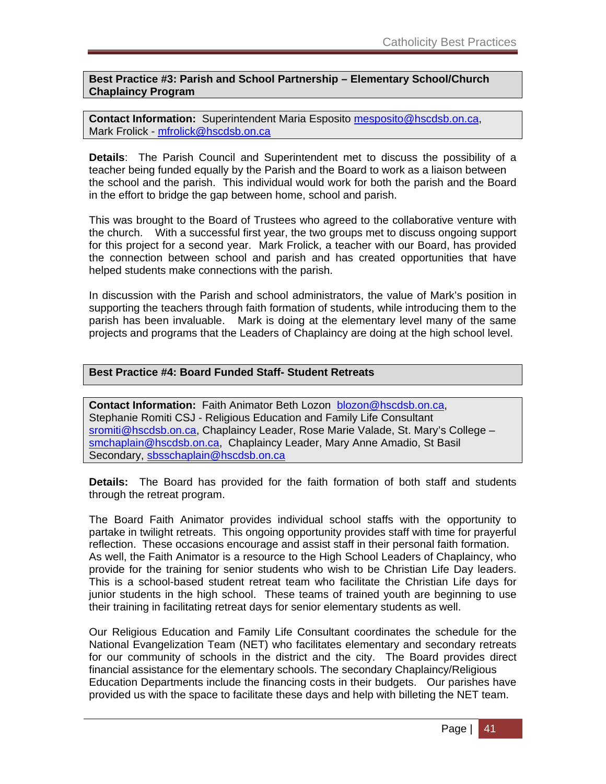**Best Practice #3: Parish and School Partnership – Elementary School/Church Chaplaincy Program** 

**Contact Information:** Superintendent Maria Esposito mesposito@hscdsb.on.ca, Mark Frolick - mfrolick@hscdsb.on.ca

**Details**: The Parish Council and Superintendent met to discuss the possibility of a teacher being funded equally by the Parish and the Board to work as a liaison between the school and the parish. This individual would work for both the parish and the Board in the effort to bridge the gap between home, school and parish.

This was brought to the Board of Trustees who agreed to the collaborative venture with the church. With a successful first year, the two groups met to discuss ongoing support for this project for a second year. Mark Frolick, a teacher with our Board, has provided the connection between school and parish and has created opportunities that have helped students make connections with the parish.

In discussion with the Parish and school administrators, the value of Mark's position in supporting the teachers through faith formation of students, while introducing them to the parish has been invaluable. Mark is doing at the elementary level many of the same projects and programs that the Leaders of Chaplaincy are doing at the high school level.

### **Best Practice #4: Board Funded Staff- Student Retreats**

**Contact Information:** Faith Animator Beth Lozon blozon@hscdsb.on.ca, Stephanie Romiti CSJ - Religious Education and Family Life Consultant sromiti@hscdsb.on.ca, Chaplaincy Leader, Rose Marie Valade, St. Mary's College – smchaplain@hscdsb.on.ca, Chaplaincy Leader, Mary Anne Amadio, St Basil Secondary, sbsschaplain@hscdsb.on.ca

**Details:** The Board has provided for the faith formation of both staff and students through the retreat program.

The Board Faith Animator provides individual school staffs with the opportunity to partake in twilight retreats. This ongoing opportunity provides staff with time for prayerful reflection. These occasions encourage and assist staff in their personal faith formation. As well, the Faith Animator is a resource to the High School Leaders of Chaplaincy, who provide for the training for senior students who wish to be Christian Life Day leaders. This is a school-based student retreat team who facilitate the Christian Life days for junior students in the high school. These teams of trained youth are beginning to use their training in facilitating retreat days for senior elementary students as well.

Our Religious Education and Family Life Consultant coordinates the schedule for the National Evangelization Team (NET) who facilitates elementary and secondary retreats for our community of schools in the district and the city. The Board provides direct financial assistance for the elementary schools. The secondary Chaplaincy/Religious Education Departments include the financing costs in their budgets. Our parishes have provided us with the space to facilitate these days and help with billeting the NET team.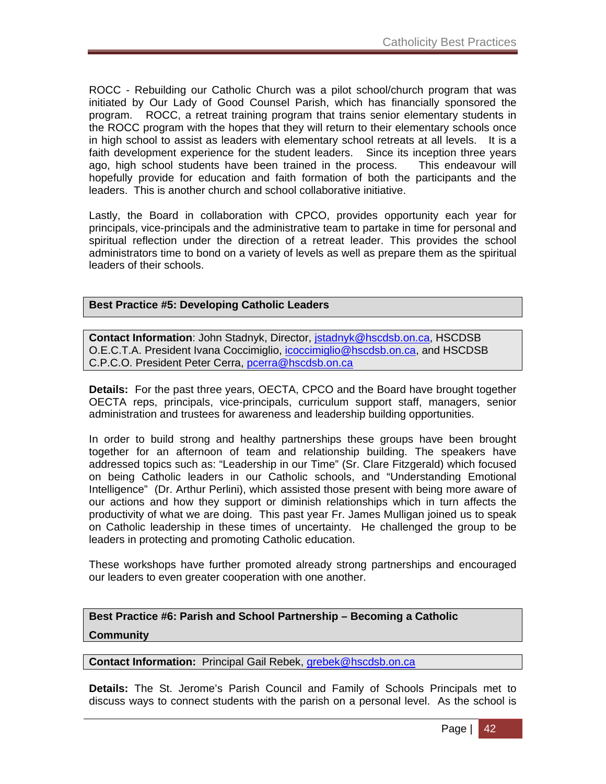ROCC - Rebuilding our Catholic Church was a pilot school/church program that was initiated by Our Lady of Good Counsel Parish, which has financially sponsored the program. ROCC, a retreat training program that trains senior elementary students in the ROCC program with the hopes that they will return to their elementary schools once in high school to assist as leaders with elementary school retreats at all levels. It is a faith development experience for the student leaders. Since its inception three years ago, high school students have been trained in the process. This endeavour will hopefully provide for education and faith formation of both the participants and the leaders. This is another church and school collaborative initiative.

Lastly, the Board in collaboration with CPCO, provides opportunity each year for principals, vice-principals and the administrative team to partake in time for personal and spiritual reflection under the direction of a retreat leader. This provides the school administrators time to bond on a variety of levels as well as prepare them as the spiritual leaders of their schools.

### **Best Practice #5: Developing Catholic Leaders**

**Contact Information**: John Stadnyk, Director, jstadnyk@hscdsb.on.ca, HSCDSB O.E.C.T.A. President Ivana Coccimiglio, icoccimiglio@hscdsb.on.ca, and HSCDSB C.P.C.O. President Peter Cerra, pcerra@hscdsb.on.ca

**Details:** For the past three years, OECTA, CPCO and the Board have brought together OECTA reps, principals, vice-principals, curriculum support staff, managers, senior administration and trustees for awareness and leadership building opportunities.

In order to build strong and healthy partnerships these groups have been brought together for an afternoon of team and relationship building. The speakers have addressed topics such as: "Leadership in our Time" (Sr. Clare Fitzgerald) which focused on being Catholic leaders in our Catholic schools, and "Understanding Emotional Intelligence" (Dr. Arthur Perlini), which assisted those present with being more aware of our actions and how they support or diminish relationships which in turn affects the productivity of what we are doing. This past year Fr. James Mulligan joined us to speak on Catholic leadership in these times of uncertainty. He challenged the group to be leaders in protecting and promoting Catholic education.

These workshops have further promoted already strong partnerships and encouraged our leaders to even greater cooperation with one another.

**Best Practice #6: Parish and School Partnership – Becoming a Catholic Community** 

#### **Contact Information:** Principal Gail Rebek, grebek@hscdsb.on.ca

**Details:** The St. Jerome's Parish Council and Family of Schools Principals met to discuss ways to connect students with the parish on a personal level. As the school is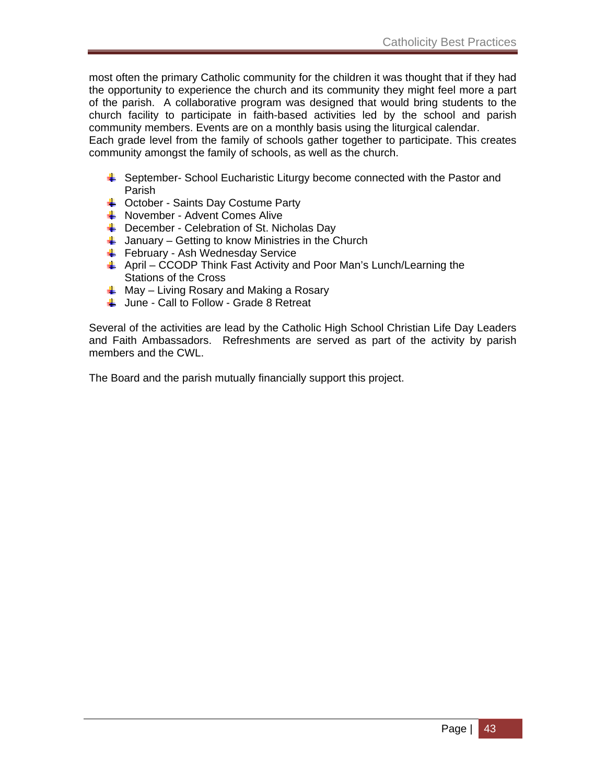most often the primary Catholic community for the children it was thought that if they had the opportunity to experience the church and its community they might feel more a part of the parish. A collaborative program was designed that would bring students to the church facility to participate in faith-based activities led by the school and parish community members. Events are on a monthly basis using the liturgical calendar.

Each grade level from the family of schools gather together to participate. This creates community amongst the family of schools, as well as the church.

- **E** September- School Eucharistic Liturgy become connected with the Pastor and Parish
- $\downarrow$  October Saints Day Costume Party
- November Advent Comes Alive
- $\overline{\phantom{a}}$  December Celebration of St. Nicholas Day
- $\frac{1}{2}$  January Getting to know Ministries in the Church
- $\frac{1}{2}$  February Ash Wednesday Service
- $\downarrow$  April CCODP Think Fast Activity and Poor Man's Lunch/Learning the Stations of the Cross
- $\frac{1}{2}$  May Living Rosary and Making a Rosary
- $\frac{1}{2}$  June Call to Follow Grade 8 Retreat

Several of the activities are lead by the Catholic High School Christian Life Day Leaders and Faith Ambassadors. Refreshments are served as part of the activity by parish members and the CWL.

The Board and the parish mutually financially support this project.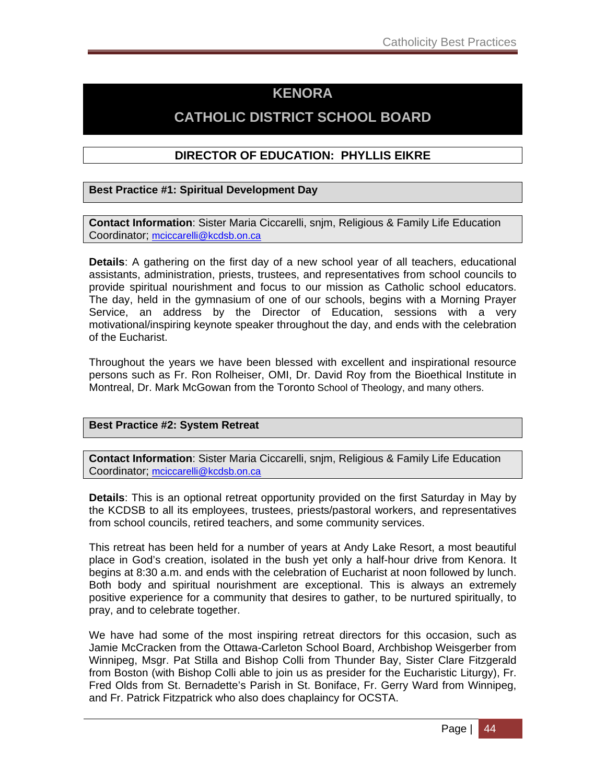## **KENORA**

## **CATHOLIC DISTRICT SCHOOL BOARD**

### **DIRECTOR OF EDUCATION: PHYLLIS EIKRE**

### **Best Practice #1: Spiritual Development Day**

**Contact Information**: Sister Maria Ciccarelli, snjm, Religious & Family Life Education Coordinator; mciccarelli@kcdsb.on.ca

**Details**: A gathering on the first day of a new school year of all teachers, educational assistants, administration, priests, trustees, and representatives from school councils to provide spiritual nourishment and focus to our mission as Catholic school educators. The day, held in the gymnasium of one of our schools, begins with a Morning Prayer Service, an address by the Director of Education, sessions with a very motivational/inspiring keynote speaker throughout the day, and ends with the celebration of the Eucharist.

Throughout the years we have been blessed with excellent and inspirational resource persons such as Fr. Ron Rolheiser, OMI, Dr. David Roy from the Bioethical Institute in Montreal, Dr. Mark McGowan from the Toronto School of Theology, and many others.

### **Best Practice #2: System Retreat**

**Contact Information**: Sister Maria Ciccarelli, snjm, Religious & Family Life Education Coordinator; mciccarelli@kcdsb.on.ca

**Details**: This is an optional retreat opportunity provided on the first Saturday in May by the KCDSB to all its employees, trustees, priests/pastoral workers, and representatives from school councils, retired teachers, and some community services.

This retreat has been held for a number of years at Andy Lake Resort, a most beautiful place in God's creation, isolated in the bush yet only a half-hour drive from Kenora. It begins at 8:30 a.m. and ends with the celebration of Eucharist at noon followed by lunch. Both body and spiritual nourishment are exceptional. This is always an extremely positive experience for a community that desires to gather, to be nurtured spiritually, to pray, and to celebrate together.

We have had some of the most inspiring retreat directors for this occasion, such as Jamie McCracken from the Ottawa-Carleton School Board, Archbishop Weisgerber from Winnipeg, Msgr. Pat Stilla and Bishop Colli from Thunder Bay, Sister Clare Fitzgerald from Boston (with Bishop Colli able to join us as presider for the Eucharistic Liturgy), Fr. Fred Olds from St. Bernadette's Parish in St. Boniface, Fr. Gerry Ward from Winnipeg, and Fr. Patrick Fitzpatrick who also does chaplaincy for OCSTA.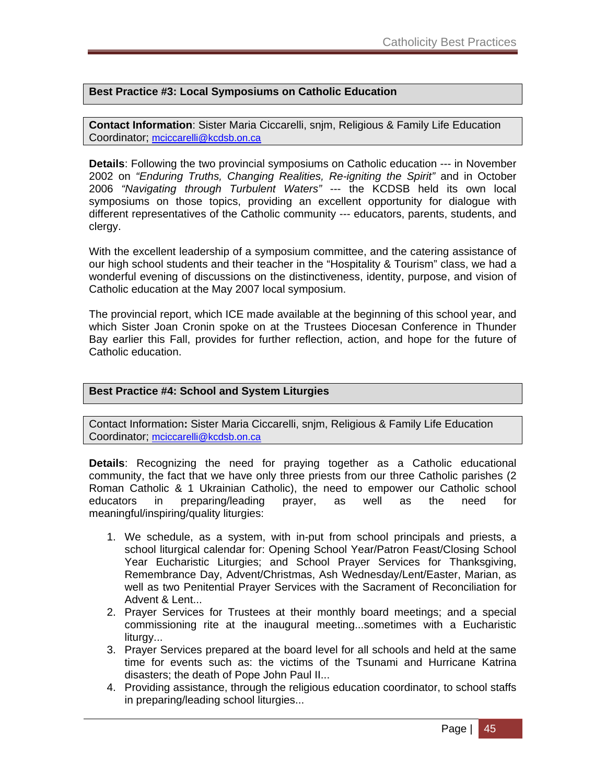### **Best Practice #3: Local Symposiums on Catholic Education**

**Contact Information**: Sister Maria Ciccarelli, snjm, Religious & Family Life Education Coordinator; mciccarelli@kcdsb.on.ca

**Details**: Following the two provincial symposiums on Catholic education --- in November 2002 on *"Enduring Truths, Changing Realities, Re-igniting the Spirit"* and in October 2006 *"Navigating through Turbulent Waters"* --- the KCDSB held its own local symposiums on those topics, providing an excellent opportunity for dialogue with different representatives of the Catholic community --- educators, parents, students, and clergy.

With the excellent leadership of a symposium committee, and the catering assistance of our high school students and their teacher in the "Hospitality & Tourism" class, we had a wonderful evening of discussions on the distinctiveness, identity, purpose, and vision of Catholic education at the May 2007 local symposium.

The provincial report, which ICE made available at the beginning of this school year, and which Sister Joan Cronin spoke on at the Trustees Diocesan Conference in Thunder Bay earlier this Fall, provides for further reflection, action, and hope for the future of Catholic education.

### **Best Practice #4: School and System Liturgies**

Contact Information**:** Sister Maria Ciccarelli, snjm, Religious & Family Life Education Coordinator; mciccarelli@kcdsb.on.ca

**Details**: Recognizing the need for praying together as a Catholic educational community, the fact that we have only three priests from our three Catholic parishes (2 Roman Catholic & 1 Ukrainian Catholic), the need to empower our Catholic school educators in preparing/leading prayer, as well as the need for meaningful/inspiring/quality liturgies:

- 1. We schedule, as a system, with in-put from school principals and priests, a school liturgical calendar for: Opening School Year/Patron Feast/Closing School Year Eucharistic Liturgies; and School Prayer Services for Thanksgiving, Remembrance Day, Advent/Christmas, Ash Wednesday/Lent/Easter, Marian, as well as two Penitential Prayer Services with the Sacrament of Reconciliation for Advent & Lent...
- 2. Prayer Services for Trustees at their monthly board meetings; and a special commissioning rite at the inaugural meeting...sometimes with a Eucharistic liturgy...
- 3. Prayer Services prepared at the board level for all schools and held at the same time for events such as: the victims of the Tsunami and Hurricane Katrina disasters; the death of Pope John Paul II...
- 4. Providing assistance, through the religious education coordinator, to school staffs in preparing/leading school liturgies...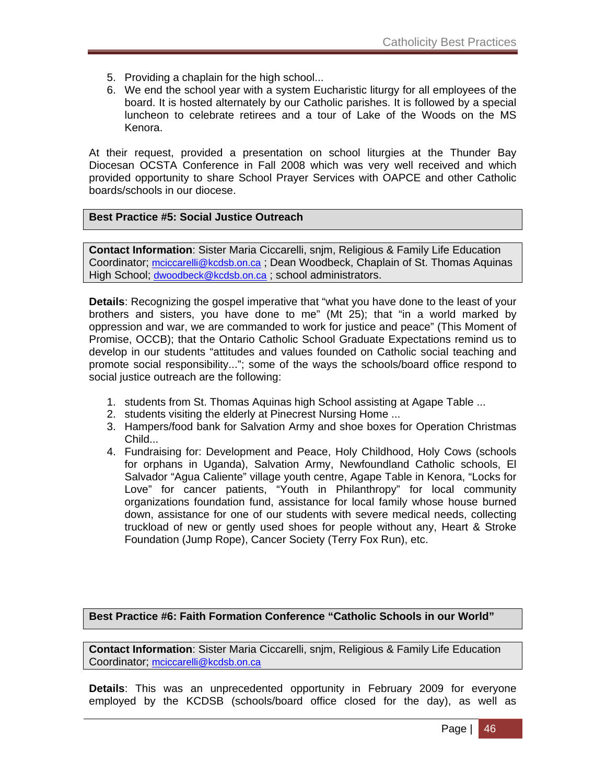- 5. Providing a chaplain for the high school...
- 6. We end the school year with a system Eucharistic liturgy for all employees of the board. It is hosted alternately by our Catholic parishes. It is followed by a special luncheon to celebrate retirees and a tour of Lake of the Woods on the MS Kenora.

At their request, provided a presentation on school liturgies at the Thunder Bay Diocesan OCSTA Conference in Fall 2008 which was very well received and which provided opportunity to share School Prayer Services with OAPCE and other Catholic boards/schools in our diocese.

### **Best Practice #5: Social Justice Outreach**

**Contact Information**: Sister Maria Ciccarelli, snjm, Religious & Family Life Education Coordinator; mciccarelli@kcdsb.on.ca ; Dean Woodbeck, Chaplain of St. Thomas Aquinas High School; dwoodbeck@kcdsb.on.ca ; school administrators.

**Details**: Recognizing the gospel imperative that "what you have done to the least of your brothers and sisters, you have done to me" (Mt 25); that "in a world marked by oppression and war, we are commanded to work for justice and peace" (This Moment of Promise, OCCB); that the Ontario Catholic School Graduate Expectations remind us to develop in our students "attitudes and values founded on Catholic social teaching and promote social responsibility..."; some of the ways the schools/board office respond to social justice outreach are the following:

- 1. students from St. Thomas Aquinas high School assisting at Agape Table ...
- 2. students visiting the elderly at Pinecrest Nursing Home ...
- 3. Hampers/food bank for Salvation Army and shoe boxes for Operation Christmas Child...
- 4. Fundraising for: Development and Peace, Holy Childhood, Holy Cows (schools for orphans in Uganda), Salvation Army, Newfoundland Catholic schools, El Salvador "Agua Caliente" village youth centre, Agape Table in Kenora, "Locks for Love" for cancer patients, "Youth in Philanthropy" for local community organizations foundation fund, assistance for local family whose house burned down, assistance for one of our students with severe medical needs, collecting truckload of new or gently used shoes for people without any, Heart & Stroke Foundation (Jump Rope), Cancer Society (Terry Fox Run), etc.

**Best Practice #6: Faith Formation Conference "Catholic Schools in our World"** 

**Contact Information**: Sister Maria Ciccarelli, snjm, Religious & Family Life Education Coordinator; mciccarelli@kcdsb.on.ca

**Details**: This was an unprecedented opportunity in February 2009 for everyone employed by the KCDSB (schools/board office closed for the day), as well as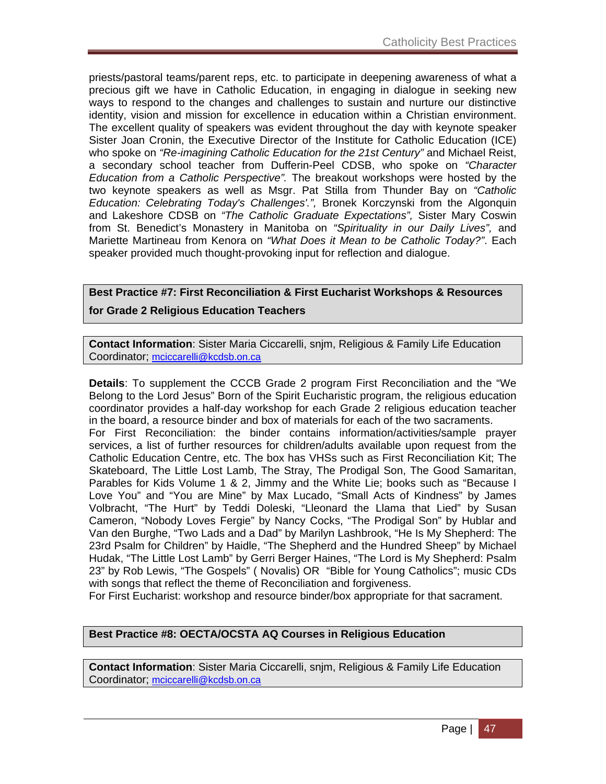priests/pastoral teams/parent reps, etc. to participate in deepening awareness of what a precious gift we have in Catholic Education, in engaging in dialogue in seeking new ways to respond to the changes and challenges to sustain and nurture our distinctive identity, vision and mission for excellence in education within a Christian environment. The excellent quality of speakers was evident throughout the day with keynote speaker Sister Joan Cronin, the Executive Director of the Institute for Catholic Education (ICE) who spoke on *"Re-imagining Catholic Education for the 21st Century"* and Michael Reist, a secondary school teacher from Dufferin-Peel CDSB, who spoke on *"Character Education from a Catholic Perspective".* The breakout workshops were hosted by the two keynote speakers as well as Msgr. Pat Stilla from Thunder Bay on *"Catholic Education: Celebrating Today's Challenges'.",* Bronek Korczynski from the Algonquin and Lakeshore CDSB on *"The Catholic Graduate Expectations",* Sister Mary Coswin from St. Benedict's Monastery in Manitoba on *"Spirituality in our Daily Lives",* and Mariette Martineau from Kenora on *"What Does it Mean to be Catholic Today?"*. Each speaker provided much thought-provoking input for reflection and dialogue.

## **Best Practice #7: First Reconciliation & First Eucharist Workshops & Resources**

### **for Grade 2 Religious Education Teachers**

**Contact Information**: Sister Maria Ciccarelli, snjm, Religious & Family Life Education Coordinator; mciccarelli@kcdsb.on.ca

**Details**: To supplement the CCCB Grade 2 program First Reconciliation and the "We Belong to the Lord Jesus" Born of the Spirit Eucharistic program, the religious education coordinator provides a half-day workshop for each Grade 2 religious education teacher in the board, a resource binder and box of materials for each of the two sacraments. For First Reconciliation: the binder contains information/activities/sample prayer services, a list of further resources for children/adults available upon request from the Catholic Education Centre, etc. The box has VHSs such as First Reconciliation Kit; The Skateboard, The Little Lost Lamb, The Stray, The Prodigal Son, The Good Samaritan, Parables for Kids Volume 1 & 2, Jimmy and the White Lie; books such as "Because I Love You" and "You are Mine" by Max Lucado, "Small Acts of Kindness" by James Volbracht, "The Hurt" by Teddi Doleski, "Lleonard the Llama that Lied" by Susan Cameron, "Nobody Loves Fergie" by Nancy Cocks, "The Prodigal Son" by Hublar and Van den Burghe, "Two Lads and a Dad" by Marilyn Lashbrook, "He Is My Shepherd: The 23rd Psalm for Children" by Haidle, "The Shepherd and the Hundred Sheep" by Michael Hudak, "The Little Lost Lamb" by Gerri Berger Haines, "The Lord is My Shepherd: Psalm 23" by Rob Lewis, "The Gospels" ( Novalis) OR "Bible for Young Catholics"; music CDs with songs that reflect the theme of Reconciliation and forgiveness.

For First Eucharist: workshop and resource binder/box appropriate for that sacrament.

### **Best Practice #8: OECTA/OCSTA AQ Courses in Religious Education**

**Contact Information**: Sister Maria Ciccarelli, snjm, Religious & Family Life Education Coordinator; mciccarelli@kcdsb.on.ca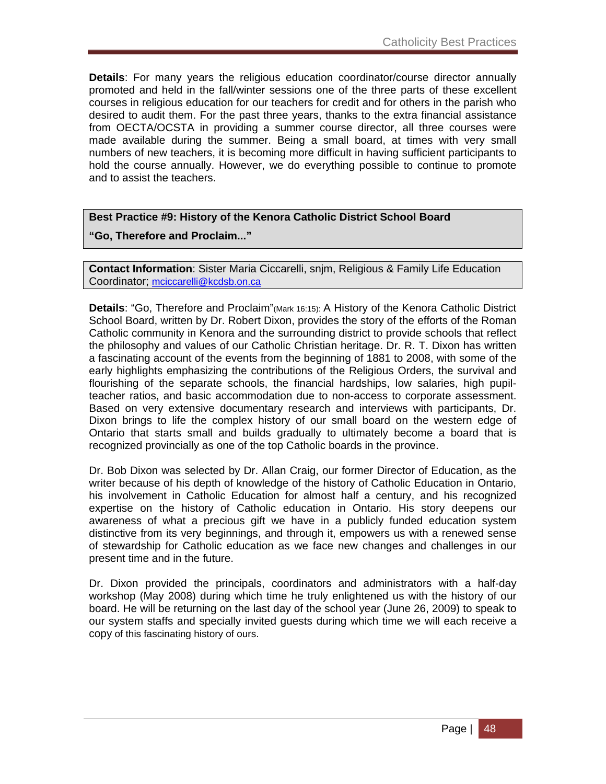**Details**: For many years the religious education coordinator/course director annually promoted and held in the fall/winter sessions one of the three parts of these excellent courses in religious education for our teachers for credit and for others in the parish who desired to audit them. For the past three years, thanks to the extra financial assistance from OECTA/OCSTA in providing a summer course director, all three courses were made available during the summer. Being a small board, at times with very small numbers of new teachers, it is becoming more difficult in having sufficient participants to hold the course annually. However, we do everything possible to continue to promote and to assist the teachers.

### **Best Practice #9: History of the Kenora Catholic District School Board**

**"Go, Therefore and Proclaim..."** 

**Contact Information**: Sister Maria Ciccarelli, snjm, Religious & Family Life Education Coordinator; mciccarelli@kcdsb.on.ca

**Details**: "Go, Therefore and Proclaim"(Mark 16:15): A History of the Kenora Catholic District School Board, written by Dr. Robert Dixon, provides the story of the efforts of the Roman Catholic community in Kenora and the surrounding district to provide schools that reflect the philosophy and values of our Catholic Christian heritage. Dr. R. T. Dixon has written a fascinating account of the events from the beginning of 1881 to 2008, with some of the early highlights emphasizing the contributions of the Religious Orders, the survival and flourishing of the separate schools, the financial hardships, low salaries, high pupilteacher ratios, and basic accommodation due to non-access to corporate assessment. Based on very extensive documentary research and interviews with participants, Dr. Dixon brings to life the complex history of our small board on the western edge of Ontario that starts small and builds gradually to ultimately become a board that is recognized provincially as one of the top Catholic boards in the province.

Dr. Bob Dixon was selected by Dr. Allan Craig, our former Director of Education, as the writer because of his depth of knowledge of the history of Catholic Education in Ontario, his involvement in Catholic Education for almost half a century, and his recognized expertise on the history of Catholic education in Ontario. His story deepens our awareness of what a precious gift we have in a publicly funded education system distinctive from its very beginnings, and through it, empowers us with a renewed sense of stewardship for Catholic education as we face new changes and challenges in our present time and in the future.

Dr. Dixon provided the principals, coordinators and administrators with a half-day workshop (May 2008) during which time he truly enlightened us with the history of our board. He will be returning on the last day of the school year (June 26, 2009) to speak to our system staffs and specially invited guests during which time we will each receive a copy of this fascinating history of ours.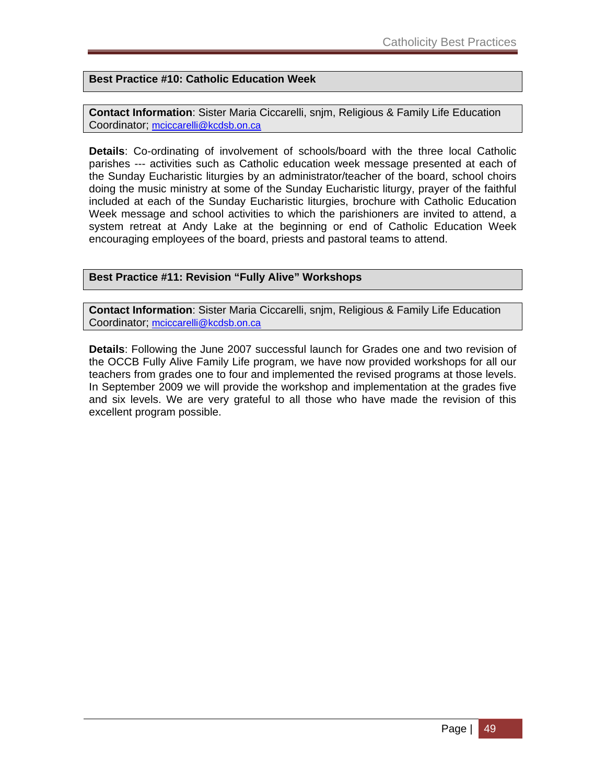**Best Practice #10: Catholic Education Week** 

**Contact Information**: Sister Maria Ciccarelli, snjm, Religious & Family Life Education Coordinator; mciccarelli@kcdsb.on.ca

**Details**: Co-ordinating of involvement of schools/board with the three local Catholic parishes --- activities such as Catholic education week message presented at each of the Sunday Eucharistic liturgies by an administrator/teacher of the board, school choirs doing the music ministry at some of the Sunday Eucharistic liturgy, prayer of the faithful included at each of the Sunday Eucharistic liturgies, brochure with Catholic Education Week message and school activities to which the parishioners are invited to attend, a system retreat at Andy Lake at the beginning or end of Catholic Education Week encouraging employees of the board, priests and pastoral teams to attend.

### **Best Practice #11: Revision "Fully Alive" Workshops**

**Contact Information**: Sister Maria Ciccarelli, snjm, Religious & Family Life Education Coordinator; mciccarelli@kcdsb.on.ca

**Details**: Following the June 2007 successful launch for Grades one and two revision of the OCCB Fully Alive Family Life program, we have now provided workshops for all our teachers from grades one to four and implemented the revised programs at those levels. In September 2009 we will provide the workshop and implementation at the grades five and six levels. We are very grateful to all those who have made the revision of this excellent program possible.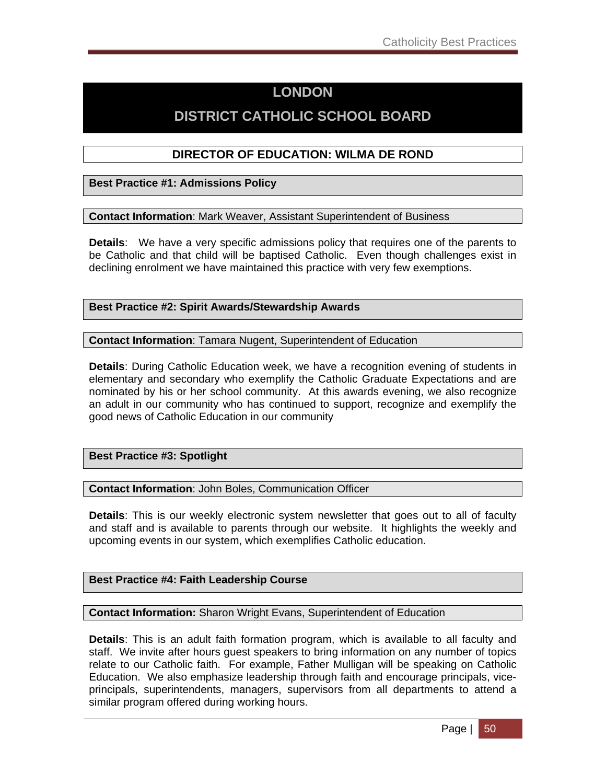## **LONDON**

## **DISTRICT CATHOLIC SCHOOL BOARD**

### **DIRECTOR OF EDUCATION: WILMA DE ROND**

**Best Practice #1: Admissions Policy**

**Contact Information**: Mark Weaver, Assistant Superintendent of Business

**Details**: We have a very specific admissions policy that requires one of the parents to be Catholic and that child will be baptised Catholic. Even though challenges exist in declining enrolment we have maintained this practice with very few exemptions.

**Best Practice #2: Spirit Awards/Stewardship Awards**

**Contact Information**: Tamara Nugent, Superintendent of Education

**Details**: During Catholic Education week, we have a recognition evening of students in elementary and secondary who exemplify the Catholic Graduate Expectations and are nominated by his or her school community. At this awards evening, we also recognize an adult in our community who has continued to support, recognize and exemplify the good news of Catholic Education in our community

**Best Practice #3: Spotlight** 

**Contact Information**: John Boles, Communication Officer

**Details**: This is our weekly electronic system newsletter that goes out to all of faculty and staff and is available to parents through our website. It highlights the weekly and upcoming events in our system, which exemplifies Catholic education.

### **Best Practice #4: Faith Leadership Course**

**Contact Information:** Sharon Wright Evans, Superintendent of Education

**Details**: This is an adult faith formation program, which is available to all faculty and staff. We invite after hours guest speakers to bring information on any number of topics relate to our Catholic faith. For example, Father Mulligan will be speaking on Catholic Education. We also emphasize leadership through faith and encourage principals, viceprincipals, superintendents, managers, supervisors from all departments to attend a similar program offered during working hours.

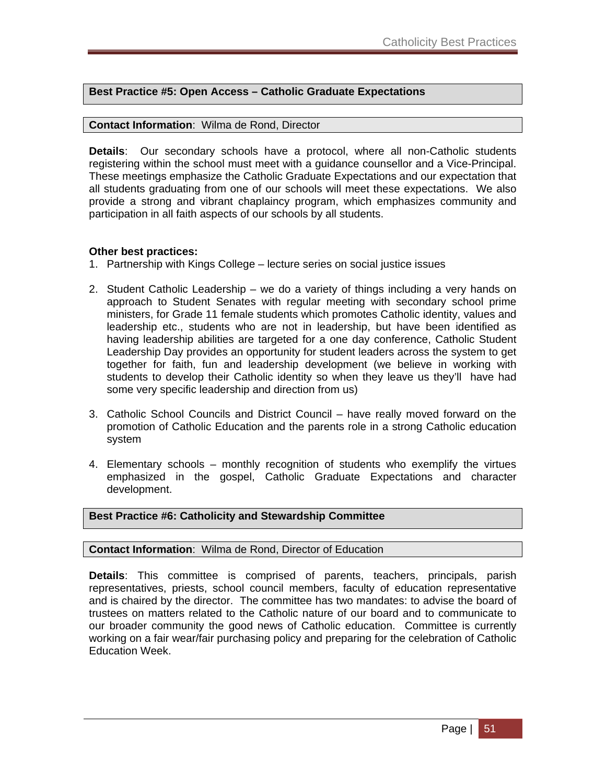### **Best Practice #5: Open Access – Catholic Graduate Expectations**

### **Contact Information**: Wilma de Rond, Director

**Details**: Our secondary schools have a protocol, where all non-Catholic students registering within the school must meet with a guidance counsellor and a Vice-Principal. These meetings emphasize the Catholic Graduate Expectations and our expectation that all students graduating from one of our schools will meet these expectations. We also provide a strong and vibrant chaplaincy program, which emphasizes community and participation in all faith aspects of our schools by all students.

### **Other best practices:**

- 1. Partnership with Kings College lecture series on social justice issues
- 2. Student Catholic Leadership we do a variety of things including a very hands on approach to Student Senates with regular meeting with secondary school prime ministers, for Grade 11 female students which promotes Catholic identity, values and leadership etc., students who are not in leadership, but have been identified as having leadership abilities are targeted for a one day conference, Catholic Student Leadership Day provides an opportunity for student leaders across the system to get together for faith, fun and leadership development (we believe in working with students to develop their Catholic identity so when they leave us they'll have had some very specific leadership and direction from us)
- 3. Catholic School Councils and District Council have really moved forward on the promotion of Catholic Education and the parents role in a strong Catholic education system
- 4. Elementary schools monthly recognition of students who exemplify the virtues emphasized in the gospel, Catholic Graduate Expectations and character development.

### **Best Practice #6: Catholicity and Stewardship Committee**

#### **Contact Information**: Wilma de Rond, Director of Education

**Details**: This committee is comprised of parents, teachers, principals, parish representatives, priests, school council members, faculty of education representative and is chaired by the director. The committee has two mandates: to advise the board of trustees on matters related to the Catholic nature of our board and to communicate to our broader community the good news of Catholic education. Committee is currently working on a fair wear/fair purchasing policy and preparing for the celebration of Catholic Education Week.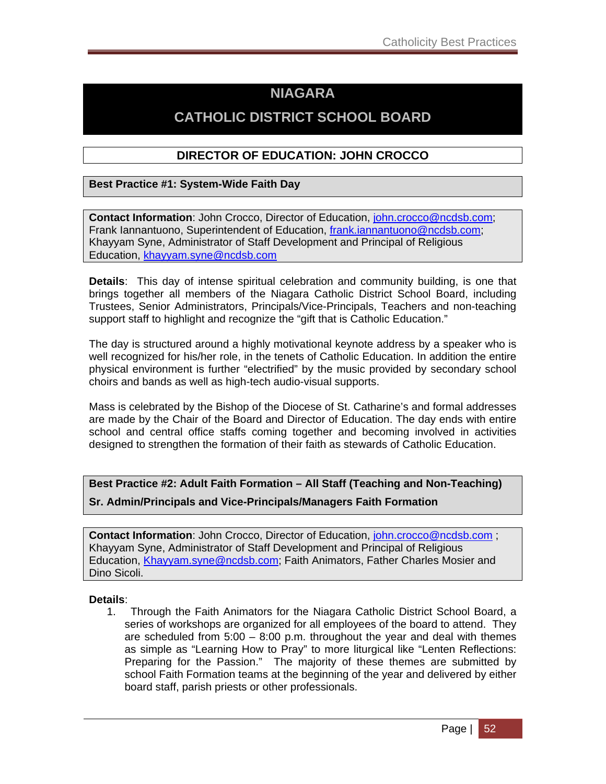## **NIAGARA**

## **CATHOLIC DISTRICT SCHOOL BOARD**

### **DIRECTOR OF EDUCATION: JOHN CROCCO**

### **Best Practice #1: System-Wide Faith Day**

**Contact Information**: John Crocco, Director of Education, john.crocco@ncdsb.com; Frank Iannantuono, Superintendent of Education, frank.iannantuono@ncdsb.com; Khayyam Syne, Administrator of Staff Development and Principal of Religious Education, khayyam.syne@ncdsb.com

**Details**: This day of intense spiritual celebration and community building, is one that brings together all members of the Niagara Catholic District School Board, including Trustees, Senior Administrators, Principals/Vice-Principals, Teachers and non-teaching support staff to highlight and recognize the "gift that is Catholic Education."

The day is structured around a highly motivational keynote address by a speaker who is well recognized for his/her role, in the tenets of Catholic Education. In addition the entire physical environment is further "electrified" by the music provided by secondary school choirs and bands as well as high-tech audio-visual supports.

Mass is celebrated by the Bishop of the Diocese of St. Catharine's and formal addresses are made by the Chair of the Board and Director of Education. The day ends with entire school and central office staffs coming together and becoming involved in activities designed to strengthen the formation of their faith as stewards of Catholic Education.

### **Best Practice #2: Adult Faith Formation – All Staff (Teaching and Non-Teaching)**

**Sr. Admin/Principals and Vice-Principals/Managers Faith Formation** 

**Contact Information**: John Crocco, Director of Education, john.crocco@ncdsb.com ; Khayyam Syne, Administrator of Staff Development and Principal of Religious Education, Khayyam.syne@ncdsb.com; Faith Animators, Father Charles Mosier and Dino Sicoli.

### **Details**:

1. Through the Faith Animators for the Niagara Catholic District School Board, a series of workshops are organized for all employees of the board to attend. They are scheduled from  $5:00 - 8:00$  p.m. throughout the year and deal with themes as simple as "Learning How to Pray" to more liturgical like "Lenten Reflections: Preparing for the Passion." The majority of these themes are submitted by school Faith Formation teams at the beginning of the year and delivered by either board staff, parish priests or other professionals.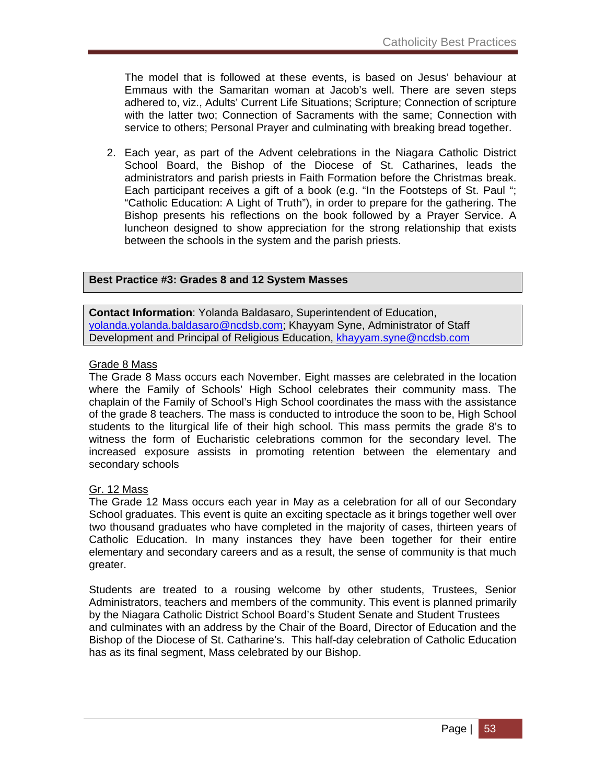The model that is followed at these events, is based on Jesus' behaviour at Emmaus with the Samaritan woman at Jacob's well. There are seven steps adhered to, viz., Adults' Current Life Situations; Scripture; Connection of scripture with the latter two; Connection of Sacraments with the same; Connection with service to others; Personal Prayer and culminating with breaking bread together.

2. Each year, as part of the Advent celebrations in the Niagara Catholic District School Board, the Bishop of the Diocese of St. Catharines, leads the administrators and parish priests in Faith Formation before the Christmas break. Each participant receives a gift of a book (e.g. "In the Footsteps of St. Paul "; "Catholic Education: A Light of Truth"), in order to prepare for the gathering. The Bishop presents his reflections on the book followed by a Prayer Service. A luncheon designed to show appreciation for the strong relationship that exists between the schools in the system and the parish priests.

### **Best Practice #3: Grades 8 and 12 System Masses**

**Contact Information**: Yolanda Baldasaro, Superintendent of Education, yolanda.yolanda.baldasaro@ncdsb.com; Khayyam Syne, Administrator of Staff Development and Principal of Religious Education, khayyam.syne@ncdsb.com

### Grade 8 Mass

The Grade 8 Mass occurs each November. Eight masses are celebrated in the location where the Family of Schools' High School celebrates their community mass. The chaplain of the Family of School's High School coordinates the mass with the assistance of the grade 8 teachers. The mass is conducted to introduce the soon to be, High School students to the liturgical life of their high school. This mass permits the grade 8's to witness the form of Eucharistic celebrations common for the secondary level. The increased exposure assists in promoting retention between the elementary and secondary schools

### Gr. 12 Mass

The Grade 12 Mass occurs each year in May as a celebration for all of our Secondary School graduates. This event is quite an exciting spectacle as it brings together well over two thousand graduates who have completed in the majority of cases, thirteen years of Catholic Education. In many instances they have been together for their entire elementary and secondary careers and as a result, the sense of community is that much greater.

Students are treated to a rousing welcome by other students, Trustees, Senior Administrators, teachers and members of the community. This event is planned primarily by the Niagara Catholic District School Board's Student Senate and Student Trustees and culminates with an address by the Chair of the Board, Director of Education and the Bishop of the Diocese of St. Catharine's. This half-day celebration of Catholic Education has as its final segment, Mass celebrated by our Bishop.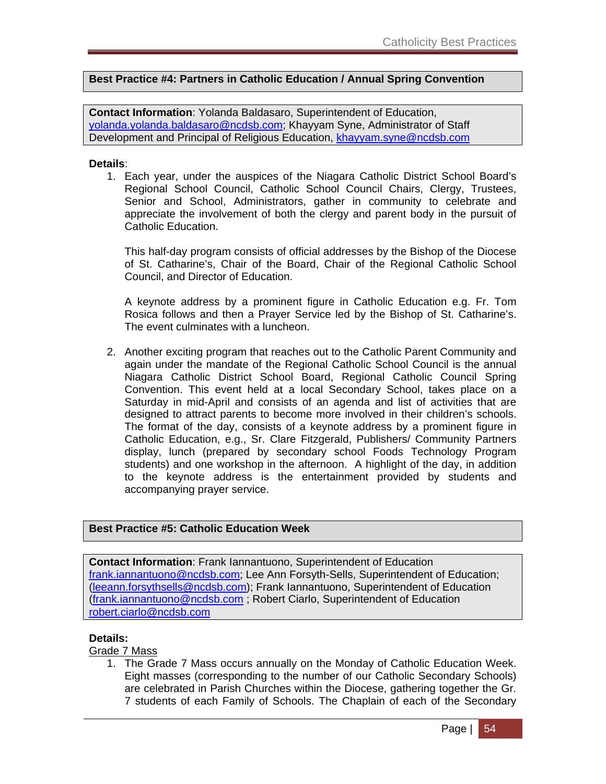### **Best Practice #4: Partners in Catholic Education / Annual Spring Convention**

**Contact Information**: Yolanda Baldasaro, Superintendent of Education, yolanda.yolanda.baldasaro@ncdsb.com; Khayyam Syne, Administrator of Staff Development and Principal of Religious Education, khayyam.syne@ncdsb.com

### **Details**:

1. Each year, under the auspices of the Niagara Catholic District School Board's Regional School Council, Catholic School Council Chairs, Clergy, Trustees, Senior and School, Administrators, gather in community to celebrate and appreciate the involvement of both the clergy and parent body in the pursuit of Catholic Education.

This half-day program consists of official addresses by the Bishop of the Diocese of St. Catharine's, Chair of the Board, Chair of the Regional Catholic School Council, and Director of Education.

A keynote address by a prominent figure in Catholic Education e.g. Fr. Tom Rosica follows and then a Prayer Service led by the Bishop of St. Catharine's. The event culminates with a luncheon.

2. Another exciting program that reaches out to the Catholic Parent Community and again under the mandate of the Regional Catholic School Council is the annual Niagara Catholic District School Board, Regional Catholic Council Spring Convention. This event held at a local Secondary School, takes place on a Saturday in mid-April and consists of an agenda and list of activities that are designed to attract parents to become more involved in their children's schools. The format of the day, consists of a keynote address by a prominent figure in Catholic Education, e.g., Sr. Clare Fitzgerald, Publishers/ Community Partners display, lunch (prepared by secondary school Foods Technology Program students) and one workshop in the afternoon. A highlight of the day, in addition to the keynote address is the entertainment provided by students and accompanying prayer service.

### **Best Practice #5: Catholic Education Week**

**Contact Information**: Frank Iannantuono, Superintendent of Education frank.iannantuono@ncdsb.com; Lee Ann Forsyth-Sells, Superintendent of Education; (leeann.forsythsells@ncdsb.com); Frank Iannantuono, Superintendent of Education (frank.iannantuono@ncdsb.com ; Robert Ciarlo, Superintendent of Education robert.ciarlo@ncdsb.com

#### **Details:**

### Grade 7 Mass

1. The Grade 7 Mass occurs annually on the Monday of Catholic Education Week. Eight masses (corresponding to the number of our Catholic Secondary Schools) are celebrated in Parish Churches within the Diocese, gathering together the Gr. 7 students of each Family of Schools. The Chaplain of each of the Secondary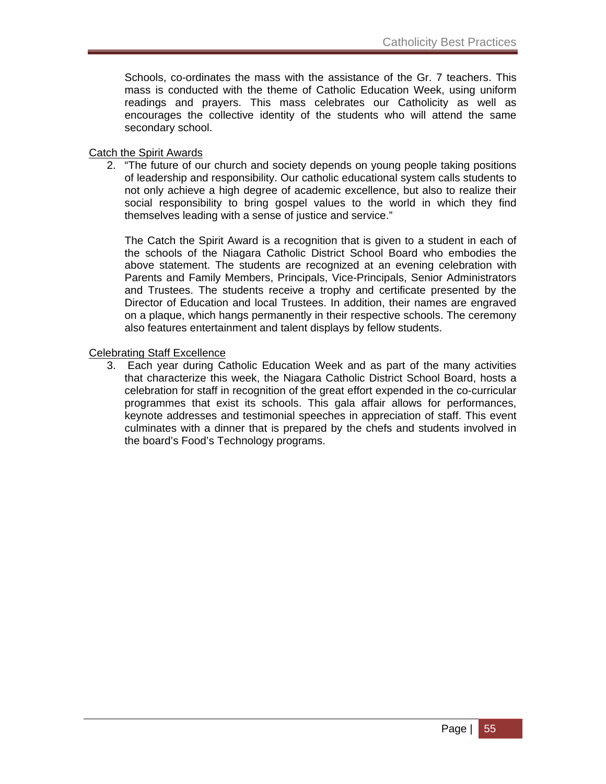Schools, co-ordinates the mass with the assistance of the Gr. 7 teachers. This mass is conducted with the theme of Catholic Education Week, using uniform readings and prayers. This mass celebrates our Catholicity as well as encourages the collective identity of the students who will attend the same secondary school.

### Catch the Spirit Awards

2. "The future of our church and society depends on young people taking positions of leadership and responsibility. Our catholic educational system calls students to not only achieve a high degree of academic excellence, but also to realize their social responsibility to bring gospel values to the world in which they find themselves leading with a sense of justice and service."

The Catch the Spirit Award is a recognition that is given to a student in each of the schools of the Niagara Catholic District School Board who embodies the above statement. The students are recognized at an evening celebration with Parents and Family Members, Principals, Vice-Principals, Senior Administrators and Trustees. The students receive a trophy and certificate presented by the Director of Education and local Trustees. In addition, their names are engraved on a plaque, which hangs permanently in their respective schools. The ceremony also features entertainment and talent displays by fellow students.

### Celebrating Staff Excellence

3. Each year during Catholic Education Week and as part of the many activities that characterize this week, the Niagara Catholic District School Board, hosts a celebration for staff in recognition of the great effort expended in the co-curricular programmes that exist its schools. This gala affair allows for performances, keynote addresses and testimonial speeches in appreciation of staff. This event culminates with a dinner that is prepared by the chefs and students involved in the board's Food's Technology programs.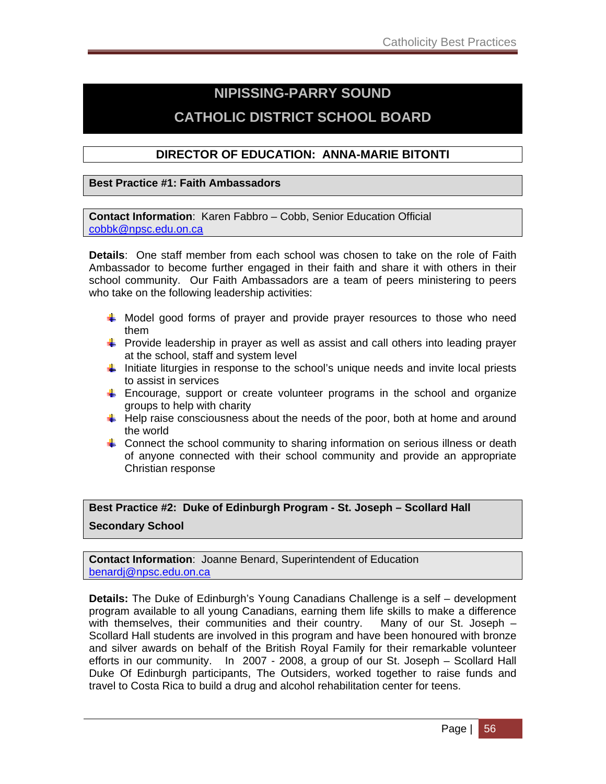# **NIPISSING-PARRY SOUND CATHOLIC DISTRICT SCHOOL BOARD**

### **DIRECTOR OF EDUCATION: ANNA-MARIE BITONTI**

### **Best Practice #1: Faith Ambassadors**

**Contact Information**: Karen Fabbro – Cobb, Senior Education Official cobbk@npsc.edu.on.ca

**Details**: One staff member from each school was chosen to take on the role of Faith Ambassador to become further engaged in their faith and share it with others in their school community. Our Faith Ambassadors are a team of peers ministering to peers who take on the following leadership activities:

- $\ddot$  Model good forms of prayer and provide prayer resources to those who need them
- $\frac{1}{2}$  Provide leadership in prayer as well as assist and call others into leading prayer at the school, staff and system level
- Initiate liturgies in response to the school's unique needs and invite local priests to assist in services
- Encourage, support or create volunteer programs in the school and organize groups to help with charity
- $\downarrow$  Help raise consciousness about the needs of the poor, both at home and around the world
- **Connect the school community to sharing information on serious illness or death** of anyone connected with their school community and provide an appropriate Christian response

**Best Practice #2: Duke of Edinburgh Program - St. Joseph – Scollard Hall Secondary School** 

**Contact Information**: Joanne Benard, Superintendent of Education benardj@npsc.edu.on.ca

**Details:** The Duke of Edinburgh's Young Canadians Challenge is a self – development program available to all young Canadians, earning them life skills to make a difference with themselves, their communities and their country. Many of our St. Joseph – Scollard Hall students are involved in this program and have been honoured with bronze and silver awards on behalf of the British Royal Family for their remarkable volunteer efforts in our community. In 2007 - 2008, a group of our St. Joseph – Scollard Hall Duke Of Edinburgh participants, The Outsiders, worked together to raise funds and travel to Costa Rica to build a drug and alcohol rehabilitation center for teens.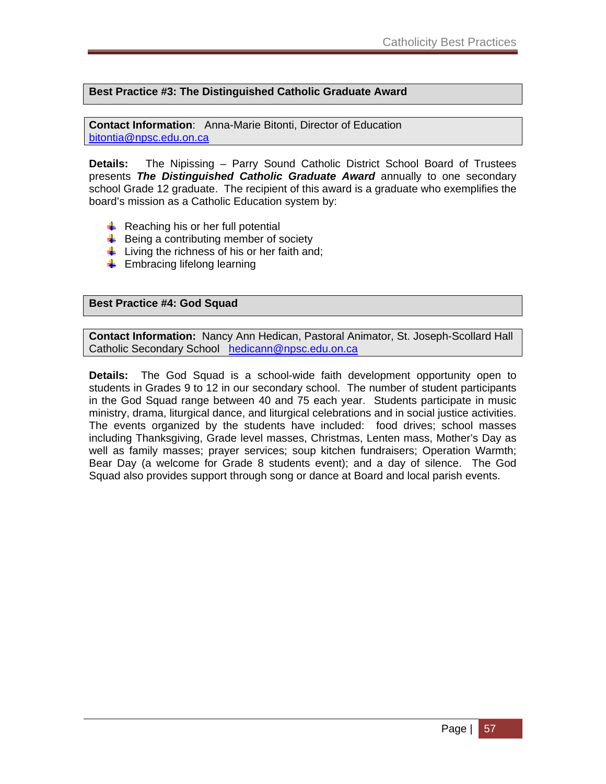**Best Practice #3: The Distinguished Catholic Graduate Award** 

**Contact Information**: Anna-Marie Bitonti, Director of Education bitontia@npsc.edu.on.ca

**Details:** The Nipissing – Parry Sound Catholic District School Board of Trustees presents *The Distinguished Catholic Graduate Award* annually to one secondary school Grade 12 graduate. The recipient of this award is a graduate who exemplifies the board's mission as a Catholic Education system by:

- $\downarrow$  Reaching his or her full potential
- $\frac{1}{2}$  Being a contributing member of society
- $\frac{1}{2}$  Living the richness of his or her faith and;
- $\leftarrow$  Embracing lifelong learning

#### **Best Practice #4: God Squad**

**Contact Information:** Nancy Ann Hedican, Pastoral Animator, St. Joseph-Scollard Hall Catholic Secondary School hedicann@npsc.edu.on.ca

**Details:** The God Squad is a school-wide faith development opportunity open to students in Grades 9 to 12 in our secondary school. The number of student participants in the God Squad range between 40 and 75 each year. Students participate in music ministry, drama, liturgical dance, and liturgical celebrations and in social justice activities. The events organized by the students have included: food drives; school masses including Thanksgiving, Grade level masses, Christmas, Lenten mass, Mother's Day as well as family masses; prayer services; soup kitchen fundraisers; Operation Warmth; Bear Day (a welcome for Grade 8 students event); and a day of silence. The God Squad also provides support through song or dance at Board and local parish events.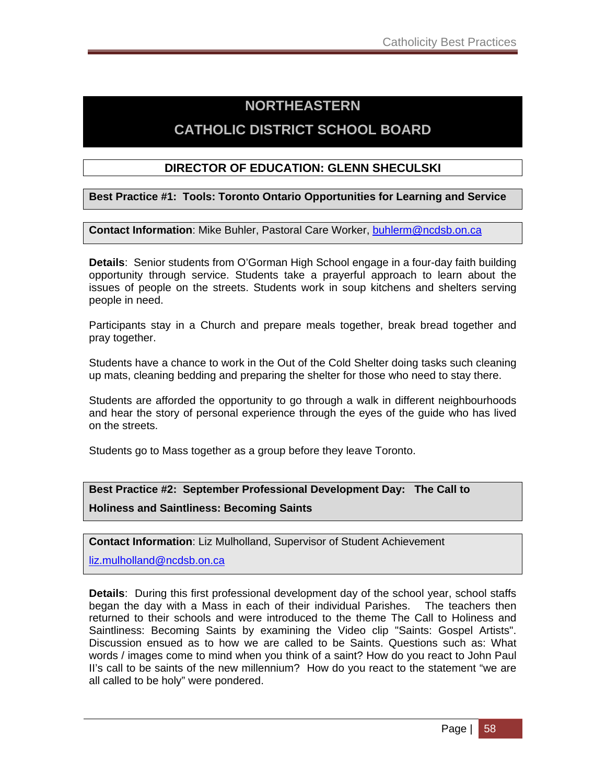# **NORTHEASTERN CATHOLIC DISTRICT SCHOOL BOARD**

### **DIRECTOR OF EDUCATION: GLENN SHECULSKI**

**Best Practice #1: Tools: Toronto Ontario Opportunities for Learning and Service** 

**Contact Information**: Mike Buhler, Pastoral Care Worker, buhlerm@ncdsb.on.ca

**Details**: Senior students from O'Gorman High School engage in a four-day faith building opportunity through service. Students take a prayerful approach to learn about the issues of people on the streets. Students work in soup kitchens and shelters serving people in need.

Participants stay in a Church and prepare meals together, break bread together and pray together.

Students have a chance to work in the Out of the Cold Shelter doing tasks such cleaning up mats, cleaning bedding and preparing the shelter for those who need to stay there.

Students are afforded the opportunity to go through a walk in different neighbourhoods and hear the story of personal experience through the eyes of the guide who has lived on the streets.

Students go to Mass together as a group before they leave Toronto.

**Best Practice #2: September Professional Development Day: The Call to Holiness and Saintliness: Becoming Saints** 

**Contact Information**: Liz Mulholland, Supervisor of Student Achievement

liz.mulholland@ncdsb.on.ca

**Details**: During this first professional development day of the school year, school staffs began the day with a Mass in each of their individual Parishes. The teachers then returned to their schools and were introduced to the theme The Call to Holiness and Saintliness: Becoming Saints by examining the Video clip "Saints: Gospel Artists". Discussion ensued as to how we are called to be Saints. Questions such as: What words / images come to mind when you think of a saint? How do you react to John Paul II's call to be saints of the new millennium? How do you react to the statement "we are all called to be holy" were pondered.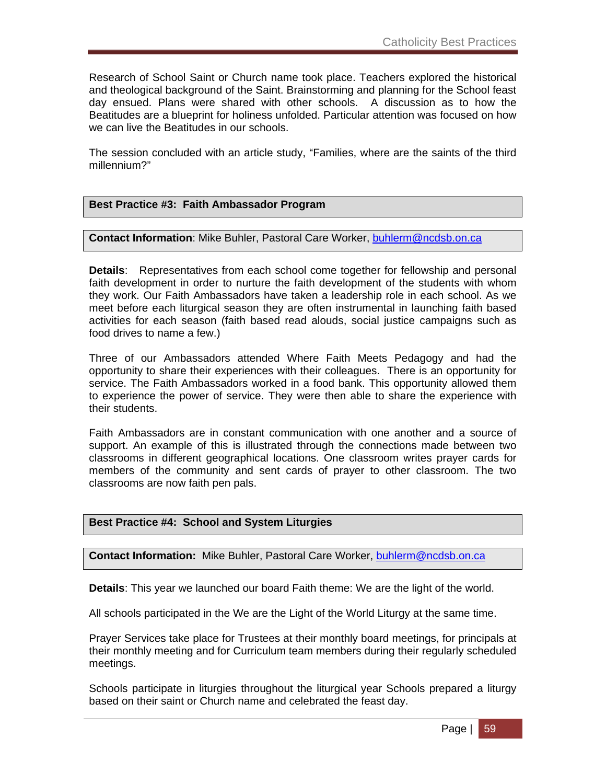Research of School Saint or Church name took place. Teachers explored the historical and theological background of the Saint. Brainstorming and planning for the School feast day ensued. Plans were shared with other schools. A discussion as to how the Beatitudes are a blueprint for holiness unfolded. Particular attention was focused on how we can live the Beatitudes in our schools.

The session concluded with an article study, "Families, where are the saints of the third millennium?"

### **Best Practice #3: Faith Ambassador Program**

#### **Contact Information**: Mike Buhler, Pastoral Care Worker, buhlerm@ncdsb.on.ca

**Details**: Representatives from each school come together for fellowship and personal faith development in order to nurture the faith development of the students with whom they work. Our Faith Ambassadors have taken a leadership role in each school. As we meet before each liturgical season they are often instrumental in launching faith based activities for each season (faith based read alouds, social justice campaigns such as food drives to name a few.)

Three of our Ambassadors attended Where Faith Meets Pedagogy and had the opportunity to share their experiences with their colleagues. There is an opportunity for service. The Faith Ambassadors worked in a food bank. This opportunity allowed them to experience the power of service. They were then able to share the experience with their students.

Faith Ambassadors are in constant communication with one another and a source of support. An example of this is illustrated through the connections made between two classrooms in different geographical locations. One classroom writes prayer cards for members of the community and sent cards of prayer to other classroom. The two classrooms are now faith pen pals.

### **Best Practice #4: School and System Liturgies**

**Contact Information:** Mike Buhler, Pastoral Care Worker, buhlerm@ncdsb.on.ca

**Details**: This year we launched our board Faith theme: We are the light of the world.

All schools participated in the We are the Light of the World Liturgy at the same time.

Prayer Services take place for Trustees at their monthly board meetings, for principals at their monthly meeting and for Curriculum team members during their regularly scheduled meetings.

Schools participate in liturgies throughout the liturgical year Schools prepared a liturgy based on their saint or Church name and celebrated the feast day.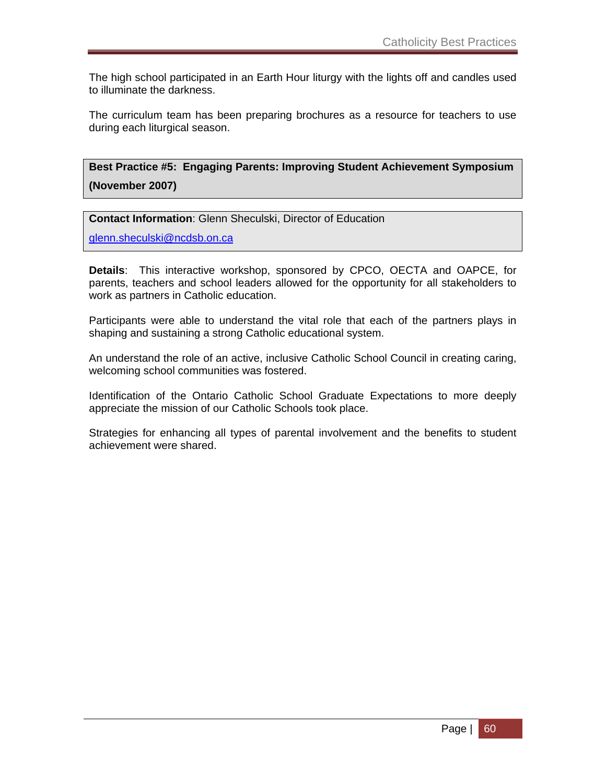The high school participated in an Earth Hour liturgy with the lights off and candles used to illuminate the darkness.

The curriculum team has been preparing brochures as a resource for teachers to use during each liturgical season.

**Best Practice #5: Engaging Parents: Improving Student Achievement Symposium (November 2007)** 

**Contact Information**: Glenn Sheculski, Director of Education

glenn.sheculski@ncdsb.on.ca

**Details**: This interactive workshop, sponsored by CPCO, OECTA and OAPCE, for parents, teachers and school leaders allowed for the opportunity for all stakeholders to work as partners in Catholic education.

Participants were able to understand the vital role that each of the partners plays in shaping and sustaining a strong Catholic educational system.

An understand the role of an active, inclusive Catholic School Council in creating caring, welcoming school communities was fostered.

Identification of the Ontario Catholic School Graduate Expectations to more deeply appreciate the mission of our Catholic Schools took place.

Strategies for enhancing all types of parental involvement and the benefits to student achievement were shared.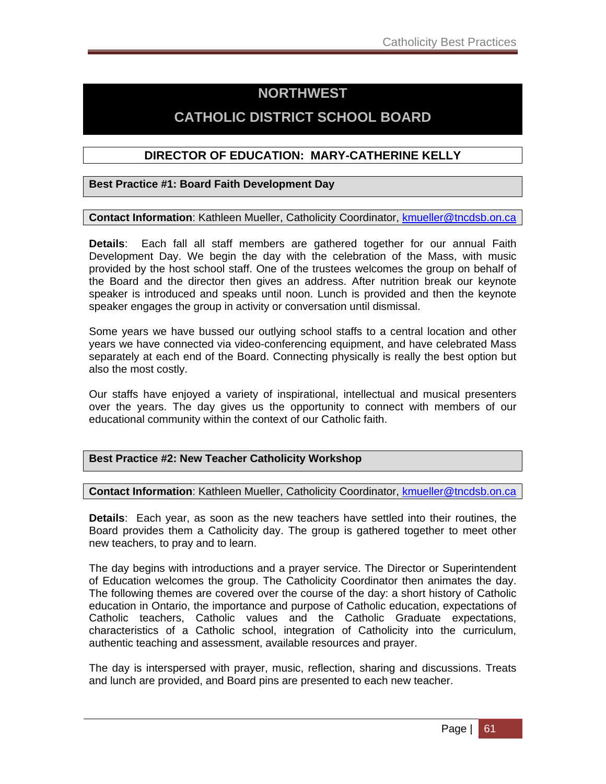## **NORTHWEST**

## **CATHOLIC DISTRICT SCHOOL BOARD**

### **DIRECTOR OF EDUCATION: MARY-CATHERINE KELLY**

### **Best Practice #1: Board Faith Development Day**

### **Contact Information**: Kathleen Mueller, Catholicity Coordinator, kmueller@tncdsb.on.ca

**Details**: Each fall all staff members are gathered together for our annual Faith Development Day. We begin the day with the celebration of the Mass, with music provided by the host school staff. One of the trustees welcomes the group on behalf of the Board and the director then gives an address. After nutrition break our keynote speaker is introduced and speaks until noon. Lunch is provided and then the keynote speaker engages the group in activity or conversation until dismissal.

Some years we have bussed our outlying school staffs to a central location and other years we have connected via video-conferencing equipment, and have celebrated Mass separately at each end of the Board. Connecting physically is really the best option but also the most costly.

Our staffs have enjoyed a variety of inspirational, intellectual and musical presenters over the years. The day gives us the opportunity to connect with members of our educational community within the context of our Catholic faith.

### **Best Practice #2: New Teacher Catholicity Workshop**

### **Contact Information**: Kathleen Mueller, Catholicity Coordinator, kmueller@tncdsb.on.ca

**Details**: Each year, as soon as the new teachers have settled into their routines, the Board provides them a Catholicity day. The group is gathered together to meet other new teachers, to pray and to learn.

The day begins with introductions and a prayer service. The Director or Superintendent of Education welcomes the group. The Catholicity Coordinator then animates the day. The following themes are covered over the course of the day: a short history of Catholic education in Ontario, the importance and purpose of Catholic education, expectations of Catholic teachers, Catholic values and the Catholic Graduate expectations, characteristics of a Catholic school, integration of Catholicity into the curriculum, authentic teaching and assessment, available resources and prayer.

The day is interspersed with prayer, music, reflection, sharing and discussions. Treats and lunch are provided, and Board pins are presented to each new teacher.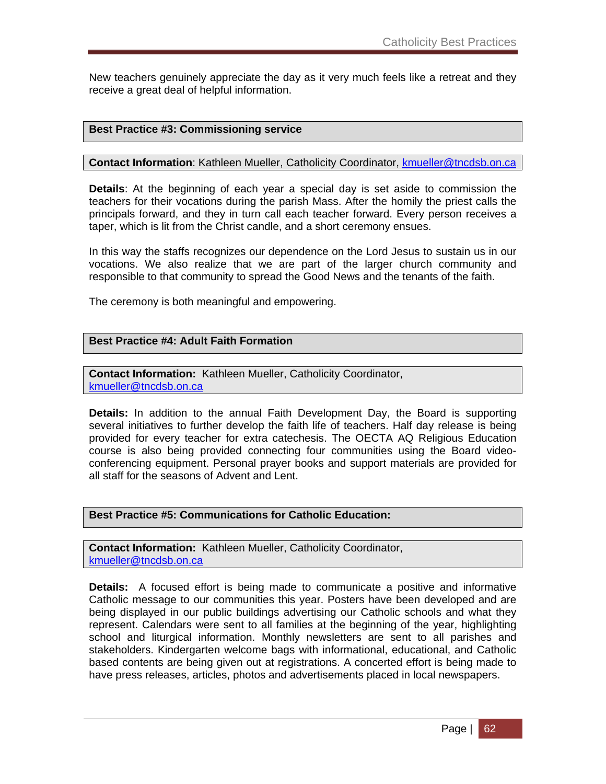New teachers genuinely appreciate the day as it very much feels like a retreat and they receive a great deal of helpful information.

### **Best Practice #3: Commissioning service**

**Contact Information**: Kathleen Mueller, Catholicity Coordinator, **kmueller@tncdsb.on.ca** 

**Details**: At the beginning of each year a special day is set aside to commission the teachers for their vocations during the parish Mass. After the homily the priest calls the principals forward, and they in turn call each teacher forward. Every person receives a taper, which is lit from the Christ candle, and a short ceremony ensues.

In this way the staffs recognizes our dependence on the Lord Jesus to sustain us in our vocations. We also realize that we are part of the larger church community and responsible to that community to spread the Good News and the tenants of the faith.

The ceremony is both meaningful and empowering.

### **Best Practice #4: Adult Faith Formation**

**Contact Information:** Kathleen Mueller, Catholicity Coordinator, kmueller@tncdsb.on.ca

**Details:** In addition to the annual Faith Development Day, the Board is supporting several initiatives to further develop the faith life of teachers. Half day release is being provided for every teacher for extra catechesis. The OECTA AQ Religious Education course is also being provided connecting four communities using the Board videoconferencing equipment. Personal prayer books and support materials are provided for all staff for the seasons of Advent and Lent.

#### **Best Practice #5: Communications for Catholic Education:**

**Contact Information:** Kathleen Mueller, Catholicity Coordinator, kmueller@tncdsb.on.ca

**Details:** A focused effort is being made to communicate a positive and informative Catholic message to our communities this year. Posters have been developed and are being displayed in our public buildings advertising our Catholic schools and what they represent. Calendars were sent to all families at the beginning of the year, highlighting school and liturgical information. Monthly newsletters are sent to all parishes and stakeholders. Kindergarten welcome bags with informational, educational, and Catholic based contents are being given out at registrations. A concerted effort is being made to have press releases, articles, photos and advertisements placed in local newspapers.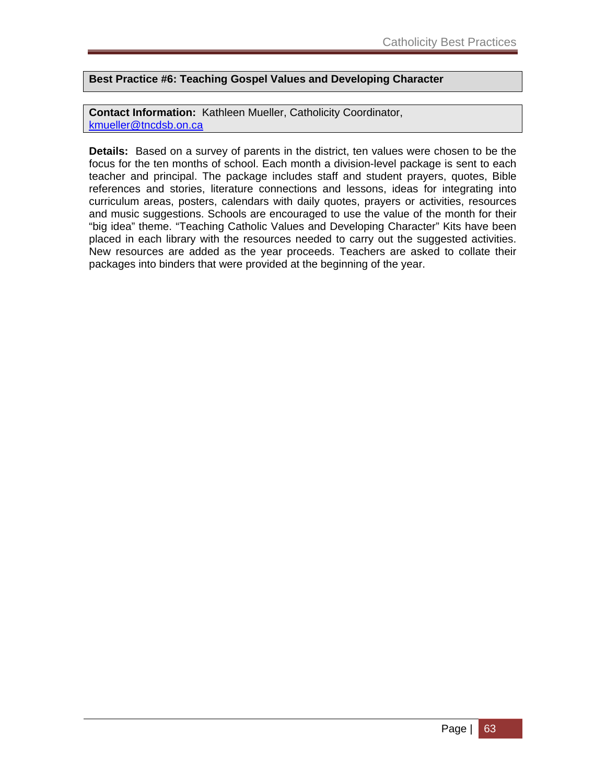### **Best Practice #6: Teaching Gospel Values and Developing Character**

**Contact Information:** Kathleen Mueller, Catholicity Coordinator, kmueller@tncdsb.on.ca

**Details:** Based on a survey of parents in the district, ten values were chosen to be the focus for the ten months of school. Each month a division-level package is sent to each teacher and principal. The package includes staff and student prayers, quotes, Bible references and stories, literature connections and lessons, ideas for integrating into curriculum areas, posters, calendars with daily quotes, prayers or activities, resources and music suggestions. Schools are encouraged to use the value of the month for their "big idea" theme. "Teaching Catholic Values and Developing Character" Kits have been placed in each library with the resources needed to carry out the suggested activities. New resources are added as the year proceeds. Teachers are asked to collate their packages into binders that were provided at the beginning of the year.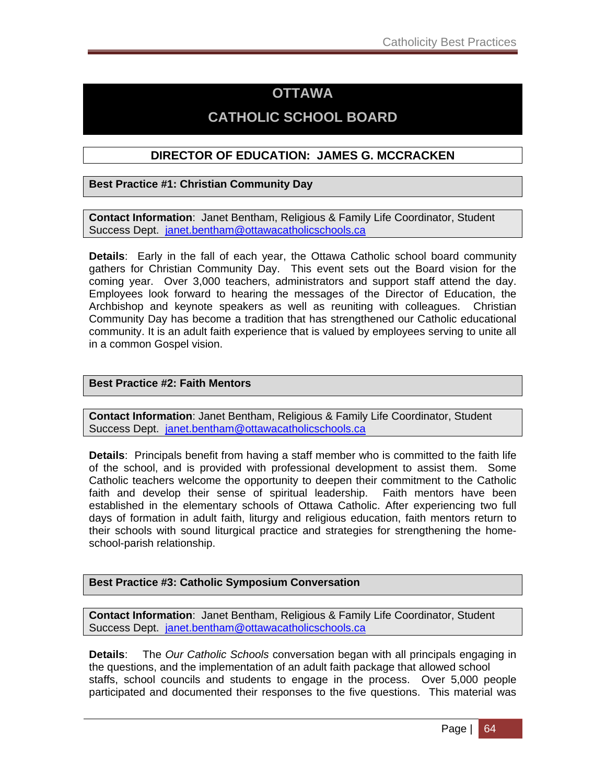## **OTTAWA**

## **CATHOLIC SCHOOL BOARD**

### **DIRECTOR OF EDUCATION: JAMES G. MCCRACKEN**

**Best Practice #1: Christian Community Day**

**Contact Information**: Janet Bentham, Religious & Family Life Coordinator, Student Success Dept. janet.bentham@ottawacatholicschools.ca

**Details**: Early in the fall of each year, the Ottawa Catholic school board community gathers for Christian Community Day. This event sets out the Board vision for the coming year. Over 3,000 teachers, administrators and support staff attend the day. Employees look forward to hearing the messages of the Director of Education, the Archbishop and keynote speakers as well as reuniting with colleagues. Christian Community Day has become a tradition that has strengthened our Catholic educational community. It is an adult faith experience that is valued by employees serving to unite all in a common Gospel vision.

### **Best Practice #2: Faith Mentors**

**Contact Information**: Janet Bentham, Religious & Family Life Coordinator, Student Success Dept. janet.bentham@ottawacatholicschools.ca

**Details**: Principals benefit from having a staff member who is committed to the faith life of the school, and is provided with professional development to assist them. Some Catholic teachers welcome the opportunity to deepen their commitment to the Catholic faith and develop their sense of spiritual leadership. Faith mentors have been established in the elementary schools of Ottawa Catholic. After experiencing two full days of formation in adult faith, liturgy and religious education, faith mentors return to their schools with sound liturgical practice and strategies for strengthening the homeschool-parish relationship.

### **Best Practice #3: Catholic Symposium Conversation**

**Contact Information**: Janet Bentham, Religious & Family Life Coordinator, Student Success Dept. janet.bentham@ottawacatholicschools.ca

**Details**: The *Our Catholic Schools* conversation began with all principals engaging in the questions, and the implementation of an adult faith package that allowed school staffs, school councils and students to engage in the process. Over 5,000 people participated and documented their responses to the five questions. This material was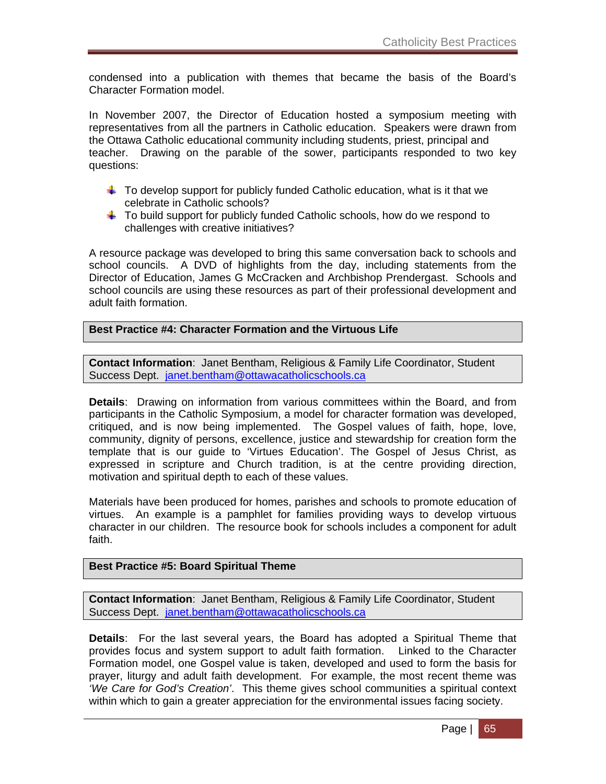condensed into a publication with themes that became the basis of the Board's Character Formation model.

In November 2007, the Director of Education hosted a symposium meeting with representatives from all the partners in Catholic education. Speakers were drawn from the Ottawa Catholic educational community including students, priest, principal and teacher. Drawing on the parable of the sower, participants responded to two key questions:

- $\ddot{\bullet}$  To develop support for publicly funded Catholic education, what is it that we celebrate in Catholic schools?
- $\ddot{\phantom{1}}$  To build support for publicly funded Catholic schools, how do we respond to challenges with creative initiatives?

A resource package was developed to bring this same conversation back to schools and school councils. A DVD of highlights from the day, including statements from the Director of Education, James G McCracken and Archbishop Prendergast. Schools and school councils are using these resources as part of their professional development and adult faith formation.

### **Best Practice #4: Character Formation and the Virtuous Life**

**Contact Information**: Janet Bentham, Religious & Family Life Coordinator, Student Success Dept. janet.bentham@ottawacatholicschools.ca

**Details**: Drawing on information from various committees within the Board, and from participants in the Catholic Symposium, a model for character formation was developed, critiqued, and is now being implemented. The Gospel values of faith, hope, love, community, dignity of persons, excellence, justice and stewardship for creation form the template that is our guide to 'Virtues Education'. The Gospel of Jesus Christ, as expressed in scripture and Church tradition, is at the centre providing direction, motivation and spiritual depth to each of these values.

Materials have been produced for homes, parishes and schools to promote education of virtues. An example is a pamphlet for families providing ways to develop virtuous character in our children. The resource book for schools includes a component for adult faith.

### **Best Practice #5: Board Spiritual Theme**

**Contact Information**: Janet Bentham, Religious & Family Life Coordinator, Student Success Dept. janet.bentham@ottawacatholicschools.ca

**Details**: For the last several years, the Board has adopted a Spiritual Theme that provides focus and system support to adult faith formation. Linked to the Character Formation model, one Gospel value is taken, developed and used to form the basis for prayer, liturgy and adult faith development. For example, the most recent theme was *'We Care for God's Creation'*. This theme gives school communities a spiritual context within which to gain a greater appreciation for the environmental issues facing society.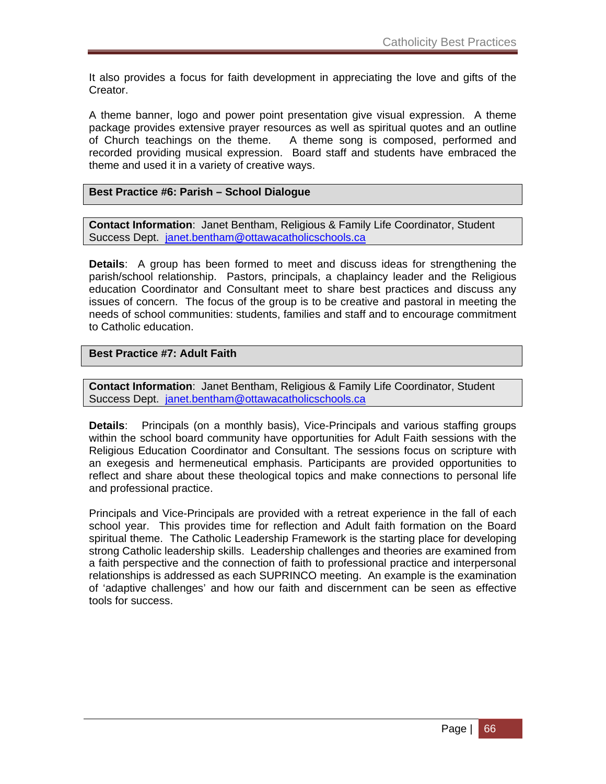It also provides a focus for faith development in appreciating the love and gifts of the Creator.

A theme banner, logo and power point presentation give visual expression. A theme package provides extensive prayer resources as well as spiritual quotes and an outline of Church teachings on the theme. A theme song is composed, performed and recorded providing musical expression. Board staff and students have embraced the theme and used it in a variety of creative ways.

#### **Best Practice #6: Parish – School Dialogue**

**Contact Information**: Janet Bentham, Religious & Family Life Coordinator, Student Success Dept. janet.bentham@ottawacatholicschools.ca

**Details**: A group has been formed to meet and discuss ideas for strengthening the parish/school relationship. Pastors, principals, a chaplaincy leader and the Religious education Coordinator and Consultant meet to share best practices and discuss any issues of concern. The focus of the group is to be creative and pastoral in meeting the needs of school communities: students, families and staff and to encourage commitment to Catholic education.

#### **Best Practice #7: Adult Faith**

**Contact Information**: Janet Bentham, Religious & Family Life Coordinator, Student Success Dept. janet.bentham@ottawacatholicschools.ca

**Details**: Principals (on a monthly basis), Vice-Principals and various staffing groups within the school board community have opportunities for Adult Faith sessions with the Religious Education Coordinator and Consultant. The sessions focus on scripture with an exegesis and hermeneutical emphasis. Participants are provided opportunities to reflect and share about these theological topics and make connections to personal life and professional practice.

Principals and Vice-Principals are provided with a retreat experience in the fall of each school year. This provides time for reflection and Adult faith formation on the Board spiritual theme. The Catholic Leadership Framework is the starting place for developing strong Catholic leadership skills. Leadership challenges and theories are examined from a faith perspective and the connection of faith to professional practice and interpersonal relationships is addressed as each SUPRINCO meeting. An example is the examination of 'adaptive challenges' and how our faith and discernment can be seen as effective tools for success.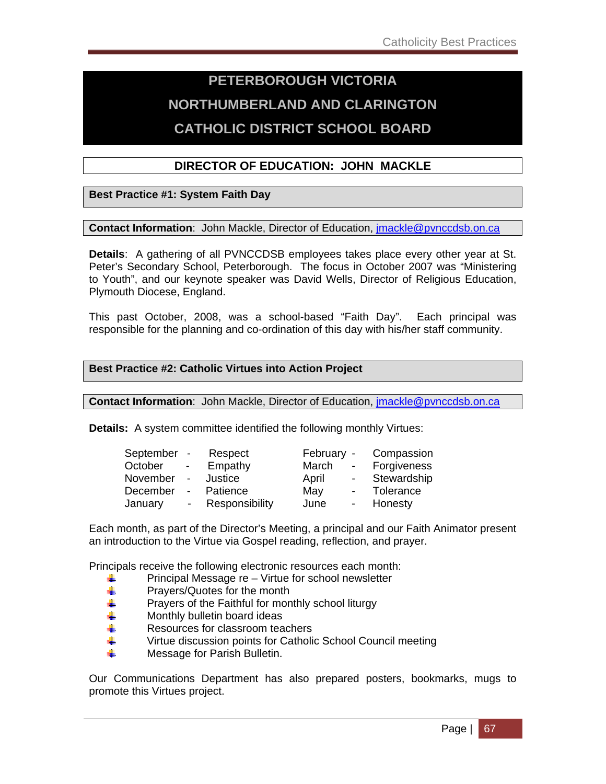# **PETERBOROUGH VICTORIA NORTHUMBERLAND AND CLARINGTON CATHOLIC DISTRICT SCHOOL BOARD**

### **DIRECTOR OF EDUCATION: JOHN MACKLE**

### **Best Practice #1: System Faith Day**

**Contact Information**: John Mackle, Director of Education, jmackle@pvnccdsb.on.ca

**Details**: A gathering of all PVNCCDSB employees takes place every other year at St. Peter's Secondary School, Peterborough. The focus in October 2007 was "Ministering to Youth", and our keynote speaker was David Wells, Director of Religious Education, Plymouth Diocese, England.

This past October, 2008, was a school-based "Faith Day". Each principal was responsible for the planning and co-ordination of this day with his/her staff community.

### **Best Practice #2: Catholic Virtues into Action Project**

**Contact Information**: John Mackle, Director of Education, jmackle@pvnccdsb.on.ca

**Details:** A system committee identified the following monthly Virtues:

| September - |                 | Respect        | February - |                          | Compassion  |
|-------------|-----------------|----------------|------------|--------------------------|-------------|
| October     | $\sim$ 10 $\pm$ | Empathy        | March      | $\sim$                   | Forgiveness |
| November    | $\sim$          | Justice        | April      | $\blacksquare$           | Stewardship |
| December    | $\sim$          | Patience       | May        | $\sim$ $-$               | Tolerance   |
| January     | $\sim$          | Responsibility | June       | $\overline{\phantom{0}}$ | Honesty     |

Each month, as part of the Director's Meeting, a principal and our Faith Animator present an introduction to the Virtue via Gospel reading, reflection, and prayer.

Principals receive the following electronic resources each month:

- $\begin{array}{ll}\n\textcolor{red}{\bigoplus}\n\\ \textcolor{red}{\bigoplus}\n\\ \textcolor{red}{\bigoplus}\n\end{array}$  Principal Message re Virtue for school newsletter
- Prayers/Quotes for the month
- $\ddot{\phantom{1}}$  Prayers of the Faithful for monthly school liturgy
- $\frac{1}{2}$  Monthly bulletin board ideas
- $\frac{1}{2}$  Resources for classroom teachers
- ↓ Virtue discussion points for Catholic School Council meeting
- $\frac{1}{2}$  Message for Parish Bulletin.

Our Communications Department has also prepared posters, bookmarks, mugs to promote this Virtues project.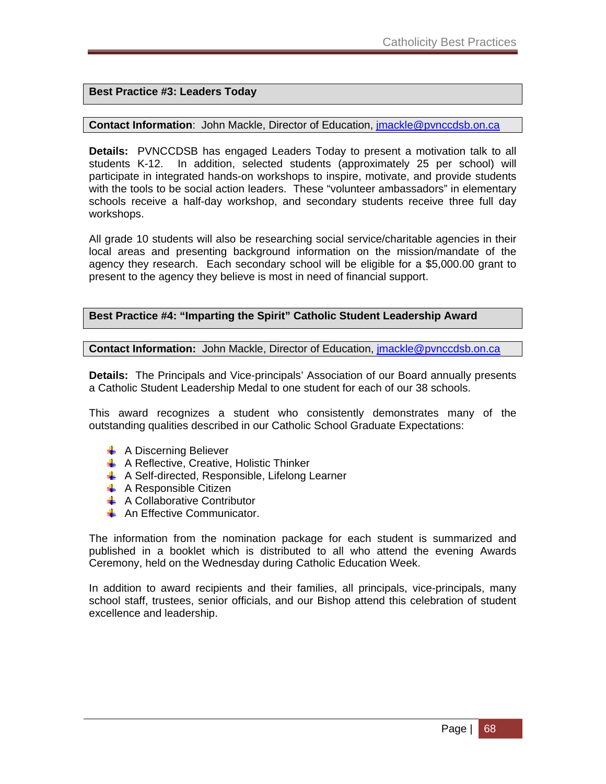### **Best Practice #3: Leaders Today**

#### **Contact Information:** John Mackle, Director of Education, jmackle@pvnccdsb.on.ca

**Details:** PVNCCDSB has engaged Leaders Today to present a motivation talk to all students K-12. In addition, selected students (approximately 25 per school) will participate in integrated hands-on workshops to inspire, motivate, and provide students with the tools to be social action leaders. These "volunteer ambassadors" in elementary schools receive a half-day workshop, and secondary students receive three full day workshops.

All grade 10 students will also be researching social service/charitable agencies in their local areas and presenting background information on the mission/mandate of the agency they research. Each secondary school will be eligible for a \$5,000.00 grant to present to the agency they believe is most in need of financial support.

#### **Best Practice #4: "Imparting the Spirit" Catholic Student Leadership Award**

**Contact Information:** John Mackle, Director of Education, jmackle@pvnccdsb.on.ca

**Details:** The Principals and Vice-principals' Association of our Board annually presents a Catholic Student Leadership Medal to one student for each of our 38 schools.

This award recognizes a student who consistently demonstrates many of the outstanding qualities described in our Catholic School Graduate Expectations:

- $\leftarrow$  A Discerning Believer
- $\frac{1}{2}$  A Reflective, Creative, Holistic Thinker
- $\frac{1}{2}$  A Self-directed, Responsible, Lifelong Learner
- $\leftarrow$  A Responsible Citizen
- $\leftarrow$  A Collaborative Contributor
- An Effective Communicator.

The information from the nomination package for each student is summarized and published in a booklet which is distributed to all who attend the evening Awards Ceremony, held on the Wednesday during Catholic Education Week.

In addition to award recipients and their families, all principals, vice-principals, many school staff, trustees, senior officials, and our Bishop attend this celebration of student excellence and leadership.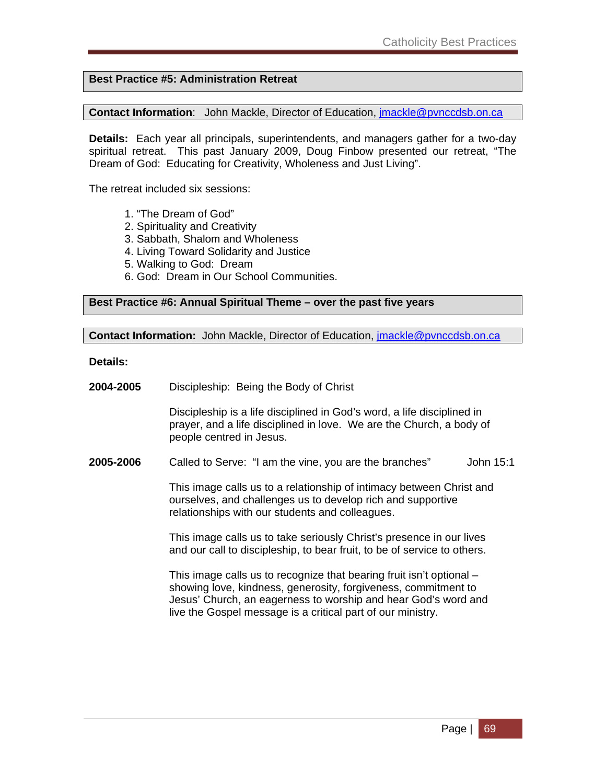### **Best Practice #5: Administration Retreat**

**Contact Information**: John Mackle, Director of Education, jmackle@pvnccdsb.on.ca

**Details:** Each year all principals, superintendents, and managers gather for a two-day spiritual retreat. This past January 2009, Doug Finbow presented our retreat, "The Dream of God: Educating for Creativity, Wholeness and Just Living".

The retreat included six sessions:

- 1. "The Dream of God"
- 2. Spirituality and Creativity
- 3. Sabbath, Shalom and Wholeness
- 4. Living Toward Solidarity and Justice
- 5. Walking to God: Dream
- 6. God: Dream in Our School Communities.

#### **Best Practice #6: Annual Spiritual Theme – over the past five years**

**Contact Information:** John Mackle, Director of Education, jmackle@pvnccdsb.on.ca

**Details:** 

**2004-2005** Discipleship: Being the Body of Christ

 Discipleship is a life disciplined in God's word, a life disciplined in prayer, and a life disciplined in love. We are the Church, a body of people centred in Jesus.

**2005-2006** Called to Serve: "I am the vine, you are the branches" John 15:1

 This image calls us to a relationship of intimacy between Christ and ourselves, and challenges us to develop rich and supportive relationships with our students and colleagues.

 This image calls us to take seriously Christ's presence in our lives and our call to discipleship, to bear fruit, to be of service to others.

 This image calls us to recognize that bearing fruit isn't optional – showing love, kindness, generosity, forgiveness, commitment to Jesus' Church, an eagerness to worship and hear God's word and live the Gospel message is a critical part of our ministry.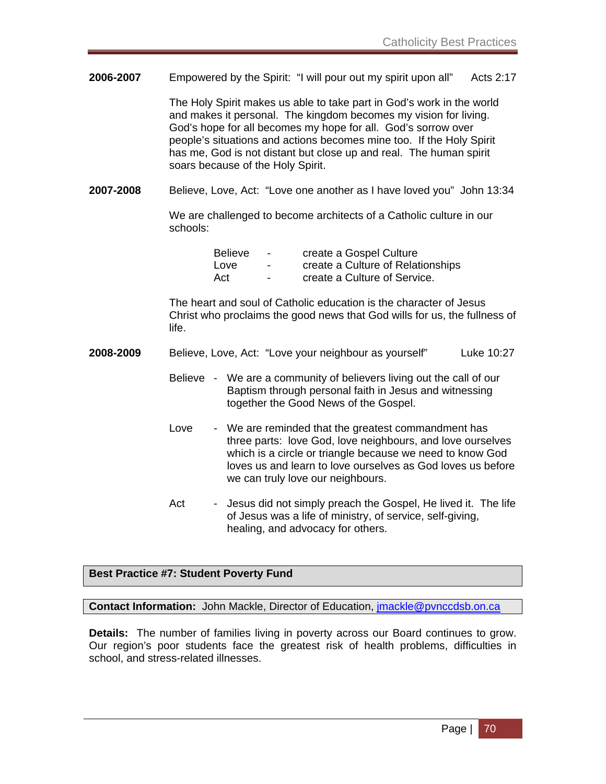**2006-2007** Empowered by the Spirit: "I will pour out my spirit upon all" Acts 2:17

 The Holy Spirit makes us able to take part in God's work in the world and makes it personal. The kingdom becomes my vision for living. God's hope for all becomes my hope for all. God's sorrow over people's situations and actions becomes mine too. If the Holy Spirit has me, God is not distant but close up and real. The human spirit soars because of the Holy Spirit.

**2007-2008** Believe, Love, Act: "Love one another as I have loved you" John 13:34

 We are challenged to become architects of a Catholic culture in our schools:

| <b>Believe</b> | $\sim$                   | create a Gospel Culture           |
|----------------|--------------------------|-----------------------------------|
| Love           | $\blacksquare$           | create a Culture of Relationships |
| Act            | $\overline{\phantom{0}}$ | create a Culture of Service.      |

 The heart and soul of Catholic education is the character of Jesus Christ who proclaims the good news that God wills for us, the fullness of life.

| 2008-2009 | Believe, Love, Act: "Love your neighbour as yourself" | Luke 10:27 |
|-----------|-------------------------------------------------------|------------|
|           |                                                       |            |

- Believe We are a community of believers living out the call of our Baptism through personal faith in Jesus and witnessing together the Good News of the Gospel.
- Love We are reminded that the greatest commandment has three parts: love God, love neighbours, and love ourselves which is a circle or triangle because we need to know God loves us and learn to love ourselves as God loves us before we can truly love our neighbours.
- Act Jesus did not simply preach the Gospel, He lived it. The life of Jesus was a life of ministry, of service, self-giving, healing, and advocacy for others.

### **Best Practice #7: Student Poverty Fund**

**Contact Information:** John Mackle, Director of Education, jmackle@pvnccdsb.on.ca

**Details:** The number of families living in poverty across our Board continues to grow. Our region's poor students face the greatest risk of health problems, difficulties in school, and stress-related illnesses.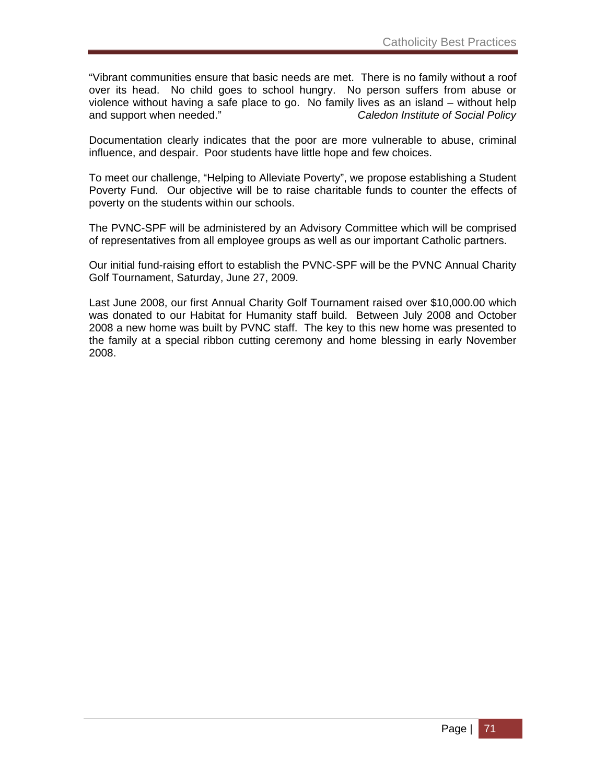"Vibrant communities ensure that basic needs are met. There is no family without a roof over its head. No child goes to school hungry. No person suffers from abuse or violence without having a safe place to go. No family lives as an island – without help and support when needed." *Caledon Institute of Social Policy*

Documentation clearly indicates that the poor are more vulnerable to abuse, criminal influence, and despair. Poor students have little hope and few choices.

To meet our challenge, "Helping to Alleviate Poverty", we propose establishing a Student Poverty Fund. Our objective will be to raise charitable funds to counter the effects of poverty on the students within our schools.

The PVNC-SPF will be administered by an Advisory Committee which will be comprised of representatives from all employee groups as well as our important Catholic partners.

Our initial fund-raising effort to establish the PVNC-SPF will be the PVNC Annual Charity Golf Tournament, Saturday, June 27, 2009.

Last June 2008, our first Annual Charity Golf Tournament raised over \$10,000.00 which was donated to our Habitat for Humanity staff build. Between July 2008 and October 2008 a new home was built by PVNC staff. The key to this new home was presented to the family at a special ribbon cutting ceremony and home blessing in early November 2008.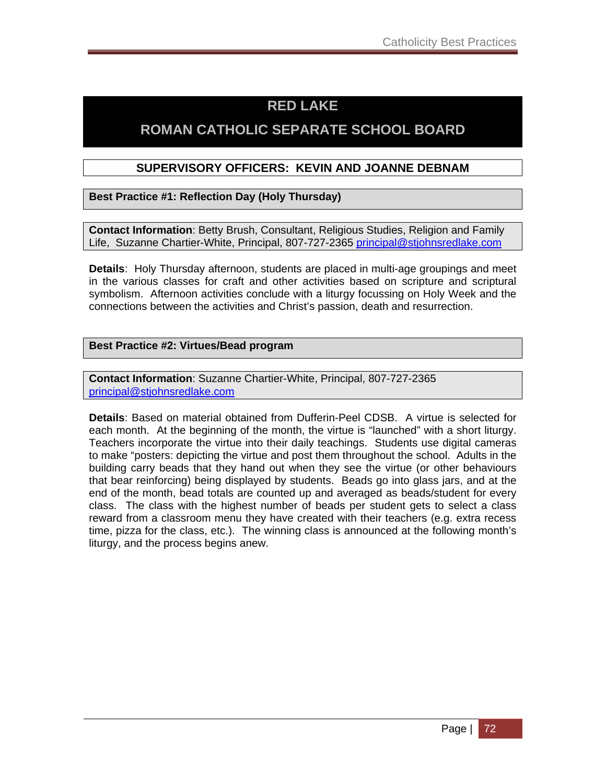## **RED LAKE**

## **ROMAN CATHOLIC SEPARATE SCHOOL BOARD**

### **SUPERVISORY OFFICERS: KEVIN AND JOANNE DEBNAM**

**Best Practice #1: Reflection Day (Holy Thursday)**

**Contact Information**: Betty Brush, Consultant, Religious Studies, Religion and Family Life, Suzanne Chartier-White, Principal, 807-727-2365 principal@stjohnsredlake.com

**Details**: Holy Thursday afternoon, students are placed in multi-age groupings and meet in the various classes for craft and other activities based on scripture and scriptural symbolism. Afternoon activities conclude with a liturgy focussing on Holy Week and the connections between the activities and Christ's passion, death and resurrection.

### **Best Practice #2: Virtues/Bead program**

**Contact Information**: Suzanne Chartier-White, Principal, 807-727-2365 principal@stjohnsredlake.com

**Details**: Based on material obtained from Dufferin-Peel CDSB. A virtue is selected for each month. At the beginning of the month, the virtue is "launched" with a short liturgy. Teachers incorporate the virtue into their daily teachings. Students use digital cameras to make "posters: depicting the virtue and post them throughout the school. Adults in the building carry beads that they hand out when they see the virtue (or other behaviours that bear reinforcing) being displayed by students. Beads go into glass jars, and at the end of the month, bead totals are counted up and averaged as beads/student for every class. The class with the highest number of beads per student gets to select a class reward from a classroom menu they have created with their teachers (e.g. extra recess time, pizza for the class, etc.). The winning class is announced at the following month's liturgy, and the process begins anew.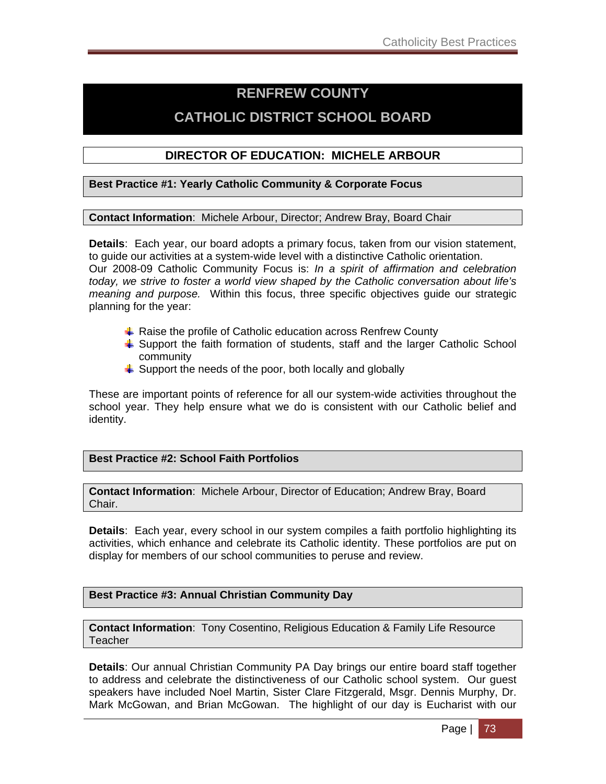## **RENFREW COUNTY**

## **CATHOLIC DISTRICT SCHOOL BOARD**

### **DIRECTOR OF EDUCATION: MICHELE ARBOUR**

#### **Best Practice #1: Yearly Catholic Community & Corporate Focus**

#### **Contact Information**: Michele Arbour, Director; Andrew Bray, Board Chair

**Details**: Each year, our board adopts a primary focus, taken from our vision statement, to guide our activities at a system-wide level with a distinctive Catholic orientation. Our 2008-09 Catholic Community Focus is: *In a spirit of affirmation and celebration today, we strive to foster a world view shaped by the Catholic conversation about life's meaning and purpose.* Within this focus, three specific objectives guide our strategic planning for the year:

- $\overline{\phantom{a}}$  Raise the profile of Catholic education across Renfrew County
- $\ddot$  Support the faith formation of students, staff and the larger Catholic School community
- $\downarrow$  Support the needs of the poor, both locally and globally

These are important points of reference for all our system-wide activities throughout the school year. They help ensure what we do is consistent with our Catholic belief and identity.

### **Best Practice #2: School Faith Portfolios**

**Contact Information**: Michele Arbour, Director of Education; Andrew Bray, Board Chair.

**Details**: Each year, every school in our system compiles a faith portfolio highlighting its activities, which enhance and celebrate its Catholic identity. These portfolios are put on display for members of our school communities to peruse and review.

### **Best Practice #3: Annual Christian Community Day**

**Contact Information**: Tony Cosentino, Religious Education & Family Life Resource Teacher

**Details**: Our annual Christian Community PA Day brings our entire board staff together to address and celebrate the distinctiveness of our Catholic school system. Our guest speakers have included Noel Martin, Sister Clare Fitzgerald, Msgr. Dennis Murphy, Dr. Mark McGowan, and Brian McGowan. The highlight of our day is Eucharist with our

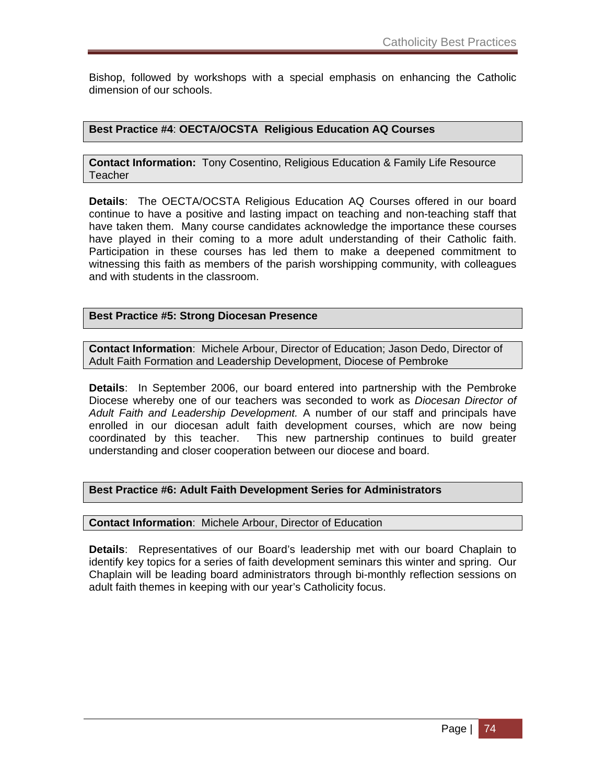Bishop, followed by workshops with a special emphasis on enhancing the Catholic dimension of our schools.

### **Best Practice #4**: **OECTA/OCSTA Religious Education AQ Courses**

**Contact Information:** Tony Cosentino, Religious Education & Family Life Resource **Teacher** 

**Details**: The OECTA/OCSTA Religious Education AQ Courses offered in our board continue to have a positive and lasting impact on teaching and non-teaching staff that have taken them. Many course candidates acknowledge the importance these courses have played in their coming to a more adult understanding of their Catholic faith. Participation in these courses has led them to make a deepened commitment to witnessing this faith as members of the parish worshipping community, with colleagues and with students in the classroom.

### **Best Practice #5: Strong Diocesan Presence**

**Contact Information**: Michele Arbour, Director of Education; Jason Dedo, Director of Adult Faith Formation and Leadership Development, Diocese of Pembroke

**Details**: In September 2006, our board entered into partnership with the Pembroke Diocese whereby one of our teachers was seconded to work as *Diocesan Director of Adult Faith and Leadership Development.* A number of our staff and principals have enrolled in our diocesan adult faith development courses, which are now being coordinated by this teacher. This new partnership continues to build greater understanding and closer cooperation between our diocese and board.

### **Best Practice #6: Adult Faith Development Series for Administrators**

**Contact Information**: Michele Arbour, Director of Education

**Details**: Representatives of our Board's leadership met with our board Chaplain to identify key topics for a series of faith development seminars this winter and spring. Our Chaplain will be leading board administrators through bi-monthly reflection sessions on adult faith themes in keeping with our year's Catholicity focus.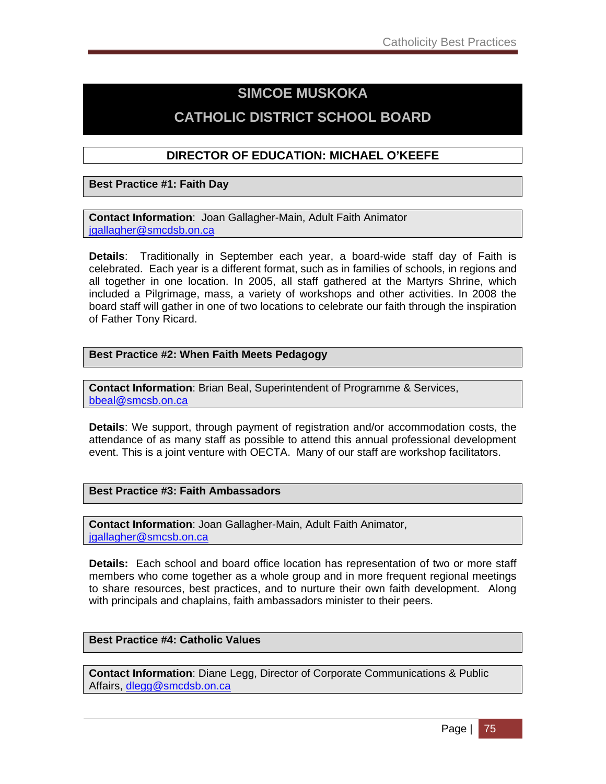## **SIMCOE MUSKOKA**

## **CATHOLIC DISTRICT SCHOOL BOARD**

### **DIRECTOR OF EDUCATION: MICHAEL O'KEEFE**

**Best Practice #1: Faith Day** 

**Contact Information**: Joan Gallagher-Main, Adult Faith Animator igallagher@smcdsb.on.ca

**Details**: Traditionally in September each year, a board-wide staff day of Faith is celebrated. Each year is a different format, such as in families of schools, in regions and all together in one location. In 2005, all staff gathered at the Martyrs Shrine, which included a Pilgrimage, mass, a variety of workshops and other activities. In 2008 the board staff will gather in one of two locations to celebrate our faith through the inspiration of Father Tony Ricard.

### **Best Practice #2: When Faith Meets Pedagogy**

**Contact Information**: Brian Beal, Superintendent of Programme & Services, bbeal@smcsb.on.ca

**Details**: We support, through payment of registration and/or accommodation costs, the attendance of as many staff as possible to attend this annual professional development event. This is a joint venture with OECTA. Many of our staff are workshop facilitators.

### **Best Practice #3: Faith Ambassadors**

**Contact Information**: Joan Gallagher-Main, Adult Faith Animator, igallagher@smcsb.on.ca

**Details:** Each school and board office location has representation of two or more staff members who come together as a whole group and in more frequent regional meetings to share resources, best practices, and to nurture their own faith development. Along with principals and chaplains, faith ambassadors minister to their peers.

### **Best Practice #4: Catholic Values**

**Contact Information**: Diane Legg, Director of Corporate Communications & Public Affairs, dlegg@smcdsb.on.ca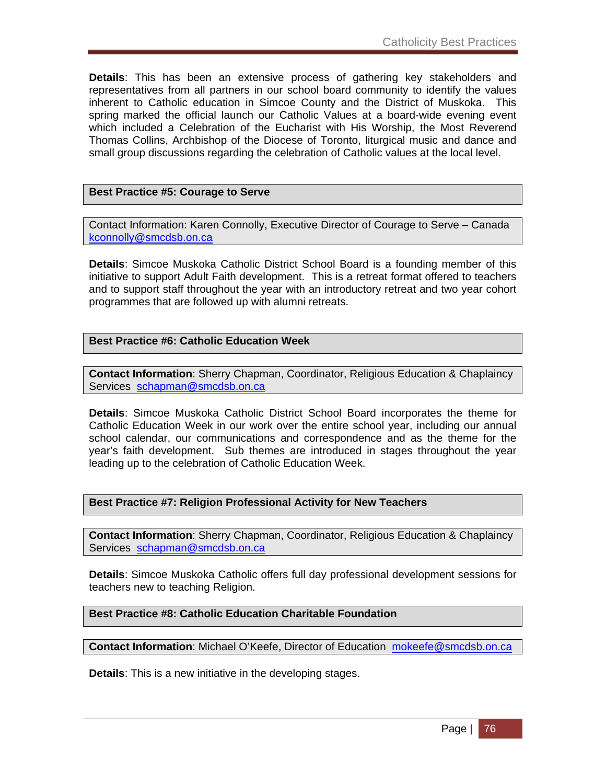**Details**: This has been an extensive process of gathering key stakeholders and representatives from all partners in our school board community to identify the values inherent to Catholic education in Simcoe County and the District of Muskoka. This spring marked the official launch our Catholic Values at a board-wide evening event which included a Celebration of the Eucharist with His Worship, the Most Reverend Thomas Collins, Archbishop of the Diocese of Toronto, liturgical music and dance and small group discussions regarding the celebration of Catholic values at the local level.

### **Best Practice #5: Courage to Serve**

Contact Information: Karen Connolly, Executive Director of Courage to Serve – Canada kconnolly@smcdsb.on.ca

**Details**: Simcoe Muskoka Catholic District School Board is a founding member of this initiative to support Adult Faith development. This is a retreat format offered to teachers and to support staff throughout the year with an introductory retreat and two year cohort programmes that are followed up with alumni retreats.

### **Best Practice #6: Catholic Education Week**

**Contact Information**: Sherry Chapman, Coordinator, Religious Education & Chaplaincy Services schapman@smcdsb.on.ca

**Details**: Simcoe Muskoka Catholic District School Board incorporates the theme for Catholic Education Week in our work over the entire school year, including our annual school calendar, our communications and correspondence and as the theme for the year's faith development. Sub themes are introduced in stages throughout the year leading up to the celebration of Catholic Education Week.

### **Best Practice #7: Religion Professional Activity for New Teachers**

**Contact Information**: Sherry Chapman, Coordinator, Religious Education & Chaplaincy Services schapman@smcdsb.on.ca

**Details**: Simcoe Muskoka Catholic offers full day professional development sessions for teachers new to teaching Religion.

#### **Best Practice #8: Catholic Education Charitable Foundation**

**Contact Information**: Michael O'Keefe, Director of Education mokeefe@smcdsb.on.ca

**Details**: This is a new initiative in the developing stages.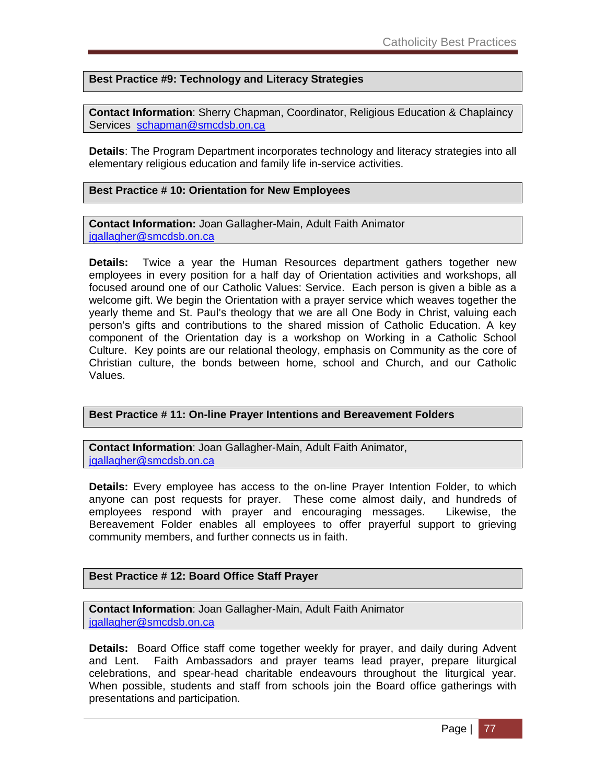### **Best Practice #9: Technology and Literacy Strategies**

**Contact Information**: Sherry Chapman, Coordinator, Religious Education & Chaplaincy Services schapman@smcdsb.on.ca

**Details**: The Program Department incorporates technology and literacy strategies into all elementary religious education and family life in-service activities.

### **Best Practice # 10: Orientation for New Employees**

**Contact Information:** Joan Gallagher-Main, Adult Faith Animator igallagher@smcdsb.on.ca

**Details:** Twice a year the Human Resources department gathers together new employees in every position for a half day of Orientation activities and workshops, all focused around one of our Catholic Values: Service. Each person is given a bible as a welcome gift. We begin the Orientation with a prayer service which weaves together the yearly theme and St. Paul's theology that we are all One Body in Christ, valuing each person's gifts and contributions to the shared mission of Catholic Education. A key component of the Orientation day is a workshop on Working in a Catholic School Culture. Key points are our relational theology, emphasis on Community as the core of Christian culture, the bonds between home, school and Church, and our Catholic Values.

### **Best Practice # 11: On-line Prayer Intentions and Bereavement Folders**

**Contact Information**: Joan Gallagher-Main, Adult Faith Animator, igallagher@smcdsb.on.ca

**Details:** Every employee has access to the on-line Prayer Intention Folder, to which anyone can post requests for prayer. These come almost daily, and hundreds of employees respond with prayer and encouraging messages. Likewise, the Bereavement Folder enables all employees to offer prayerful support to grieving community members, and further connects us in faith.

### **Best Practice # 12: Board Office Staff Prayer**

**Contact Information**: Joan Gallagher-Main, Adult Faith Animator jgallagher@smcdsb.on.ca

**Details:** Board Office staff come together weekly for prayer, and daily during Advent and Lent. Faith Ambassadors and prayer teams lead prayer, prepare liturgical celebrations, and spear-head charitable endeavours throughout the liturgical year. When possible, students and staff from schools join the Board office gatherings with presentations and participation.

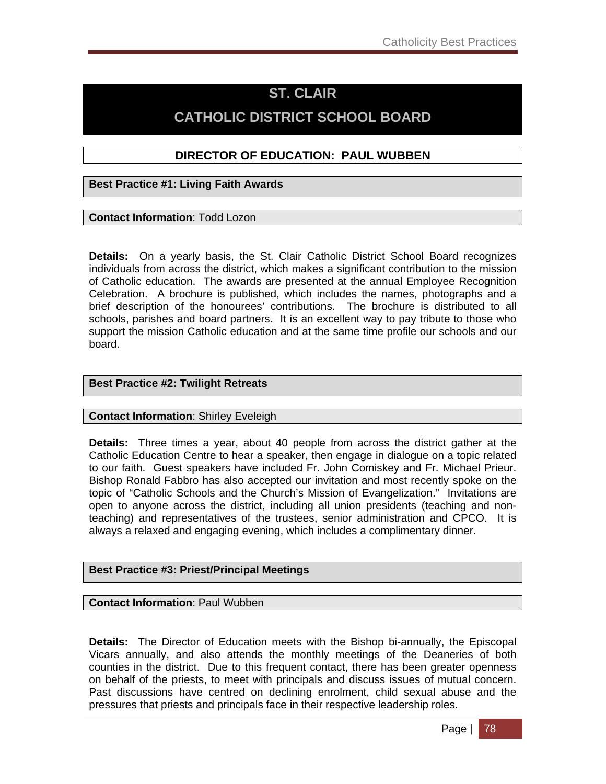## **ST. CLAIR**

## **CATHOLIC DISTRICT SCHOOL BOARD**

### **DIRECTOR OF EDUCATION: PAUL WUBBEN**

**Best Practice #1: Living Faith Awards** 

### **Contact Information**: Todd Lozon

**Details:** On a yearly basis, the St. Clair Catholic District School Board recognizes individuals from across the district, which makes a significant contribution to the mission of Catholic education. The awards are presented at the annual Employee Recognition Celebration. A brochure is published, which includes the names, photographs and a brief description of the honourees' contributions. The brochure is distributed to all schools, parishes and board partners. It is an excellent way to pay tribute to those who support the mission Catholic education and at the same time profile our schools and our board.

### **Best Practice #2: Twilight Retreats**

### **Contact Information**: Shirley Eveleigh

**Details:** Three times a year, about 40 people from across the district gather at the Catholic Education Centre to hear a speaker, then engage in dialogue on a topic related to our faith. Guest speakers have included Fr. John Comiskey and Fr. Michael Prieur. Bishop Ronald Fabbro has also accepted our invitation and most recently spoke on the topic of "Catholic Schools and the Church's Mission of Evangelization." Invitations are open to anyone across the district, including all union presidents (teaching and nonteaching) and representatives of the trustees, senior administration and CPCO. It is always a relaxed and engaging evening, which includes a complimentary dinner.

### **Best Practice #3: Priest/Principal Meetings**

**Contact Information**: Paul Wubben

**Details:** The Director of Education meets with the Bishop bi-annually, the Episcopal Vicars annually, and also attends the monthly meetings of the Deaneries of both counties in the district. Due to this frequent contact, there has been greater openness on behalf of the priests, to meet with principals and discuss issues of mutual concern. Past discussions have centred on declining enrolment, child sexual abuse and the pressures that priests and principals face in their respective leadership roles.

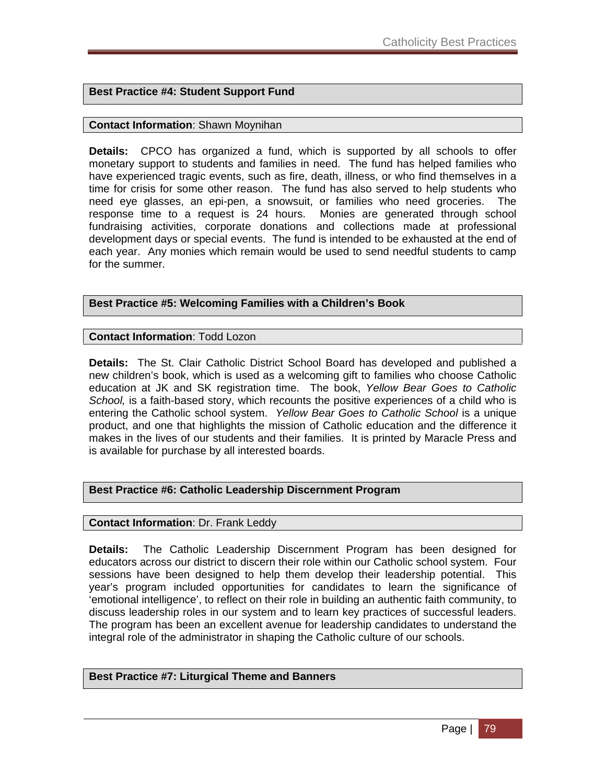### **Best Practice #4: Student Support Fund**

### **Contact Information**: Shawn Moynihan

**Details:** CPCO has organized a fund, which is supported by all schools to offer monetary support to students and families in need. The fund has helped families who have experienced tragic events, such as fire, death, illness, or who find themselves in a time for crisis for some other reason. The fund has also served to help students who need eye glasses, an epi-pen, a snowsuit, or families who need groceries. The response time to a request is 24 hours. Monies are generated through school fundraising activities, corporate donations and collections made at professional development days or special events. The fund is intended to be exhausted at the end of each year. Any monies which remain would be used to send needful students to camp for the summer.

### **Best Practice #5: Welcoming Families with a Children's Book**

**Contact Information**: Todd Lozon

**Details:** The St. Clair Catholic District School Board has developed and published a new children's book, which is used as a welcoming gift to families who choose Catholic education at JK and SK registration time. The book, *Yellow Bear Goes to Catholic School,* is a faith-based story, which recounts the positive experiences of a child who is entering the Catholic school system. *Yellow Bear Goes to Catholic School* is a unique product, and one that highlights the mission of Catholic education and the difference it makes in the lives of our students and their families. It is printed by Maracle Press and is available for purchase by all interested boards.

### **Best Practice #6: Catholic Leadership Discernment Program**

#### **Contact Information**: Dr. Frank Leddy

**Details:** The Catholic Leadership Discernment Program has been designed for educators across our district to discern their role within our Catholic school system. Four sessions have been designed to help them develop their leadership potential. This year's program included opportunities for candidates to learn the significance of 'emotional intelligence', to reflect on their role in building an authentic faith community, to discuss leadership roles in our system and to learn key practices of successful leaders. The program has been an excellent avenue for leadership candidates to understand the integral role of the administrator in shaping the Catholic culture of our schools.

#### **Best Practice #7: Liturgical Theme and Banners**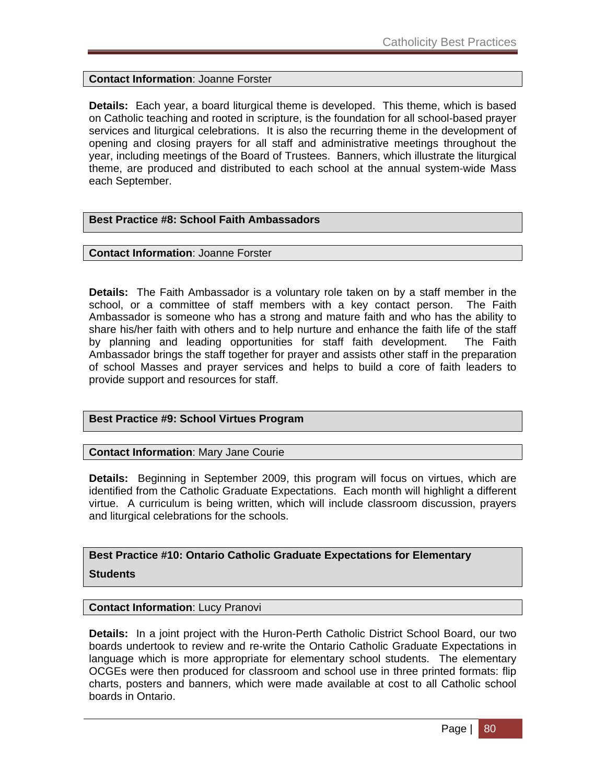**Contact Information**: Joanne Forster

**Details:** Each year, a board liturgical theme is developed. This theme, which is based on Catholic teaching and rooted in scripture, is the foundation for all school-based prayer services and liturgical celebrations. It is also the recurring theme in the development of opening and closing prayers for all staff and administrative meetings throughout the year, including meetings of the Board of Trustees. Banners, which illustrate the liturgical theme, are produced and distributed to each school at the annual system-wide Mass each September.

### **Best Practice #8: School Faith Ambassadors**

#### **Contact Information**: Joanne Forster

**Details:** The Faith Ambassador is a voluntary role taken on by a staff member in the school, or a committee of staff members with a key contact person. The Faith Ambassador is someone who has a strong and mature faith and who has the ability to share his/her faith with others and to help nurture and enhance the faith life of the staff by planning and leading opportunities for staff faith development. The Faith Ambassador brings the staff together for prayer and assists other staff in the preparation of school Masses and prayer services and helps to build a core of faith leaders to provide support and resources for staff.

### **Best Practice #9: School Virtues Program**

**Contact Information**: Mary Jane Courie

**Details:** Beginning in September 2009, this program will focus on virtues, which are identified from the Catholic Graduate Expectations. Each month will highlight a different virtue. A curriculum is being written, which will include classroom discussion, prayers and liturgical celebrations for the schools.

**Best Practice #10: Ontario Catholic Graduate Expectations for Elementary Students** 

### **Contact Information**: Lucy Pranovi

**Details:** In a joint project with the Huron-Perth Catholic District School Board, our two boards undertook to review and re-write the Ontario Catholic Graduate Expectations in language which is more appropriate for elementary school students. The elementary OCGEs were then produced for classroom and school use in three printed formats: flip charts, posters and banners, which were made available at cost to all Catholic school boards in Ontario.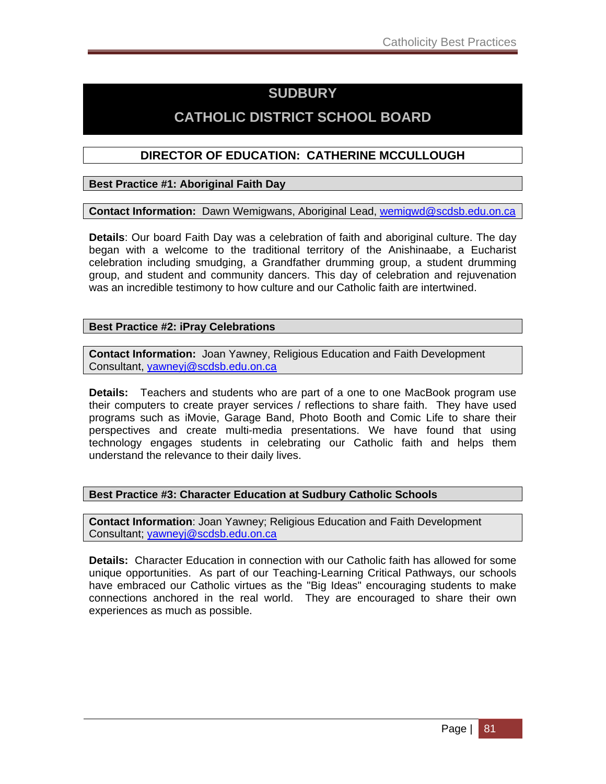## **SUDBURY**

## **CATHOLIC DISTRICT SCHOOL BOARD**

### **DIRECTOR OF EDUCATION: CATHERINE MCCULLOUGH**

### **Best Practice #1: Aboriginal Faith Day**

**Contact Information:** Dawn Wemigwans, Aboriginal Lead, wemigwd@scdsb.edu.on.ca

**Details**: Our board Faith Day was a celebration of faith and aboriginal culture. The day began with a welcome to the traditional territory of the Anishinaabe, a Eucharist celebration including smudging, a Grandfather drumming group, a student drumming group, and student and community dancers. This day of celebration and rejuvenation was an incredible testimony to how culture and our Catholic faith are intertwined.

### **Best Practice #2: iPray Celebrations**

**Contact Information:** Joan Yawney, Religious Education and Faith Development Consultant, yawneyj@scdsb.edu.on.ca

**Details:** Teachers and students who are part of a one to one MacBook program use their computers to create prayer services / reflections to share faith. They have used programs such as iMovie, Garage Band, Photo Booth and Comic Life to share their perspectives and create multi-media presentations. We have found that using technology engages students in celebrating our Catholic faith and helps them understand the relevance to their daily lives.

### **Best Practice #3: Character Education at Sudbury Catholic Schools**

**Contact Information**: Joan Yawney; Religious Education and Faith Development Consultant; yawneyj@scdsb.edu.on.ca

**Details:** Character Education in connection with our Catholic faith has allowed for some unique opportunities. As part of our Teaching-Learning Critical Pathways, our schools have embraced our Catholic virtues as the "Big Ideas" encouraging students to make connections anchored in the real world. They are encouraged to share their own experiences as much as possible.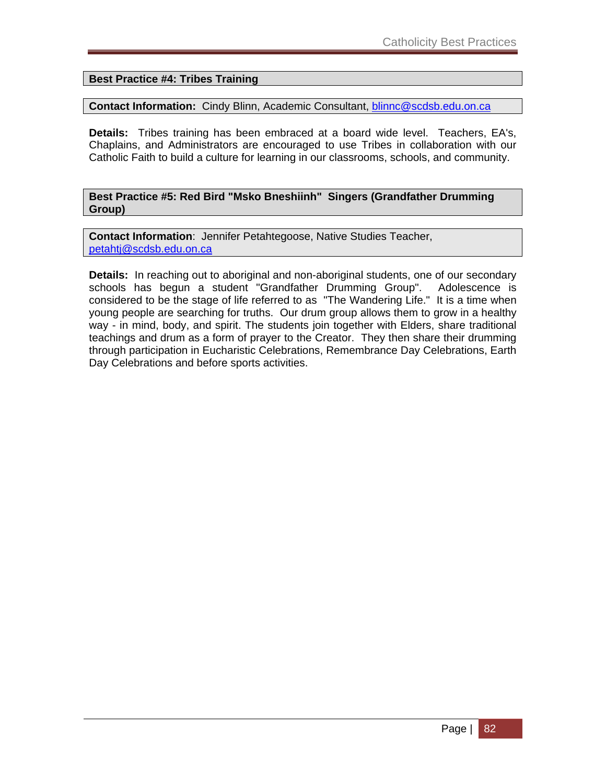### **Best Practice #4: Tribes Training**

### **Contact Information:** Cindy Blinn, Academic Consultant, blinnc@scdsb.edu.on.ca

**Details:** Tribes training has been embraced at a board wide level. Teachers, EA's, Chaplains, and Administrators are encouraged to use Tribes in collaboration with our Catholic Faith to build a culture for learning in our classrooms, schools, and community.

### **Best Practice #5: Red Bird "Msko Bneshiinh" Singers (Grandfather Drumming Group)**

**Contact Information**: Jennifer Petahtegoose, Native Studies Teacher, petahtj@scdsb.edu.on.ca

**Details:** In reaching out to aboriginal and non-aboriginal students, one of our secondary schools has begun a student "Grandfather Drumming Group". Adolescence is considered to be the stage of life referred to as "The Wandering Life." It is a time when young people are searching for truths. Our drum group allows them to grow in a healthy way - in mind, body, and spirit. The students join together with Elders, share traditional teachings and drum as a form of prayer to the Creator. They then share their drumming through participation in Eucharistic Celebrations, Remembrance Day Celebrations, Earth Day Celebrations and before sports activities.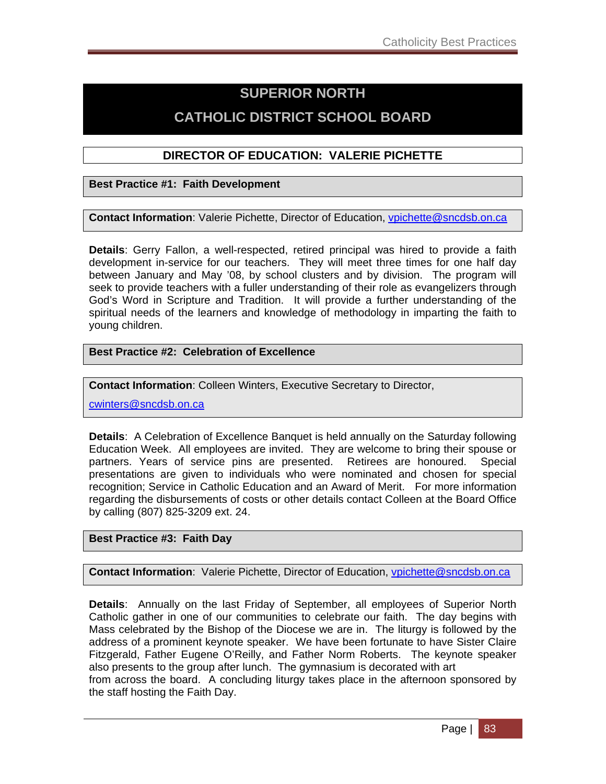## **SUPERIOR NORTH**

## **CATHOLIC DISTRICT SCHOOL BOARD**

### **DIRECTOR OF EDUCATION: VALERIE PICHETTE**

**Best Practice #1: Faith Development** 

**Contact Information**: Valerie Pichette, Director of Education, vpichette@sncdsb.on.ca

**Details**: Gerry Fallon, a well-respected, retired principal was hired to provide a faith development in-service for our teachers. They will meet three times for one half day between January and May '08, by school clusters and by division. The program will seek to provide teachers with a fuller understanding of their role as evangelizers through God's Word in Scripture and Tradition. It will provide a further understanding of the spiritual needs of the learners and knowledge of methodology in imparting the faith to young children.

### **Best Practice #2: Celebration of Excellence**

**Contact Information**: Colleen Winters, Executive Secretary to Director,

cwinters@sncdsb.on.ca

**Details**: A Celebration of Excellence Banquet is held annually on the Saturday following Education Week. All employees are invited. They are welcome to bring their spouse or partners. Years of service pins are presented. Retirees are honoured. Special presentations are given to individuals who were nominated and chosen for special recognition; Service in Catholic Education and an Award of Merit. For more information regarding the disbursements of costs or other details contact Colleen at the Board Office by calling (807) 825-3209 ext. 24.

### **Best Practice #3: Faith Day**

**Contact Information**: Valerie Pichette, Director of Education, *vpichette@sncdsb.on.ca* 

**Details**: Annually on the last Friday of September, all employees of Superior North Catholic gather in one of our communities to celebrate our faith. The day begins with Mass celebrated by the Bishop of the Diocese we are in. The liturgy is followed by the address of a prominent keynote speaker. We have been fortunate to have Sister Claire Fitzgerald, Father Eugene O'Reilly, and Father Norm Roberts. The keynote speaker also presents to the group after lunch. The gymnasium is decorated with art from across the board. A concluding liturgy takes place in the afternoon sponsored by the staff hosting the Faith Day.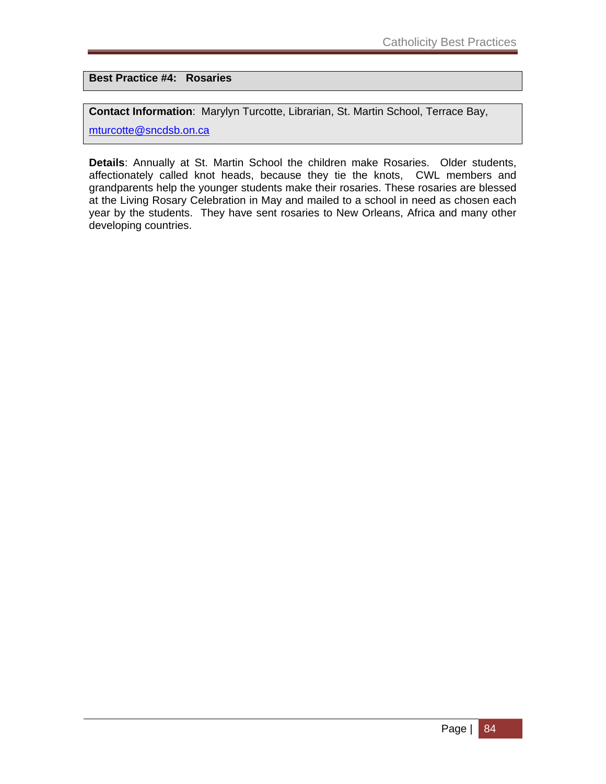**Best Practice #4: Rosaries** 

**Contact Information**: Marylyn Turcotte, Librarian, St. Martin School, Terrace Bay,

mturcotte@sncdsb.on.ca

**Details**: Annually at St. Martin School the children make Rosaries. Older students, affectionately called knot heads, because they tie the knots, CWL members and grandparents help the younger students make their rosaries. These rosaries are blessed at the Living Rosary Celebration in May and mailed to a school in need as chosen each year by the students. They have sent rosaries to New Orleans, Africa and many other developing countries.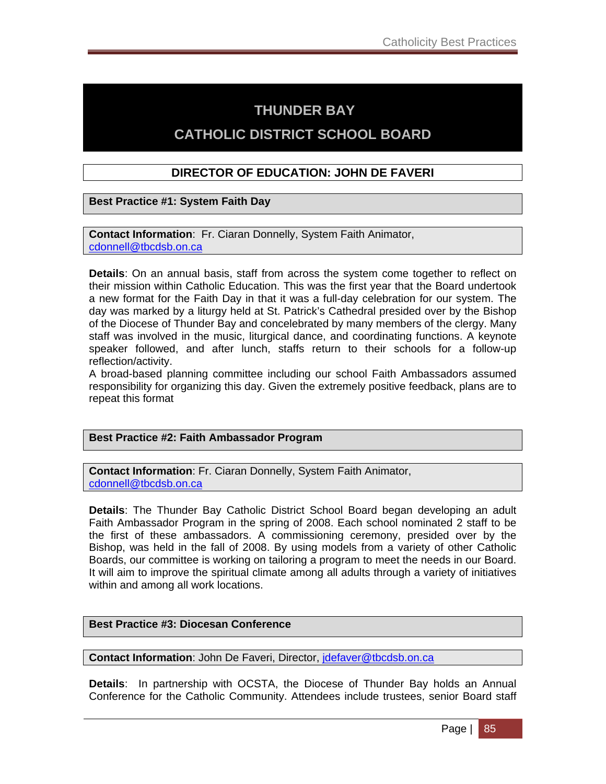## **THUNDER BAY**

## **CATHOLIC DISTRICT SCHOOL BOARD**

### **DIRECTOR OF EDUCATION: JOHN DE FAVERI**

**Best Practice #1: System Faith Day**

**Contact Information**: Fr. Ciaran Donnelly, System Faith Animator, cdonnell@tbcdsb.on.ca

**Details**: On an annual basis, staff from across the system come together to reflect on their mission within Catholic Education. This was the first year that the Board undertook a new format for the Faith Day in that it was a full-day celebration for our system. The day was marked by a liturgy held at St. Patrick's Cathedral presided over by the Bishop of the Diocese of Thunder Bay and concelebrated by many members of the clergy. Many staff was involved in the music, liturgical dance, and coordinating functions. A keynote speaker followed, and after lunch, staffs return to their schools for a follow-up reflection/activity.

A broad-based planning committee including our school Faith Ambassadors assumed responsibility for organizing this day. Given the extremely positive feedback, plans are to repeat this format

### **Best Practice #2: Faith Ambassador Program**

**Contact Information**: Fr. Ciaran Donnelly, System Faith Animator, cdonnell@tbcdsb.on.ca

**Details**: The Thunder Bay Catholic District School Board began developing an adult Faith Ambassador Program in the spring of 2008. Each school nominated 2 staff to be the first of these ambassadors. A commissioning ceremony, presided over by the Bishop, was held in the fall of 2008. By using models from a variety of other Catholic Boards, our committee is working on tailoring a program to meet the needs in our Board. It will aim to improve the spiritual climate among all adults through a variety of initiatives within and among all work locations.

### **Best Practice #3: Diocesan Conference**

**Contact Information: John De Faveri, Director,** *idefaver@tbcdsb.on.ca* 

**Details**: In partnership with OCSTA, the Diocese of Thunder Bay holds an Annual Conference for the Catholic Community. Attendees include trustees, senior Board staff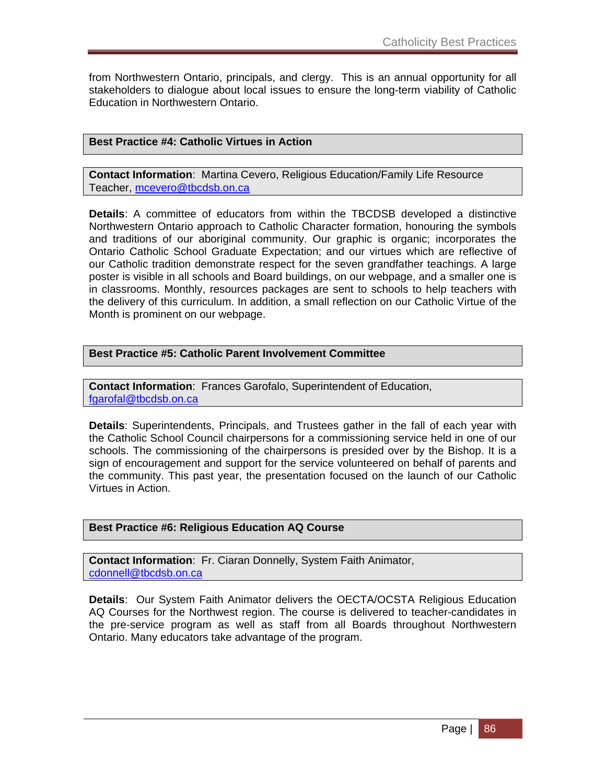from Northwestern Ontario, principals, and clergy. This is an annual opportunity for all stakeholders to dialogue about local issues to ensure the long-term viability of Catholic Education in Northwestern Ontario.

### **Best Practice #4: Catholic Virtues in Action**

**Contact Information**: Martina Cevero, Religious Education/Family Life Resource Teacher, mcevero@tbcdsb.on.ca

**Details**: A committee of educators from within the TBCDSB developed a distinctive Northwestern Ontario approach to Catholic Character formation, honouring the symbols and traditions of our aboriginal community. Our graphic is organic; incorporates the Ontario Catholic School Graduate Expectation; and our virtues which are reflective of our Catholic tradition demonstrate respect for the seven grandfather teachings. A large poster is visible in all schools and Board buildings, on our webpage, and a smaller one is in classrooms. Monthly, resources packages are sent to schools to help teachers with the delivery of this curriculum. In addition, a small reflection on our Catholic Virtue of the Month is prominent on our webpage.

#### **Best Practice #5: Catholic Parent Involvement Committee**

**Contact Information**: Frances Garofalo, Superintendent of Education, fgarofal@tbcdsb.on.ca

**Details**: Superintendents, Principals, and Trustees gather in the fall of each year with the Catholic School Council chairpersons for a commissioning service held in one of our schools. The commissioning of the chairpersons is presided over by the Bishop. It is a sign of encouragement and support for the service volunteered on behalf of parents and the community. This past year, the presentation focused on the launch of our Catholic Virtues in Action.

#### **Best Practice #6: Religious Education AQ Course**

**Contact Information**: Fr. Ciaran Donnelly, System Faith Animator, cdonnell@tbcdsb.on.ca

**Details**: Our System Faith Animator delivers the OECTA/OCSTA Religious Education AQ Courses for the Northwest region. The course is delivered to teacher-candidates in the pre-service program as well as staff from all Boards throughout Northwestern Ontario. Many educators take advantage of the program.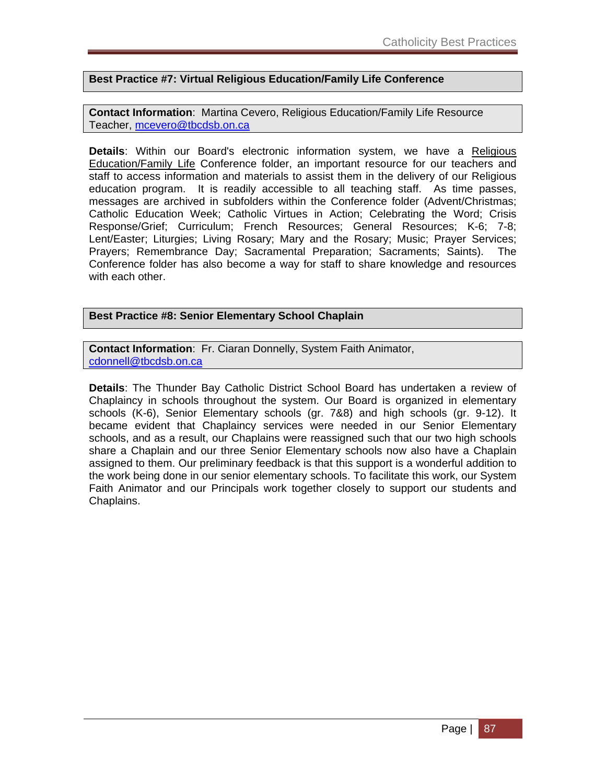### **Best Practice #7: Virtual Religious Education/Family Life Conference**

**Contact Information**: Martina Cevero, Religious Education/Family Life Resource Teacher, mcevero@tbcdsb.on.ca

**Details**: Within our Board's electronic information system, we have a Religious Education/Family Life Conference folder, an important resource for our teachers and staff to access information and materials to assist them in the delivery of our Religious education program. It is readily accessible to all teaching staff. As time passes, messages are archived in subfolders within the Conference folder (Advent/Christmas; Catholic Education Week; Catholic Virtues in Action; Celebrating the Word; Crisis Response/Grief; Curriculum; French Resources; General Resources; K-6; 7-8; Lent/Easter; Liturgies; Living Rosary; Mary and the Rosary; Music; Prayer Services; Prayers; Remembrance Day; Sacramental Preparation; Sacraments; Saints). The Conference folder has also become a way for staff to share knowledge and resources with each other.

### **Best Practice #8: Senior Elementary School Chaplain**

**Contact Information**: Fr. Ciaran Donnelly, System Faith Animator, cdonnell@tbcdsb.on.ca

**Details**: The Thunder Bay Catholic District School Board has undertaken a review of Chaplaincy in schools throughout the system. Our Board is organized in elementary schools (K-6), Senior Elementary schools (gr. 7&8) and high schools (gr. 9-12). It became evident that Chaplaincy services were needed in our Senior Elementary schools, and as a result, our Chaplains were reassigned such that our two high schools share a Chaplain and our three Senior Elementary schools now also have a Chaplain assigned to them. Our preliminary feedback is that this support is a wonderful addition to the work being done in our senior elementary schools. To facilitate this work, our System Faith Animator and our Principals work together closely to support our students and Chaplains.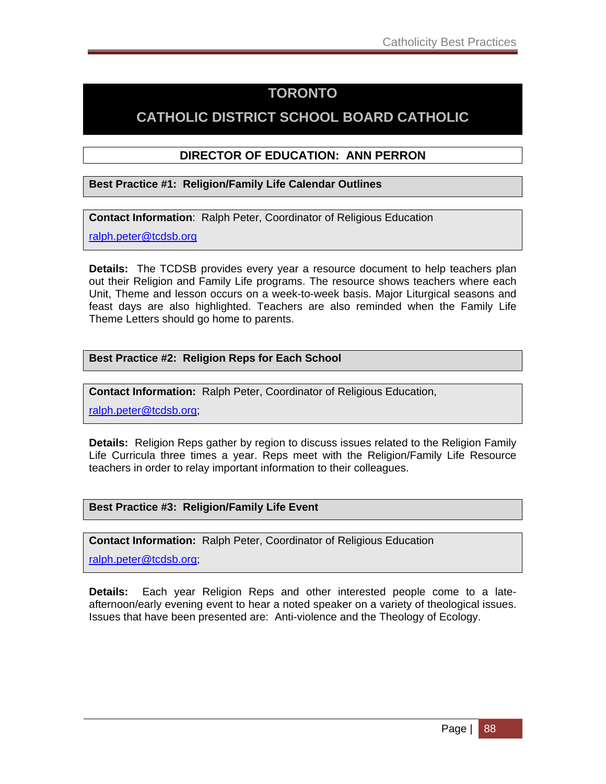## **TORONTO**

## **CATHOLIC DISTRICT SCHOOL BOARD CATHOLIC**

### **DIRECTOR OF EDUCATION: ANN PERRON**

### **Best Practice #1: Religion/Family Life Calendar Outlines**

**Contact Information**: Ralph Peter, Coordinator of Religious Education

ralph.peter@tcdsb.org

**Details:** The TCDSB provides every year a resource document to help teachers plan out their Religion and Family Life programs. The resource shows teachers where each Unit, Theme and lesson occurs on a week-to-week basis. Major Liturgical seasons and feast days are also highlighted. Teachers are also reminded when the Family Life Theme Letters should go home to parents.

### **Best Practice #2: Religion Reps for Each School**

**Contact Information:** Ralph Peter, Coordinator of Religious Education,

ralph.peter@tcdsb.org;

**Details:** Religion Reps gather by region to discuss issues related to the Religion Family Life Curricula three times a year. Reps meet with the Religion/Family Life Resource teachers in order to relay important information to their colleagues.

### **Best Practice #3: Religion/Family Life Event**

**Contact Information:** Ralph Peter, Coordinator of Religious Education

ralph.peter@tcdsb.org;

**Details:** Each year Religion Reps and other interested people come to a lateafternoon/early evening event to hear a noted speaker on a variety of theological issues. Issues that have been presented are: Anti-violence and the Theology of Ecology.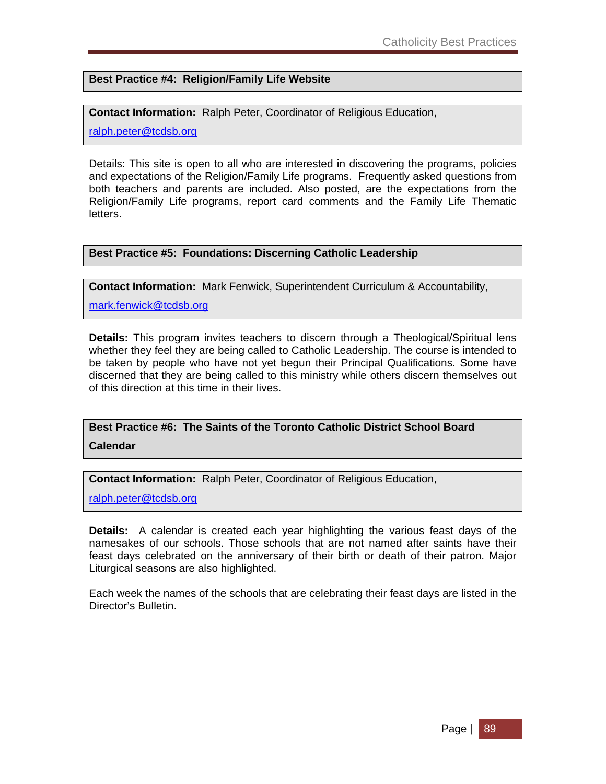**Best Practice #4: Religion/Family Life Website** 

**Contact Information:** Ralph Peter, Coordinator of Religious Education,

ralph.peter@tcdsb.org

Details: This site is open to all who are interested in discovering the programs, policies and expectations of the Religion/Family Life programs. Frequently asked questions from both teachers and parents are included. Also posted, are the expectations from the Religion/Family Life programs, report card comments and the Family Life Thematic letters.

#### **Best Practice #5: Foundations: Discerning Catholic Leadership**

**Contact Information:** Mark Fenwick, Superintendent Curriculum & Accountability,

mark.fenwick@tcdsb.org

**Details:** This program invites teachers to discern through a Theological/Spiritual lens whether they feel they are being called to Catholic Leadership. The course is intended to be taken by people who have not yet begun their Principal Qualifications. Some have discerned that they are being called to this ministry while others discern themselves out of this direction at this time in their lives.

**Best Practice #6: The Saints of the Toronto Catholic District School Board Calendar** 

**Contact Information:** Ralph Peter, Coordinator of Religious Education,

ralph.peter@tcdsb.org

**Details:** A calendar is created each year highlighting the various feast days of the namesakes of our schools. Those schools that are not named after saints have their feast days celebrated on the anniversary of their birth or death of their patron. Major Liturgical seasons are also highlighted.

Each week the names of the schools that are celebrating their feast days are listed in the Director's Bulletin.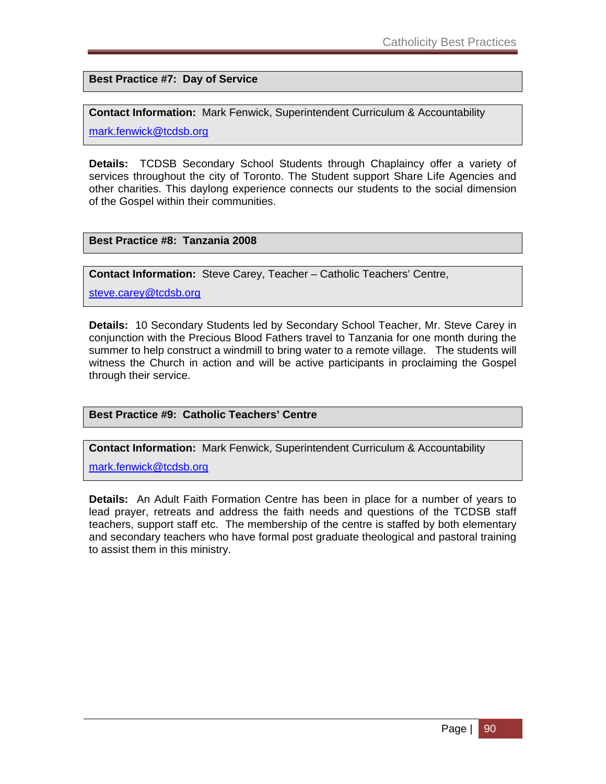**Best Practice #7: Day of Service** 

**Contact Information:** Mark Fenwick, Superintendent Curriculum & Accountability

mark.fenwick@tcdsb.org

**Details:** TCDSB Secondary School Students through Chaplaincy offer a variety of services throughout the city of Toronto. The Student support Share Life Agencies and other charities. This daylong experience connects our students to the social dimension of the Gospel within their communities.

### **Best Practice #8: Tanzania 2008**

**Contact Information:** Steve Carey, Teacher – Catholic Teachers' Centre,

steve.carey@tcdsb.org

**Details:** 10 Secondary Students led by Secondary School Teacher, Mr. Steve Carey in conjunction with the Precious Blood Fathers travel to Tanzania for one month during the summer to help construct a windmill to bring water to a remote village. The students will witness the Church in action and will be active participants in proclaiming the Gospel through their service.

### **Best Practice #9: Catholic Teachers' Centre**

**Contact Information:** Mark Fenwick, Superintendent Curriculum & Accountability

mark.fenwick@tcdsb.org

**Details:** An Adult Faith Formation Centre has been in place for a number of years to lead prayer, retreats and address the faith needs and questions of the TCDSB staff teachers, support staff etc. The membership of the centre is staffed by both elementary and secondary teachers who have formal post graduate theological and pastoral training to assist them in this ministry.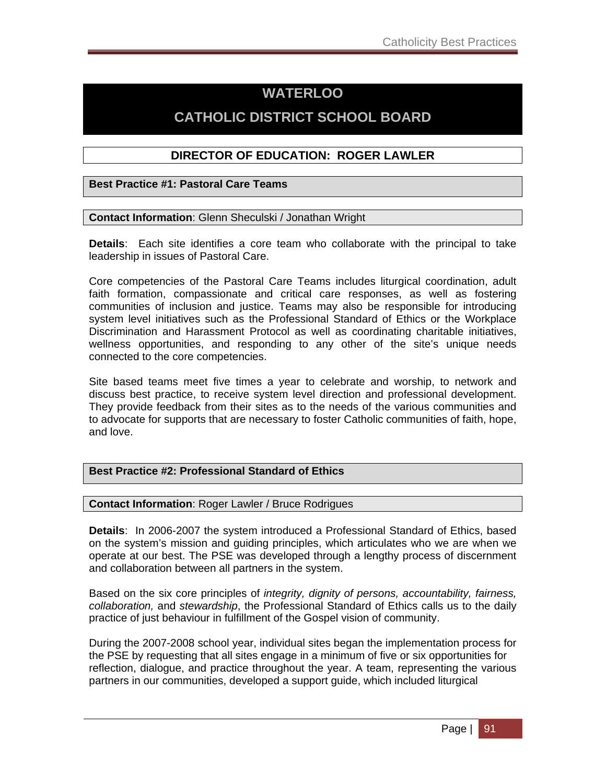## **WATERLOO**

## **CATHOLIC DISTRICT SCHOOL BOARD**

### **DIRECTOR OF EDUCATION: ROGER LAWLER**

**Best Practice #1: Pastoral Care Teams** 

#### **Contact Information**: Glenn Sheculski / Jonathan Wright

**Details**: Each site identifies a core team who collaborate with the principal to take leadership in issues of Pastoral Care.

Core competencies of the Pastoral Care Teams includes liturgical coordination, adult faith formation, compassionate and critical care responses, as well as fostering communities of inclusion and justice. Teams may also be responsible for introducing system level initiatives such as the Professional Standard of Ethics or the Workplace Discrimination and Harassment Protocol as well as coordinating charitable initiatives, wellness opportunities, and responding to any other of the site's unique needs connected to the core competencies.

Site based teams meet five times a year to celebrate and worship, to network and discuss best practice, to receive system level direction and professional development. They provide feedback from their sites as to the needs of the various communities and to advocate for supports that are necessary to foster Catholic communities of faith, hope, and love.

### **Best Practice #2: Professional Standard of Ethics**

**Contact Information**: Roger Lawler / Bruce Rodrigues

**Details**: In 2006-2007 the system introduced a Professional Standard of Ethics, based on the system's mission and guiding principles, which articulates who we are when we operate at our best. The PSE was developed through a lengthy process of discernment and collaboration between all partners in the system.

Based on the six core principles of *integrity, dignity of persons, accountability, fairness, collaboration,* and *stewardship*, the Professional Standard of Ethics calls us to the daily practice of just behaviour in fulfillment of the Gospel vision of community.

During the 2007-2008 school year, individual sites began the implementation process for the PSE by requesting that all sites engage in a minimum of five or six opportunities for reflection, dialogue, and practice throughout the year. A team, representing the various partners in our communities, developed a support guide, which included liturgical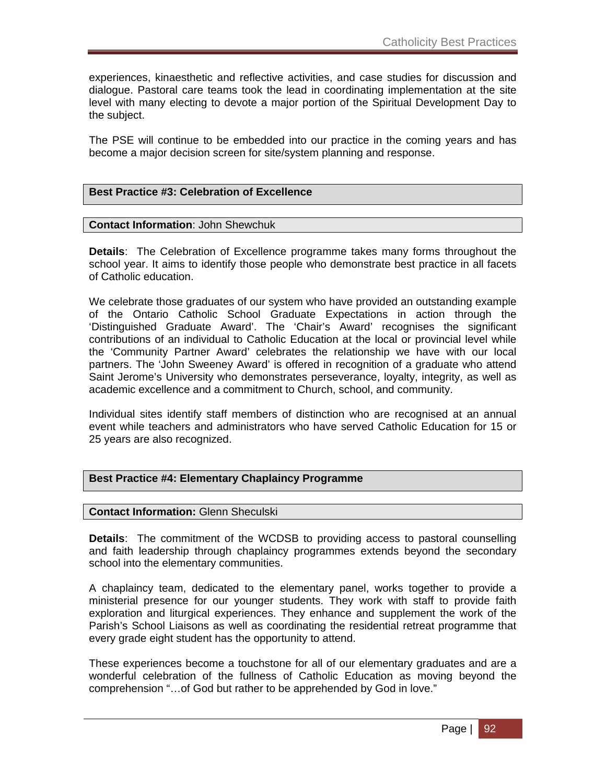experiences, kinaesthetic and reflective activities, and case studies for discussion and dialogue. Pastoral care teams took the lead in coordinating implementation at the site level with many electing to devote a major portion of the Spiritual Development Day to the subject.

The PSE will continue to be embedded into our practice in the coming years and has become a major decision screen for site/system planning and response.

#### **Best Practice #3: Celebration of Excellence**

#### **Contact Information**: John Shewchuk

**Details**: The Celebration of Excellence programme takes many forms throughout the school year. It aims to identify those people who demonstrate best practice in all facets of Catholic education.

We celebrate those graduates of our system who have provided an outstanding example of the Ontario Catholic School Graduate Expectations in action through the 'Distinguished Graduate Award'. The 'Chair's Award' recognises the significant contributions of an individual to Catholic Education at the local or provincial level while the 'Community Partner Award' celebrates the relationship we have with our local partners. The 'John Sweeney Award' is offered in recognition of a graduate who attend Saint Jerome's University who demonstrates perseverance, loyalty, integrity, as well as academic excellence and a commitment to Church, school, and community.

Individual sites identify staff members of distinction who are recognised at an annual event while teachers and administrators who have served Catholic Education for 15 or 25 years are also recognized.

#### **Best Practice #4: Elementary Chaplaincy Programme**

#### **Contact Information:** Glenn Sheculski

**Details**: The commitment of the WCDSB to providing access to pastoral counselling and faith leadership through chaplaincy programmes extends beyond the secondary school into the elementary communities.

A chaplaincy team, dedicated to the elementary panel, works together to provide a ministerial presence for our younger students. They work with staff to provide faith exploration and liturgical experiences. They enhance and supplement the work of the Parish's School Liaisons as well as coordinating the residential retreat programme that every grade eight student has the opportunity to attend.

These experiences become a touchstone for all of our elementary graduates and are a wonderful celebration of the fullness of Catholic Education as moving beyond the comprehension "…of God but rather to be apprehended by God in love."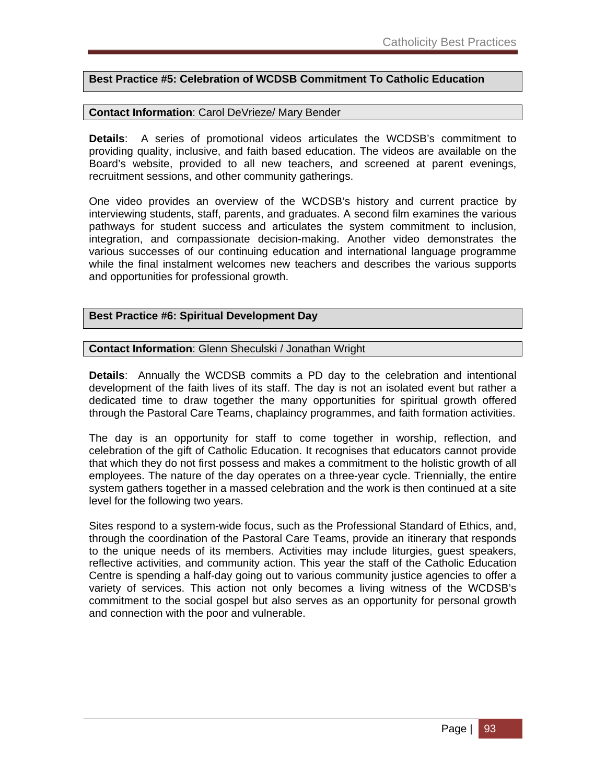### **Best Practice #5: Celebration of WCDSB Commitment To Catholic Education**

#### **Contact Information**: Carol DeVrieze/ Mary Bender

**Details**: A series of promotional videos articulates the WCDSB's commitment to providing quality, inclusive, and faith based education. The videos are available on the Board's website, provided to all new teachers, and screened at parent evenings, recruitment sessions, and other community gatherings.

One video provides an overview of the WCDSB's history and current practice by interviewing students, staff, parents, and graduates. A second film examines the various pathways for student success and articulates the system commitment to inclusion, integration, and compassionate decision-making. Another video demonstrates the various successes of our continuing education and international language programme while the final instalment welcomes new teachers and describes the various supports and opportunities for professional growth.

#### **Best Practice #6: Spiritual Development Day**

#### **Contact Information**: Glenn Sheculski / Jonathan Wright

**Details**: Annually the WCDSB commits a PD day to the celebration and intentional development of the faith lives of its staff. The day is not an isolated event but rather a dedicated time to draw together the many opportunities for spiritual growth offered through the Pastoral Care Teams, chaplaincy programmes, and faith formation activities.

The day is an opportunity for staff to come together in worship, reflection, and celebration of the gift of Catholic Education. It recognises that educators cannot provide that which they do not first possess and makes a commitment to the holistic growth of all employees. The nature of the day operates on a three-year cycle. Triennially, the entire system gathers together in a massed celebration and the work is then continued at a site level for the following two years.

Sites respond to a system-wide focus, such as the Professional Standard of Ethics, and, through the coordination of the Pastoral Care Teams, provide an itinerary that responds to the unique needs of its members. Activities may include liturgies, guest speakers, reflective activities, and community action. This year the staff of the Catholic Education Centre is spending a half-day going out to various community justice agencies to offer a variety of services. This action not only becomes a living witness of the WCDSB's commitment to the social gospel but also serves as an opportunity for personal growth and connection with the poor and vulnerable.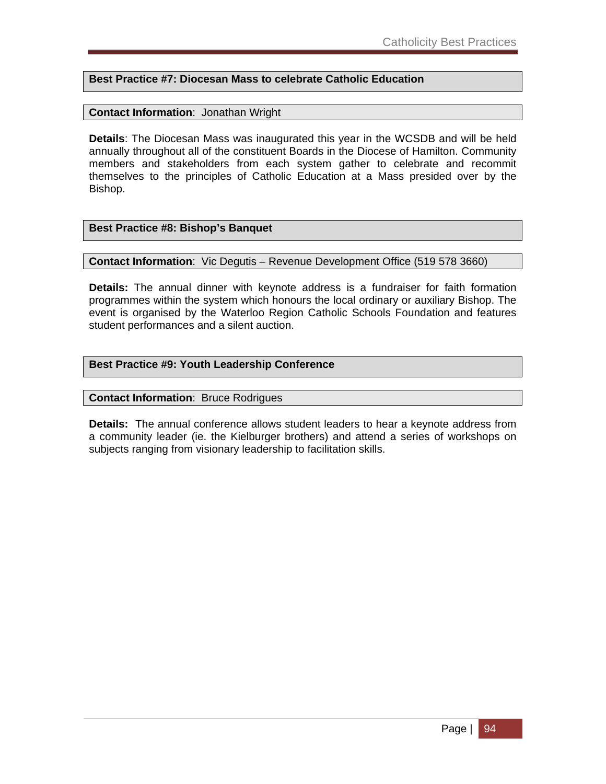### **Best Practice #7: Diocesan Mass to celebrate Catholic Education**

### **Contact Information**: Jonathan Wright

**Details**: The Diocesan Mass was inaugurated this year in the WCSDB and will be held annually throughout all of the constituent Boards in the Diocese of Hamilton. Community members and stakeholders from each system gather to celebrate and recommit themselves to the principles of Catholic Education at a Mass presided over by the Bishop.

#### **Best Practice #8: Bishop's Banquet**

#### **Contact Information**: Vic Degutis – Revenue Development Office (519 578 3660)

**Details:** The annual dinner with keynote address is a fundraiser for faith formation programmes within the system which honours the local ordinary or auxiliary Bishop. The event is organised by the Waterloo Region Catholic Schools Foundation and features student performances and a silent auction.

### **Best Practice #9: Youth Leadership Conference**

#### **Contact Information**: Bruce Rodrigues

**Details:** The annual conference allows student leaders to hear a keynote address from a community leader (ie. the Kielburger brothers) and attend a series of workshops on subjects ranging from visionary leadership to facilitation skills.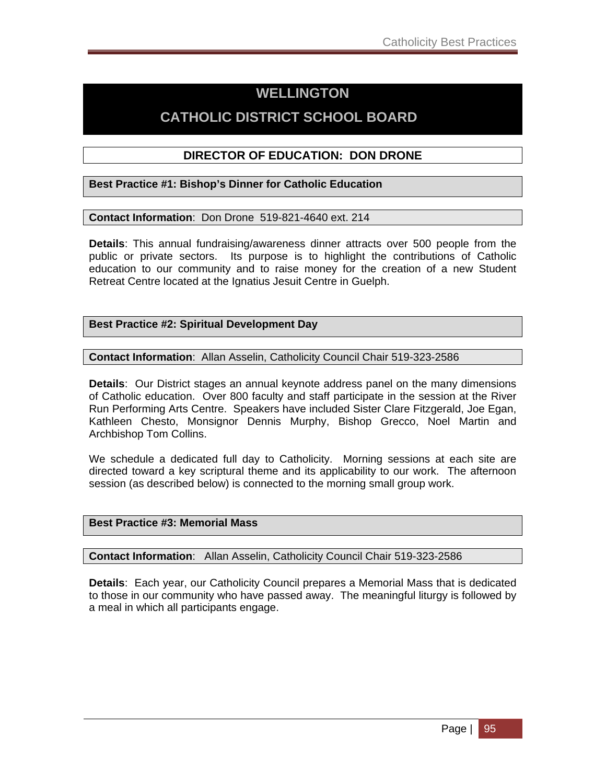## **WELLINGTON**

## **CATHOLIC DISTRICT SCHOOL BOARD**

### **DIRECTOR OF EDUCATION: DON DRONE**

**Best Practice #1: Bishop's Dinner for Catholic Education** 

**Contact Information**: Don Drone 519-821-4640 ext. 214

**Details**: This annual fundraising/awareness dinner attracts over 500 people from the public or private sectors. Its purpose is to highlight the contributions of Catholic education to our community and to raise money for the creation of a new Student Retreat Centre located at the Ignatius Jesuit Centre in Guelph.

### **Best Practice #2: Spiritual Development Day**

**Contact Information**: Allan Asselin, Catholicity Council Chair 519-323-2586

**Details**: Our District stages an annual keynote address panel on the many dimensions of Catholic education. Over 800 faculty and staff participate in the session at the River Run Performing Arts Centre. Speakers have included Sister Clare Fitzgerald, Joe Egan, Kathleen Chesto, Monsignor Dennis Murphy, Bishop Grecco, Noel Martin and Archbishop Tom Collins.

We schedule a dedicated full day to Catholicity. Morning sessions at each site are directed toward a key scriptural theme and its applicability to our work. The afternoon session (as described below) is connected to the morning small group work.

### **Best Practice #3: Memorial Mass**

**Contact Information**: Allan Asselin, Catholicity Council Chair 519-323-2586

**Details**: Each year, our Catholicity Council prepares a Memorial Mass that is dedicated to those in our community who have passed away. The meaningful liturgy is followed by a meal in which all participants engage.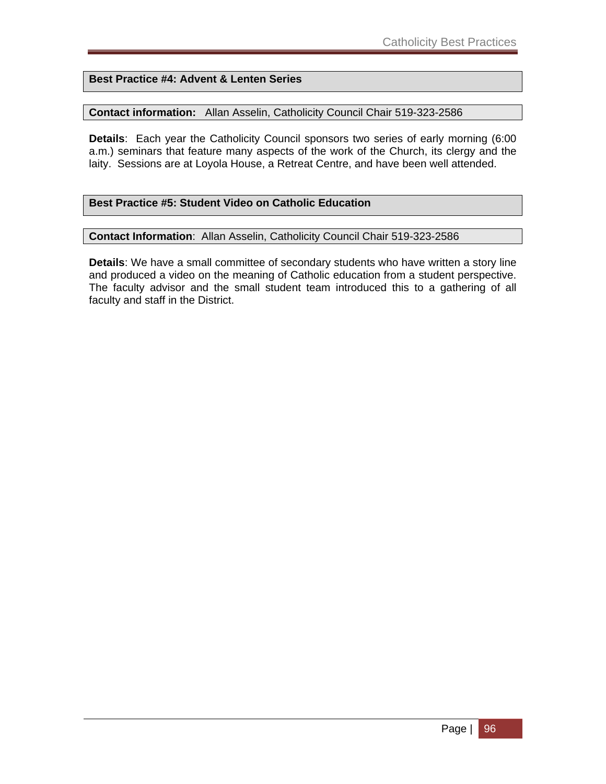### **Best Practice #4: Advent & Lenten Series**

### **Contact information:** Allan Asselin, Catholicity Council Chair 519-323-2586

**Details**: Each year the Catholicity Council sponsors two series of early morning (6:00 a.m.) seminars that feature many aspects of the work of the Church, its clergy and the laity. Sessions are at Loyola House, a Retreat Centre, and have been well attended.

### **Best Practice #5: Student Video on Catholic Education**

#### **Contact Information**: Allan Asselin, Catholicity Council Chair 519-323-2586

**Details**: We have a small committee of secondary students who have written a story line and produced a video on the meaning of Catholic education from a student perspective. The faculty advisor and the small student team introduced this to a gathering of all faculty and staff in the District.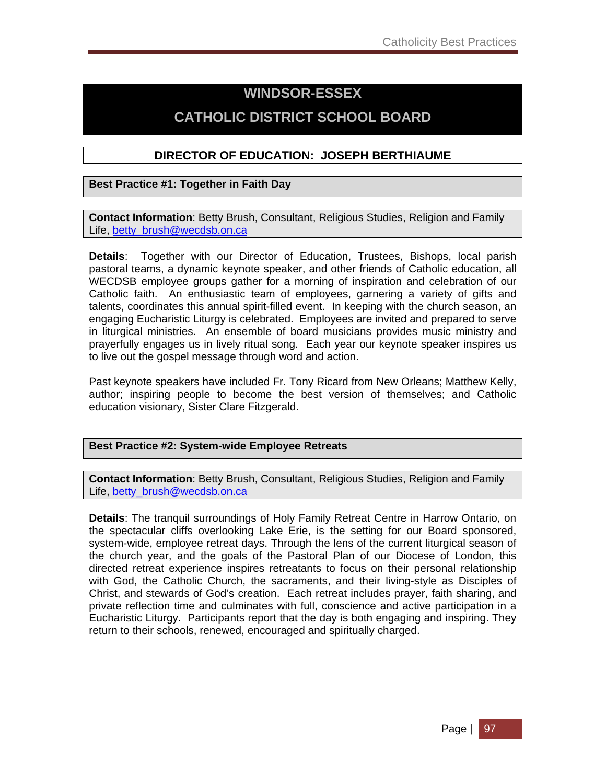## **WINDSOR-ESSEX**

## **CATHOLIC DISTRICT SCHOOL BOARD**

### **DIRECTOR OF EDUCATION: JOSEPH BERTHIAUME**

### **Best Practice #1: Together in Faith Day**

**Contact Information**: Betty Brush, Consultant, Religious Studies, Religion and Family Life, betty\_brush@wecdsb.on.ca

**Details**: Together with our Director of Education, Trustees, Bishops, local parish pastoral teams, a dynamic keynote speaker, and other friends of Catholic education, all WECDSB employee groups gather for a morning of inspiration and celebration of our Catholic faith. An enthusiastic team of employees, garnering a variety of gifts and talents, coordinates this annual spirit-filled event. In keeping with the church season, an engaging Eucharistic Liturgy is celebrated. Employees are invited and prepared to serve in liturgical ministries. An ensemble of board musicians provides music ministry and prayerfully engages us in lively ritual song. Each year our keynote speaker inspires us to live out the gospel message through word and action.

Past keynote speakers have included Fr. Tony Ricard from New Orleans; Matthew Kelly, author; inspiring people to become the best version of themselves; and Catholic education visionary, Sister Clare Fitzgerald.

### **Best Practice #2: System-wide Employee Retreats**

**Contact Information**: Betty Brush, Consultant, Religious Studies, Religion and Family Life, betty\_brush@wecdsb.on.ca

**Details**: The tranquil surroundings of Holy Family Retreat Centre in Harrow Ontario, on the spectacular cliffs overlooking Lake Erie, is the setting for our Board sponsored, system-wide, employee retreat days. Through the lens of the current liturgical season of the church year, and the goals of the Pastoral Plan of our Diocese of London, this directed retreat experience inspires retreatants to focus on their personal relationship with God, the Catholic Church, the sacraments, and their living-style as Disciples of Christ, and stewards of God's creation. Each retreat includes prayer, faith sharing, and private reflection time and culminates with full, conscience and active participation in a Eucharistic Liturgy. Participants report that the day is both engaging and inspiring. They return to their schools, renewed, encouraged and spiritually charged.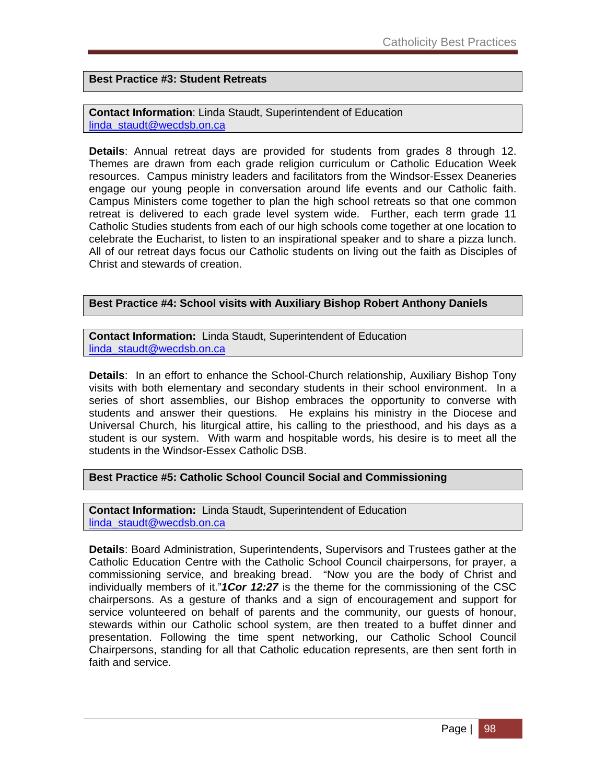**Best Practice #3: Student Retreats**

**Contact Information**: Linda Staudt, Superintendent of Education linda\_staudt@wecdsb.on.ca

**Details**: Annual retreat days are provided for students from grades 8 through 12. Themes are drawn from each grade religion curriculum or Catholic Education Week resources. Campus ministry leaders and facilitators from the Windsor-Essex Deaneries engage our young people in conversation around life events and our Catholic faith. Campus Ministers come together to plan the high school retreats so that one common retreat is delivered to each grade level system wide. Further, each term grade 11 Catholic Studies students from each of our high schools come together at one location to celebrate the Eucharist, to listen to an inspirational speaker and to share a pizza lunch. All of our retreat days focus our Catholic students on living out the faith as Disciples of Christ and stewards of creation.

### **Best Practice #4: School visits with Auxiliary Bishop Robert Anthony Daniels**

**Contact Information:** Linda Staudt, Superintendent of Education linda\_staudt@wecdsb.on.ca

**Details**: In an effort to enhance the School-Church relationship, Auxiliary Bishop Tony visits with both elementary and secondary students in their school environment. In a series of short assemblies, our Bishop embraces the opportunity to converse with students and answer their questions. He explains his ministry in the Diocese and Universal Church, his liturgical attire, his calling to the priesthood, and his days as a student is our system. With warm and hospitable words, his desire is to meet all the students in the Windsor-Essex Catholic DSB.

### **Best Practice #5: Catholic School Council Social and Commissioning**

**Contact Information:** Linda Staudt, Superintendent of Education linda\_staudt@wecdsb.on.ca

**Details**: Board Administration, Superintendents, Supervisors and Trustees gather at the Catholic Education Centre with the Catholic School Council chairpersons, for prayer, a commissioning service, and breaking bread. "Now you are the body of Christ and individually members of it."*1Cor 12:27* is the theme for the commissioning of the CSC chairpersons. As a gesture of thanks and a sign of encouragement and support for service volunteered on behalf of parents and the community, our guests of honour, stewards within our Catholic school system, are then treated to a buffet dinner and presentation. Following the time spent networking, our Catholic School Council Chairpersons, standing for all that Catholic education represents, are then sent forth in faith and service.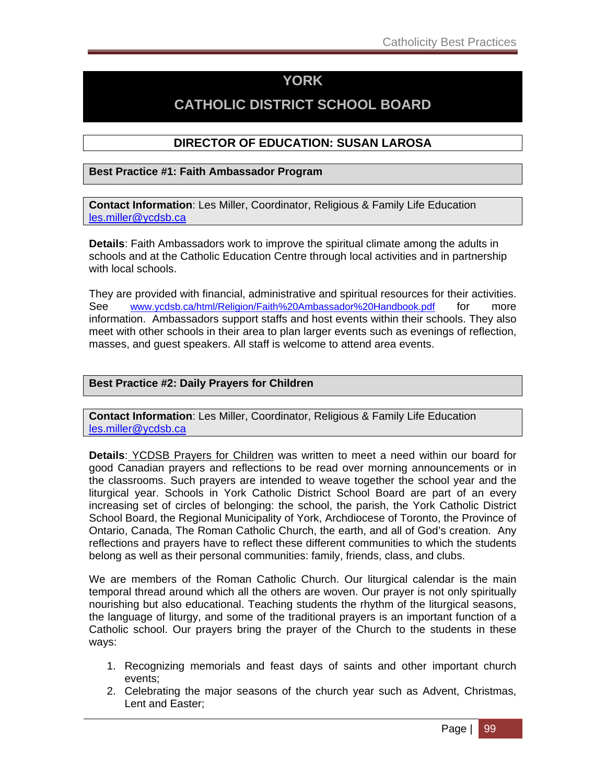## **YORK**

## **CATHOLIC DISTRICT SCHOOL BOARD**

### **DIRECTOR OF EDUCATION: SUSAN LAROSA**

### **Best Practice #1: Faith Ambassador Program**

**Contact Information**: Les Miller, Coordinator, Religious & Family Life Education les.miller@ycdsb.ca

**Details**: Faith Ambassadors work to improve the spiritual climate among the adults in schools and at the Catholic Education Centre through local activities and in partnership with local schools.

They are provided with financial, administrative and spiritual resources for their activities. See www.ycdsb.ca/html/Religion/Faith%20Ambassador%20Handbook.pdf for more information. Ambassadors support staffs and host events within their schools. They also meet with other schools in their area to plan larger events such as evenings of reflection, masses, and guest speakers. All staff is welcome to attend area events.

### **Best Practice #2: Daily Prayers for Children**

**Contact Information**: Les Miller, Coordinator, Religious & Family Life Education les.miller@ycdsb.ca

**Details**: YCDSB Prayers for Children was written to meet a need within our board for good Canadian prayers and reflections to be read over morning announcements or in the classrooms. Such prayers are intended to weave together the school year and the liturgical year. Schools in York Catholic District School Board are part of an every increasing set of circles of belonging: the school, the parish, the York Catholic District School Board, the Regional Municipality of York, Archdiocese of Toronto, the Province of Ontario, Canada, The Roman Catholic Church, the earth, and all of God's creation. Any reflections and prayers have to reflect these different communities to which the students belong as well as their personal communities: family, friends, class, and clubs.

We are members of the Roman Catholic Church. Our liturgical calendar is the main temporal thread around which all the others are woven. Our prayer is not only spiritually nourishing but also educational. Teaching students the rhythm of the liturgical seasons, the language of liturgy, and some of the traditional prayers is an important function of a Catholic school. Our prayers bring the prayer of the Church to the students in these ways:

- 1. Recognizing memorials and feast days of saints and other important church events;
- 2. Celebrating the major seasons of the church year such as Advent, Christmas, Lent and Easter;